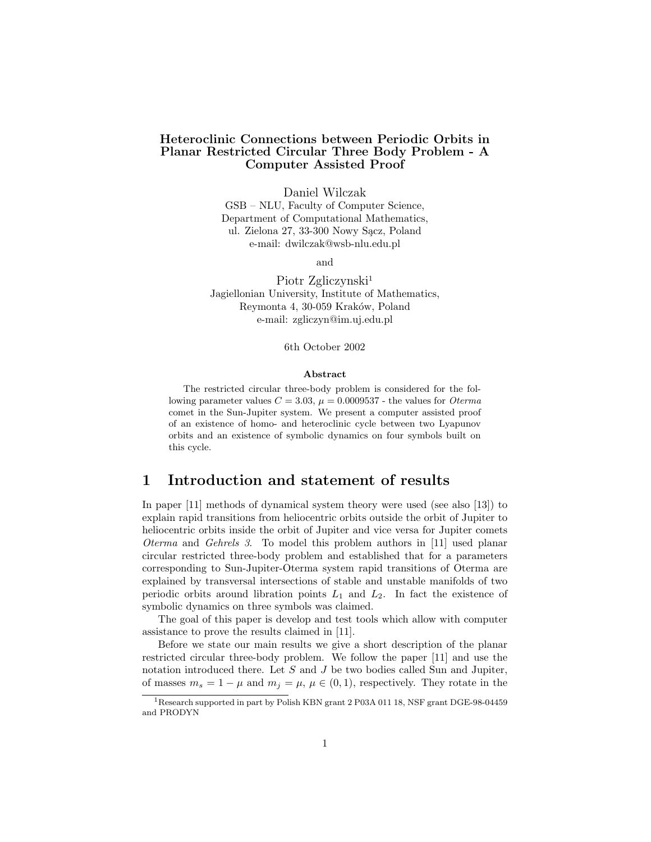#### Heteroclinic Connections between Periodic Orbits in Planar Restricted Circular Three Body Problem - A Computer Assisted Proof

Daniel Wilczak

GSB – NLU, Faculty of Computer Science, Department of Computational Mathematics, ul. Zielona 27, 33-300 Nowy Sącz, Poland e-mail: dwilczak@wsb-nlu.edu.pl

and

Piotr Zgliczynski<sup>1</sup> Jagiellonian University, Institute of Mathematics, Reymonta 4, 30-059 Kraków, Poland e-mail: zgliczyn@im.uj.edu.pl

6th October 2002

#### Abstract

The restricted circular three-body problem is considered for the following parameter values  $C = 3.03$ ,  $\mu = 0.0009537$  - the values for *Oterma* comet in the Sun-Jupiter system. We present a computer assisted proof of an existence of homo- and heteroclinic cycle between two Lyapunov orbits and an existence of symbolic dynamics on four symbols built on this cycle.

# 1 Introduction and statement of results

In paper [11] methods of dynamical system theory were used (see also [13]) to explain rapid transitions from heliocentric orbits outside the orbit of Jupiter to heliocentric orbits inside the orbit of Jupiter and vice versa for Jupiter comets Oterma and Gehrels 3. To model this problem authors in [11] used planar circular restricted three-body problem and established that for a parameters corresponding to Sun-Jupiter-Oterma system rapid transitions of Oterma are explained by transversal intersections of stable and unstable manifolds of two periodic orbits around libration points  $L_1$  and  $L_2$ . In fact the existence of symbolic dynamics on three symbols was claimed.

The goal of this paper is develop and test tools which allow with computer assistance to prove the results claimed in [11].

Before we state our main results we give a short description of the planar restricted circular three-body problem. We follow the paper [11] and use the notation introduced there. Let S and J be two bodies called Sun and Jupiter, of masses  $m_s = 1 - \mu$  and  $m_j = \mu$ ,  $\mu \in (0, 1)$ , respectively. They rotate in the

<sup>&</sup>lt;sup>1</sup>Research supported in part by Polish KBN grant 2 P03A 011 18, NSF grant DGE-98-04459 and PRODYN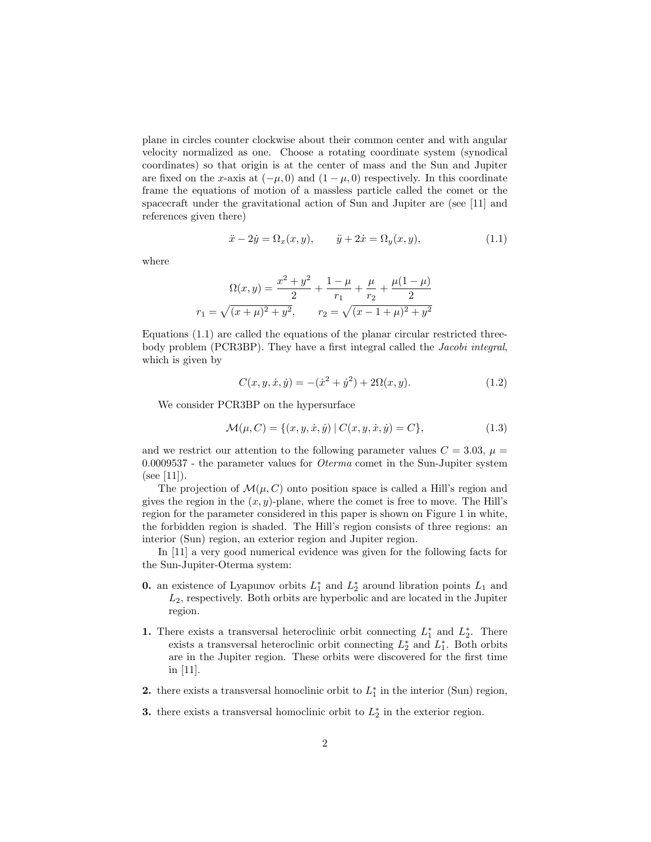plane in circles counter clockwise about their common center and with angular velocity normalized as one. Choose a rotating coordinate system (synodical coordinates) so that origin is at the center of mass and the Sun and Jupiter are fixed on the x-axis at  $(-\mu, 0)$  and  $(1 - \mu, 0)$  respectively. In this coordinate frame the equations of motion of a massless particle called the comet or the spacecraft under the gravitational action of Sun and Jupiter are (see [11] and references given there)

$$
\ddot{x} - 2\dot{y} = \Omega_x(x, y), \qquad \ddot{y} + 2\dot{x} = \Omega_y(x, y), \tag{1.1}
$$

where

$$
\Omega(x,y) = \frac{x^2 + y^2}{2} + \frac{1 - \mu}{r_1} + \frac{\mu}{r_2} + \frac{\mu(1 - \mu)}{2}
$$

$$
r_1 = \sqrt{(x + \mu)^2 + y^2}, \qquad r_2 = \sqrt{(x - 1 + \mu)^2 + y^2}
$$

Equations (1.1) are called the equations of the planar circular restricted threebody problem (PCR3BP). They have a first integral called the Jacobi integral, which is given by

$$
C(x, y, \dot{x}, \dot{y}) = -(\dot{x}^2 + \dot{y}^2) + 2\Omega(x, y). \tag{1.2}
$$

We consider PCR3BP on the hypersurface

$$
\mathcal{M}(\mu, C) = \{(x, y, \dot{x}, \dot{y}) | C(x, y, \dot{x}, \dot{y}) = C\},\tag{1.3}
$$

and we restrict our attention to the following parameter values  $C = 3.03$ ,  $\mu =$ 0.0009537 - the parameter values for Oterma comet in the Sun-Jupiter system  $(see [11]).$ 

The projection of  $\mathcal{M}(\mu, C)$  onto position space is called a Hill's region and gives the region in the  $(x, y)$ -plane, where the comet is free to move. The Hill's region for the parameter considered in this paper is shown on Figure 1 in white, the forbidden region is shaded. The Hill's region consists of three regions: an interior (Sun) region, an exterior region and Jupiter region.

In [11] a very good numerical evidence was given for the following facts for the Sun-Jupiter-Oterma system:

- **0.** an existence of Lyapunov orbits  $L_1^*$  and  $L_2^*$  around libration points  $L_1$  and  $L<sub>2</sub>$ , respectively. Both orbits are hyperbolic and are located in the Jupiter region.
- 1. There exists a transversal heteroclinic orbit connecting  $L_1^*$  and  $L_2^*$ . There exists a transversal heteroclinic orbit connecting  $L_2^*$  and  $L_1^*$ . Both orbits are in the Jupiter region. These orbits were discovered for the first time in [11].
- 2. there exists a transversal homoclinic orbit to  $L_1^*$  in the interior (Sun) region,
- 3. there exists a transversal homoclinic orbit to  $L_2^*$  in the exterior region.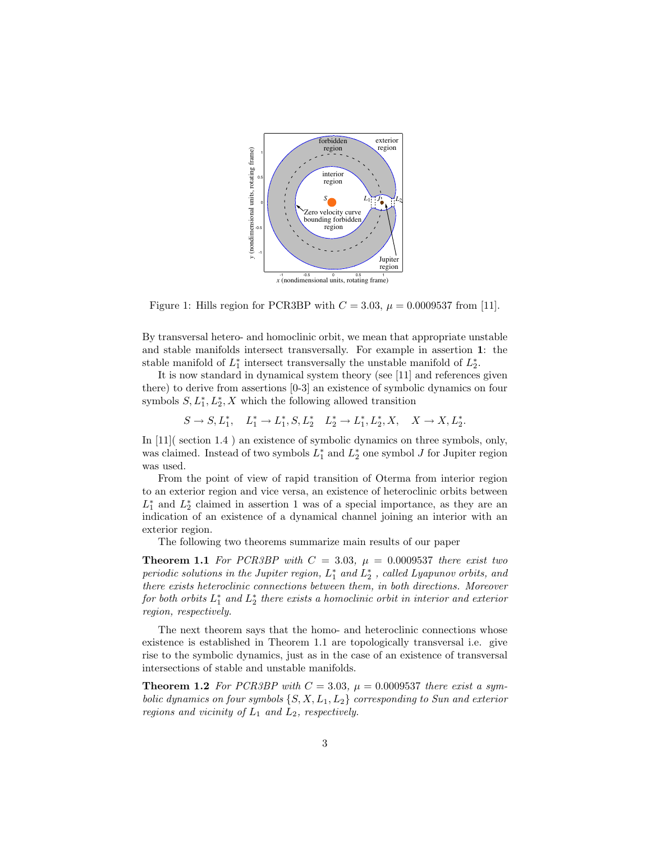

Figure 1: Hills region for PCR3BP with  $C = 3.03$ ,  $\mu = 0.0009537$  from [11].

By transversal hetero- and homoclinic orbit, we mean that appropriate unstable and stable manifolds intersect transversally. For example in assertion 1: the stable manifold of  $L_1^*$  intersect transversally the unstable manifold of  $L_2^*$ .

It is now standard in dynamical system theory (see [11] and references given there) to derive from assertions [0-3] an existence of symbolic dynamics on four symbols  $S, L_1^*, L_2^*, X$  which the following allowed transition

$$
S \to S, L_1^*, \quad L_1^* \to L_1^*, S, L_2^* \quad L_2^* \to L_1^*, L_2^*, X, \quad X \to X, L_2^*.
$$

In [11]( section 1.4) an existence of symbolic dynamics on three symbols, only, was claimed. Instead of two symbols  $L_1^*$  and  $L_2^*$  one symbol J for Jupiter region was used.

From the point of view of rapid transition of Oterma from interior region to an exterior region and vice versa, an existence of heteroclinic orbits between  $L_1^*$  and  $L_2^*$  claimed in assertion 1 was of a special importance, as they are an indication of an existence of a dynamical channel joining an interior with an exterior region.

The following two theorems summarize main results of our paper

**Theorem 1.1** For PCR3BP with  $C = 3.03$ ,  $\mu = 0.0009537$  there exist two periodic solutions in the Jupiter region,  $L_1^*$  and  $L_2^*$ , called Lyapunov orbits, and there exists heteroclinic connections between them, in both directions. Moreover for both orbits  $L_1^*$  and  $L_2^*$  there exists a homoclinic orbit in interior and exterior region, respectively.

The next theorem says that the homo- and heteroclinic connections whose existence is established in Theorem 1.1 are topologically transversal i.e. give rise to the symbolic dynamics, just as in the case of an existence of transversal intersections of stable and unstable manifolds.

**Theorem 1.2** For PCR3BP with  $C = 3.03$ ,  $\mu = 0.0009537$  there exist a symbolic dynamics on four symbols  $\{S, X, L_1, L_2\}$  corresponding to Sun and exterior regions and vicinity of  $L_1$  and  $L_2$ , respectively.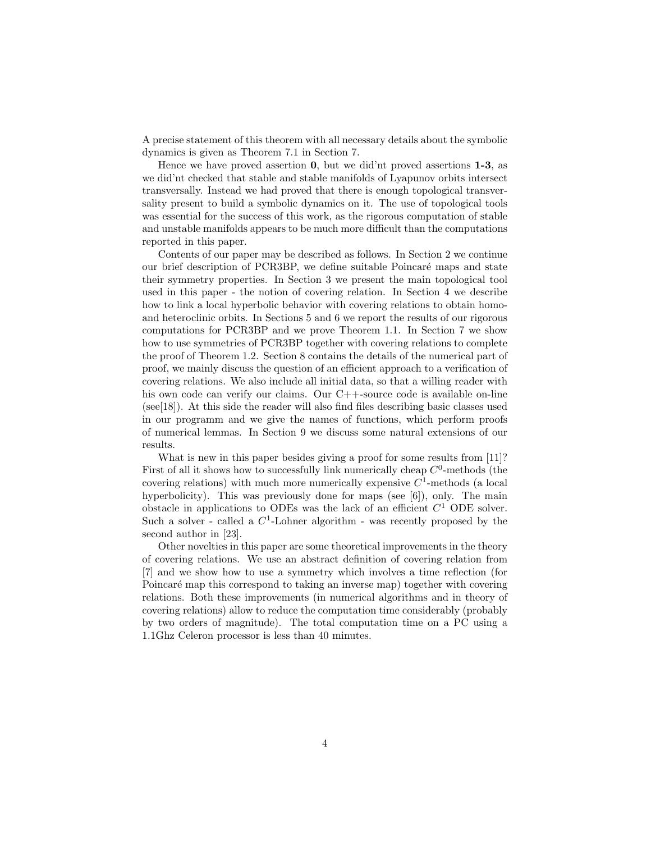A precise statement of this theorem with all necessary details about the symbolic dynamics is given as Theorem 7.1 in Section 7.

Hence we have proved assertion 0, but we did'nt proved assertions 1-3, as we did'nt checked that stable and stable manifolds of Lyapunov orbits intersect transversally. Instead we had proved that there is enough topological transversality present to build a symbolic dynamics on it. The use of topological tools was essential for the success of this work, as the rigorous computation of stable and unstable manifolds appears to be much more difficult than the computations reported in this paper.

Contents of our paper may be described as follows. In Section 2 we continue our brief description of PCR3BP, we define suitable Poincaré maps and state their symmetry properties. In Section 3 we present the main topological tool used in this paper - the notion of covering relation. In Section 4 we describe how to link a local hyperbolic behavior with covering relations to obtain homoand heteroclinic orbits. In Sections 5 and 6 we report the results of our rigorous computations for PCR3BP and we prove Theorem 1.1. In Section 7 we show how to use symmetries of PCR3BP together with covering relations to complete the proof of Theorem 1.2. Section 8 contains the details of the numerical part of proof, we mainly discuss the question of an efficient approach to a verification of covering relations. We also include all initial data, so that a willing reader with his own code can verify our claims. Our C++-source code is available on-line  $(see [18])$ . At this side the reader will also find files describing basic classes used in our programm and we give the names of functions, which perform proofs of numerical lemmas. In Section 9 we discuss some natural extensions of our results.

What is new in this paper besides giving a proof for some results from [11]? First of all it shows how to successfully link numerically cheap  $C<sup>0</sup>$ -methods (the covering relations) with much more numerically expensive  $C<sup>1</sup>$ -methods (a local hyperbolicity). This was previously done for maps (see [6]), only. The main obstacle in applications to ODEs was the lack of an efficient  $C^1$  ODE solver. Such a solver - called a  $C^1$ -Lohner algorithm - was recently proposed by the second author in [23].

Other novelties in this paper are some theoretical improvements in the theory of covering relations. We use an abstract definition of covering relation from [7] and we show how to use a symmetry which involves a time reflection (for Poincaré map this correspond to taking an inverse map) together with covering relations. Both these improvements (in numerical algorithms and in theory of covering relations) allow to reduce the computation time considerably (probably by two orders of magnitude). The total computation time on a PC using a 1.1Ghz Celeron processor is less than 40 minutes.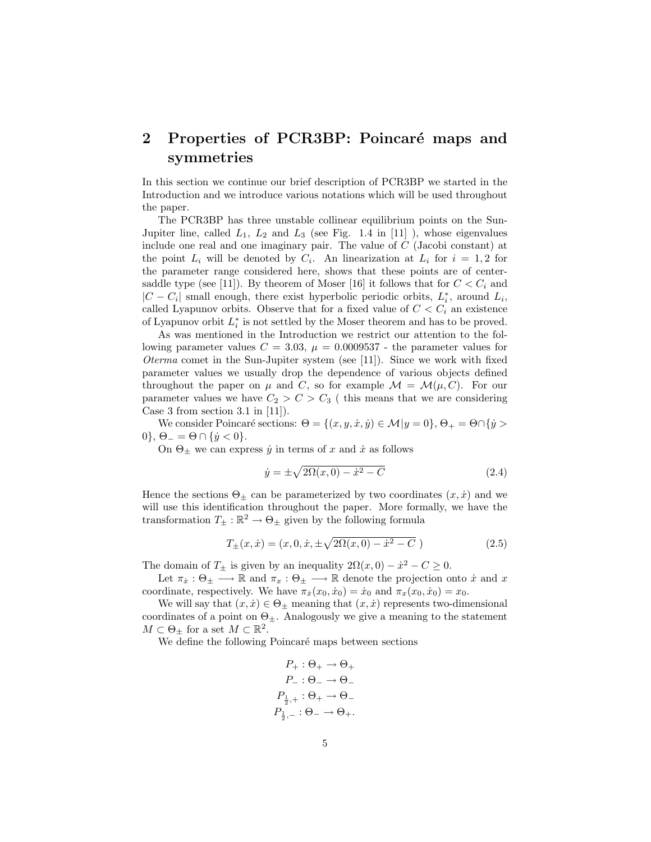# 2 Properties of PCR3BP: Poincaré maps and symmetries

In this section we continue our brief description of PCR3BP we started in the Introduction and we introduce various notations which will be used throughout the paper.

The PCR3BP has three unstable collinear equilibrium points on the Sun-Jupiter line, called  $L_1$ ,  $L_2$  and  $L_3$  (see Fig. 1.4 in [11]), whose eigenvalues include one real and one imaginary pair. The value of C (Jacobi constant) at the point  $L_i$  will be denoted by  $C_i$ . An linearization at  $L_i$  for  $i = 1, 2$  for the parameter range considered here, shows that these points are of centersaddle type (see [11]). By theorem of Moser [16] it follows that for  $C < C<sub>i</sub>$  and  $|C - C_i|$  small enough, there exist hyperbolic periodic orbits,  $L_i^*$ , around  $L_i$ , called Lyapunov orbits. Observe that for a fixed value of  $C < C<sub>i</sub>$  an existence of Lyapunov orbit  $L_i^*$  is not settled by the Moser theorem and has to be proved.

As was mentioned in the Introduction we restrict our attention to the following parameter values  $C = 3.03$ ,  $\mu = 0.0009537$  - the parameter values for Oterma comet in the Sun-Jupiter system (see [11]). Since we work with fixed parameter values we usually drop the dependence of various objects defined throughout the paper on  $\mu$  and C, so for example  $\mathcal{M} = \mathcal{M}(\mu, C)$ . For our parameter values we have  $C_2 > C > C_3$  (this means that we are considering Case 3 from section 3.1 in  $[11]$ ).

We consider Poincaré sections:  $\Theta = \{(x, y, \dot{x}, \dot{y}) \in \mathcal{M} | y = 0 \}, \Theta_+ = \Theta \cap \{\dot{y} > 0\}$ 0},  $\Theta_{-} = \Theta \cap {\hat{y} < 0}.$ 

On  $\Theta_{\pm}$  we can express  $\dot{y}$  in terms of x and  $\dot{x}$  as follows

$$
\dot{y} = \pm \sqrt{2\Omega(x, 0) - \dot{x}^2 - C}
$$
\n(2.4)

Hence the sections  $\Theta_{\pm}$  can be parameterized by two coordinates  $(x, \dot{x})$  and we will use this identification throughout the paper. More formally, we have the transformation  $T_{\pm} : \mathbb{R}^2 \to \Theta_{\pm}$  given by the following formula

$$
T_{\pm}(x,\dot{x}) = (x,0,\dot{x},\pm\sqrt{2\Omega(x,0) - \dot{x}^2 - C})
$$
\n(2.5)

The domain of  $T_{\pm}$  is given by an inequality  $2\Omega(x,0) - \dot{x}^2 - C \geq 0$ .

Let  $\pi_x : \Theta_{\pm} \longrightarrow \mathbb{R}$  and  $\pi_x : \Theta_{\pm} \longrightarrow \mathbb{R}$  denote the projection onto  $\dot{x}$  and  $x$ coordinate, respectively. We have  $\pi_x(x_0, \dot{x}_0) = \dot{x}_0$  and  $\pi_x(x_0, \dot{x}_0) = x_0$ .

We will say that  $(x, \dot{x}) \in \Theta_{\pm}$  meaning that  $(x, \dot{x})$  represents two-dimensional coordinates of a point on  $\Theta_{\pm}$ . Analogously we give a meaning to the statement  $M \subset \Theta_{\pm}$  for a set  $M \subset \mathbb{R}^2$ .

We define the following Poincaré maps between sections

$$
P_{+} : \Theta_{+} \rightarrow \Theta_{+}
$$

$$
P_{-} : \Theta_{-} \rightarrow \Theta_{-}
$$

$$
P_{\frac{1}{2},+} : \Theta_{+} \rightarrow \Theta_{-}
$$

$$
P_{\frac{1}{2},-} : \Theta_{-} \rightarrow \Theta_{+}.
$$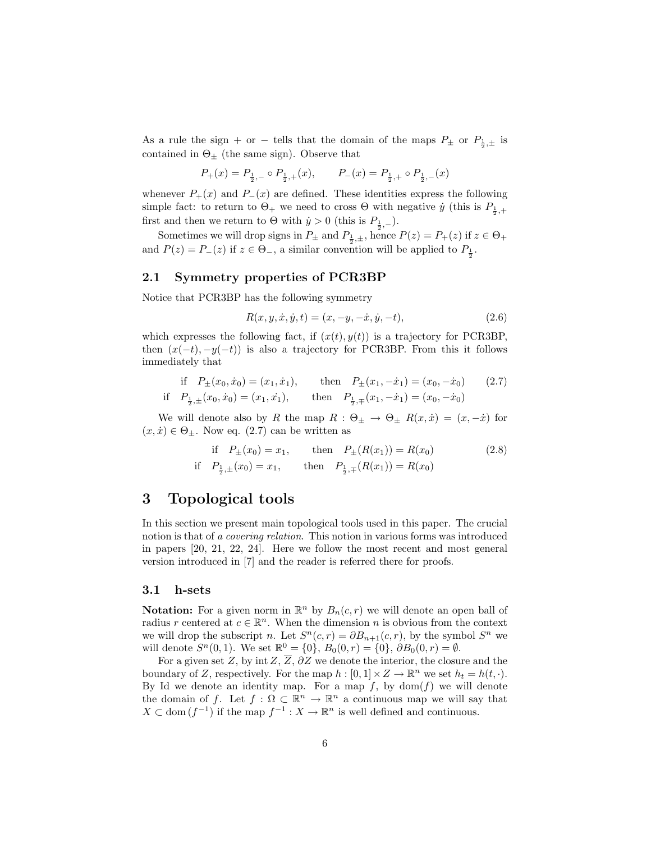As a rule the sign + or - tells that the domain of the maps  $P_{\pm}$  or  $P_{\frac{1}{2},\pm}$  is contained in  $\Theta_{\pm}$  (the same sign). Observe that

$$
P_{+}(x) = P_{\frac{1}{2},-} \circ P_{\frac{1}{2},+}(x), \qquad P_{-}(x) = P_{\frac{1}{2},+} \circ P_{\frac{1}{2},-}(x)
$$

whenever  $P_+(x)$  and  $P_-(x)$  are defined. These identities express the following simple fact: to return to  $\Theta_+$  we need to cross  $\Theta$  with negative  $\dot{y}$  (this is  $P_{\frac{1}{2},+}$ first and then we return to  $\Theta$  with  $\dot{y} > 0$  (this is  $P_{\frac{1}{2},-}$ ).

Sometimes we will drop signs in  $P_{\pm}$  and  $P_{\frac{1}{2},\pm}$ , hence  $P(z) = P_{+}(z)$  if  $z \in \Theta_{+}$ and  $P(z) = P_-(z)$  if  $z \in \Theta_-\$ , a similar convention will be applied to  $P_{\frac{1}{2}}$ .

#### 2.1 Symmetry properties of PCR3BP

Notice that PCR3BP has the following symmetry

$$
R(x, y, \dot{x}, \dot{y}, t) = (x, -y, -\dot{x}, \dot{y}, -t),
$$
\n(2.6)

which expresses the following fact, if  $(x(t), y(t))$  is a trajectory for PCR3BP. then  $(x(-t), -y(-t))$  is also a trajectory for PCR3BP. From this it follows immediately that

if 
$$
P_{\pm}(x_0, \dot{x}_0) = (x_1, \dot{x}_1)
$$
, then  $P_{\pm}(x_1, -\dot{x}_1) = (x_0, -\dot{x}_0)$  (2.7)  
if  $P_{\frac{1}{2}, \pm}(x_0, \dot{x}_0) = (x_1, \dot{x}_1)$ , then  $P_{\frac{1}{2}, \mp}(x_1, -\dot{x}_1) = (x_0, -\dot{x}_0)$ 

We will denote also by R the map  $R : \Theta_{\pm} \to \Theta_{\pm} R(x, \dot{x}) = (x, -\dot{x})$  for  $(x, \dot{x}) \in \Theta_{\pm}$ . Now eq. (2.7) can be written as

if 
$$
P_{\pm}(x_0) = x_1
$$
, then  $P_{\pm}(R(x_1)) = R(x_0)$  (2.8)  
if  $P_{\frac{1}{2},\pm}(x_0) = x_1$ , then  $P_{\frac{1}{2},\mp}(R(x_1)) = R(x_0)$ 

## 3 Topological tools

In this section we present main topological tools used in this paper. The crucial notion is that of a covering relation. This notion in various forms was introduced in papers [20, 21, 22, 24]. Here we follow the most recent and most general version introduced in [7] and the reader is referred there for proofs.

#### 3.1 h-sets

**Notation:** For a given norm in  $\mathbb{R}^n$  by  $B_n(c,r)$  we will denote an open ball of radius r centered at  $c \in \mathbb{R}^n$ . When the dimension n is obvious from the context we will drop the subscript *n*. Let  $S<sup>n</sup>(c,r) = \partial B_{n+1}(c,r)$ , by the symbol  $S<sup>n</sup>$  we will denote  $S^{n}(0,1)$ . We set  $\mathbb{R}^{0} = \{0\}, B_{0}(0,r) = \{0\}, \partial B_{0}(0,r) = \emptyset$ .

For a given set Z, by int Z,  $\overline{Z}$ ,  $\partial Z$  we denote the interior, the closure and the boundary of Z, respectively. For the map  $h : [0,1] \times Z \to \mathbb{R}^n$  we set  $h_t = h(t, \cdot)$ . By Id we denote an identity map. For a map  $f$ , by dom( $f$ ) we will denote the domain of f. Let  $f: \Omega \subset \mathbb{R}^n \to \mathbb{R}^n$  a continuous map we will say that  $X \subset \text{dom}(f^{-1})$  if the map  $f^{-1}: X \to \mathbb{R}^n$  is well defined and continuous.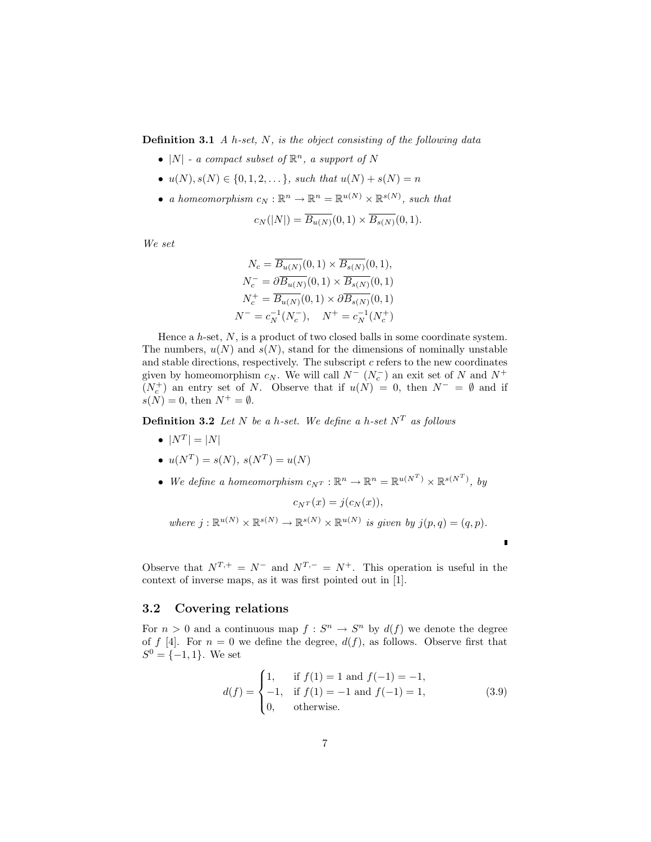**Definition 3.1** A h-set, N, is the object consisting of the following data

- |N| a compact subset of  $\mathbb{R}^n$ , a support of N
- $u(N), s(N) \in \{0, 1, 2, \dots\}$ , such that  $u(N) + s(N) = n$
- a homeomorphism  $c_N : \mathbb{R}^n \to \mathbb{R}^n = \mathbb{R}^{u(N)} \times \mathbb{R}^{s(N)}$ , such that

$$
c_N(|N|) = \overline{B_{u(N)}}(0,1) \times \overline{B_{s(N)}}(0,1).
$$

We set

$$
N_c = \overline{B_{u(N)}}(0,1) \times \overline{B_{s(N)}}(0,1),
$$
  
\n
$$
N_c^- = \partial \overline{B_{u(N)}}(0,1) \times \overline{B_{s(N)}}(0,1)
$$
  
\n
$$
N_c^+ = \overline{B_{u(N)}}(0,1) \times \partial \overline{B_{s(N)}}(0,1)
$$
  
\n
$$
N^- = c_N^{-1}(N_c^-), \quad N^+ = c_N^{-1}(N_c^+)
$$

Hence a  $h$ -set,  $N$ , is a product of two closed balls in some coordinate system. The numbers,  $u(N)$  and  $s(N)$ , stand for the dimensions of nominally unstable and stable directions, respectively. The subscript  $c$  refers to the new coordinates given by homeomorphism  $c_N$ . We will call  $N^ (N_c^-)$  an exit set of N and  $N^+$  $(N_c^+)$  an entry set of N. Observe that if  $u(N) = 0$ , then  $N^- = \emptyset$  and if  $s(N) = 0$ , then  $N^+ = \emptyset$ .

**Definition 3.2** Let N be a h-set. We define a h-set  $N<sup>T</sup>$  as follows

- $\bullet$   $|N^T| = |N|$
- $u(N^T) = s(N), s(N^T) = u(N)$
- We define a homeomorphism  $c_{N}r : \mathbb{R}^n \to \mathbb{R}^n = \mathbb{R}^{u(N^T)} \times \mathbb{R}^{s(N^T)}$ , by

$$
c_{N^{T}}(x) = j(c_{N}(x)),
$$
  
where  $j: \mathbb{R}^{u(N)} \times \mathbb{R}^{s(N)} \to \mathbb{R}^{s(N)} \times \mathbb{R}^{u(N)}$  is given by  $j(p,q) = (q,p).$ 

 $\epsilon$   $\epsilon$   $\epsilon$   $\infty$ 

r

Observe that  $N^{T,+} = N^-$  and  $N^{T,-} = N^+$ . This operation is useful in the context of inverse maps, as it was first pointed out in [1].

#### 3.2 Covering relations

For  $n > 0$  and a continuous map  $f : S^n \to S^n$  by  $d(f)$  we denote the degree of f [4]. For  $n = 0$  we define the degree,  $d(f)$ , as follows. Observe first that  $S^0 = \{-1, 1\}.$  We set

$$
d(f) = \begin{cases} 1, & \text{if } f(1) = 1 \text{ and } f(-1) = -1, \\ -1, & \text{if } f(1) = -1 \text{ and } f(-1) = 1, \\ 0, & \text{otherwise.} \end{cases}
$$
(3.9)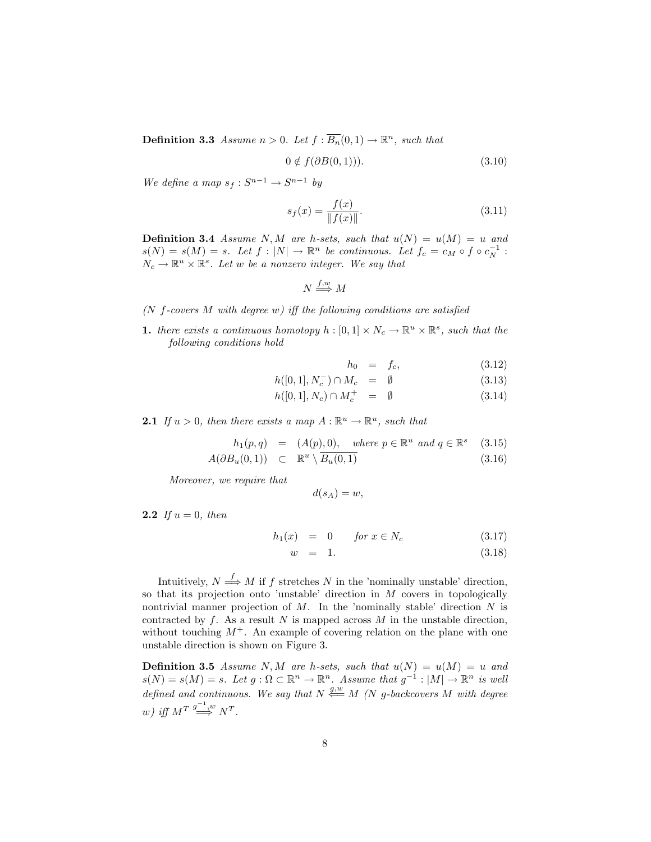**Definition 3.3** Assume  $n > 0$ . Let  $f : \overline{B_n}(0,1) \to \mathbb{R}^n$ , such that

$$
0 \notin f(\partial B(0,1))). \tag{3.10}
$$

We define a map  $s_f : S^{n-1} \to S^{n-1}$  by

$$
s_f(x) = \frac{f(x)}{\|f(x)\|}.
$$
\n(3.11)

**Definition 3.4** Assume N, M are h-sets, such that  $u(N) = u(M) = u$  and  $s(N) = s(M) = s$ . Let  $f : |N| \to \mathbb{R}^n$  be continuous. Let  $f_c = c_M \circ f \circ c_N^{-1}$ :  $N_c \to \mathbb{R}^u \times \mathbb{R}^s$ . Let w be a nonzero integer. We say that

 $N \stackrel{f,w}{\Longrightarrow} M$ 

- ( $N$  f-covers  $M$  with degree  $w$ ) iff the following conditions are satisfied
- **1.** there exists a continuous homotopy  $h : [0,1] \times N_c \to \mathbb{R}^u \times \mathbb{R}^s$ , such that the following conditions hold

$$
h_0 = f_c, \tag{3.12}
$$

$$
h([0,1], N_c^-) \cap M_c = \emptyset \tag{3.13}
$$

$$
h([0,1], N_c) \cap M_c^+ = \emptyset \tag{3.14}
$$

**2.1** If  $u > 0$ , then there exists a map  $A : \mathbb{R}^u \to \mathbb{R}^u$ , such that

$$
h_1(p,q) = (A(p), 0), \quad \text{where } p \in \mathbb{R}^u \text{ and } q \in \mathbb{R}^s \quad (3.15)
$$

$$
A(\partial B_u(0,1)) \quad \subset \quad \mathbb{R}^u \setminus \overline{B_u(0,1)} \tag{3.16}
$$

Moreover, we require that

$$
d(s_A) = w,
$$

**2.2** If  $u = 0$ , then

$$
h_1(x) = 0 \quad \text{for } x \in N_c \tag{3.17}
$$

$$
w = 1. \tag{3.18}
$$

Intuitively,  $N \stackrel{f}{\Longrightarrow} M$  if f stretches N in the 'nominally unstable' direction, so that its projection onto 'unstable' direction in  $M$  covers in topologically nontrivial manner projection of  $M$ . In the 'nominally stable' direction  $N$  is contracted by f. As a result N is mapped across  $M$  in the unstable direction, without touching  $M^+$ . An example of covering relation on the plane with one unstable direction is shown on Figure 3.

**Definition 3.5** Assume N, M are h-sets, such that  $u(N) = u(M) = u$  and  $s(N) = s(M) = s$ . Let  $g: \Omega \subset \mathbb{R}^n \to \mathbb{R}^n$ . Assume that  $g^{-1}: |M| \to \mathbb{R}^n$  is well defined and continuous. We say that  $N \stackrel{g,w}{\longleftarrow} M$  (N g-backcovers M with degree w) iff  $M^T \stackrel{g^{-1}w}{\Longrightarrow} N^T$ .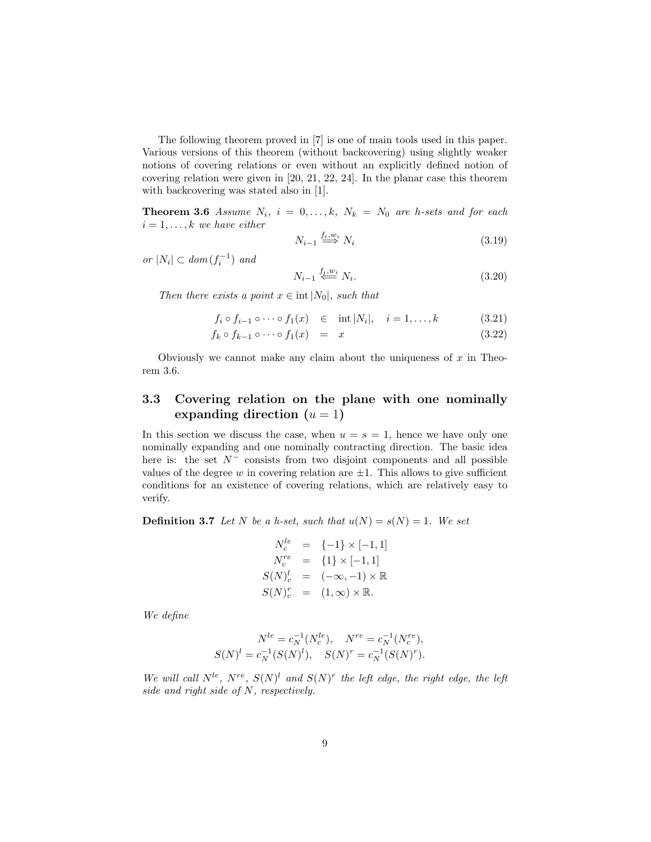The following theorem proved in [7] is one of main tools used in this paper. Various versions of this theorem (without backcovering) using slightly weaker notions of covering relations or even without an explicitly defined notion of covering relation were given in [20, 21, 22, 24]. In the planar case this theorem with backcovering was stated also in [1].

**Theorem 3.6** Assume  $N_i$ ,  $i = 0, ..., k$ ,  $N_k = N_0$  are h-sets and for each  $i = 1, \ldots, k$  we have either

$$
N_{i-1} \stackrel{f_i, w_i}{\Longrightarrow} N_i \tag{3.19}
$$

or  $|N_i| \subset dom(f_i^{-1})$  and

$$
N_{i-1} \stackrel{f_i, w_i}{\leftarrow} N_i. \tag{3.20}
$$

Then there exists a point  $x \in \text{int } |N_0|$ , such that

$$
f_i \circ f_{i-1} \circ \cdots \circ f_1(x) \quad \in \quad \text{int } |N_i|, \quad i = 1, \dots, k \tag{3.21}
$$

$$
f_k \circ f_{k-1} \circ \cdots \circ f_1(x) = x \tag{3.22}
$$

Obviously we cannot make any claim about the uniqueness of  $x$  in Theorem 3.6.

## 3.3 Covering relation on the plane with one nominally expanding direction  $(u = 1)$

In this section we discuss the case, when  $u = s = 1$ , hence we have only one nominally expanding and one nominally contracting direction. The basic idea here is: the set  $N^-$  consists from two disjoint components and all possible values of the degree w in covering relation are  $\pm 1$ . This allows to give sufficient conditions for an existence of covering relations, which are relatively easy to verify.

**Definition 3.7** Let N be a h-set, such that  $u(N) = s(N) = 1$ . We set

$$
N_c^{le} = \{-1\} \times [-1, 1]
$$
  
\n
$$
N_c^{re} = \{1\} \times [-1, 1]
$$
  
\n
$$
S(N)_c^{l} = (-\infty, -1) \times \mathbb{R}
$$
  
\n
$$
S(N)_c^{r} = (1, \infty) \times \mathbb{R}.
$$

We define

$$
N^{le} = c_N^{-1}(N_c^{le}), \quad N^{re} = c_N^{-1}(N_c^{re}),
$$
  

$$
S(N)^l = c_N^{-1}(S(N)^l), \quad S(N)^r = c_N^{-1}(S(N)^r).
$$

We will call  $N^{le}$ ,  $N^{re}$ ,  $S(N)^{l}$  and  $S(N)^{r}$  the left edge, the right edge, the left side and right side of N, respectively.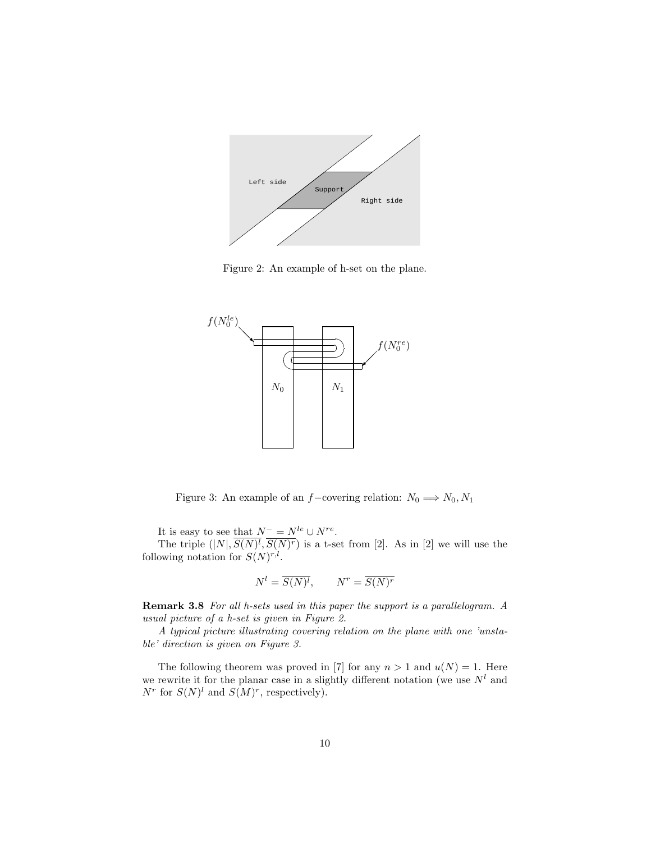

Figure 2: An example of h-set on the plane.



Figure 3: An example of an  $f$ −covering relation:  $N_0 \Longrightarrow N_0, N_1$ 

It is easy to see that  $N^- = N^{le} \cup N^{re}$ .

The triple  $(|N|, S(N)^l, S(N)^r)$  is a t-set from [2]. As in [2] we will use the following notation for  $S(N)^{r,l}$ .

$$
N^l = \overline{S(N)^l}, \qquad N^r = \overline{S(N)^r}
$$

Remark 3.8 For all h-sets used in this paper the support is a parallelogram. A usual picture of a h-set is given in Figure 2.

A typical picture illustrating covering relation on the plane with one 'unstable' direction is given on Figure 3.

The following theorem was proved in [7] for any  $n > 1$  and  $u(N) = 1$ . Here we rewrite it for the planar case in a slightly different notation (we use  $N^l$  and  $N^r$  for  $S(N)^l$  and  $S(M)^r$ , respectively).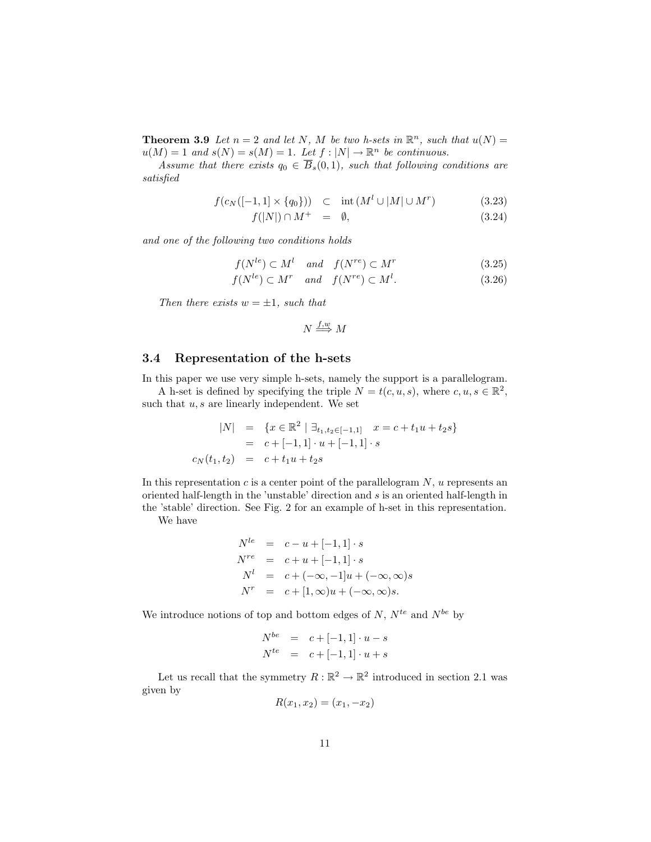**Theorem 3.9** Let  $n = 2$  and let N, M be two h-sets in  $\mathbb{R}^n$ , such that  $u(N) =$  $u(M) = 1$  and  $s(N) = s(M) = 1$ . Let  $f: |N| \to \mathbb{R}^n$  be continuous.

Assume that there exists  $q_0 \in \overline{B}_s(0,1)$ , such that following conditions are satisfied

$$
f(c_N([-1,1] \times \{q_0\})) \quad \subset \quad \text{int}\,(M^l \cup |M| \cup M^r) \tag{3.23}
$$

$$
f(|N|) \cap M^+ = \emptyset, \tag{3.24}
$$

and one of the following two conditions holds

$$
f(N^{le}) \subset M^l \quad and \quad f(N^{re}) \subset M^r \tag{3.25}
$$

$$
f(N^{le}) \subset M^r \quad and \quad f(N^{re}) \subset M^l. \tag{3.26}
$$

Then there exists  $w = \pm 1$ , such that

$$
N \stackrel{f,w}{\Longrightarrow} M
$$

#### 3.4 Representation of the h-sets

In this paper we use very simple h-sets, namely the support is a parallelogram.

A h-set is defined by specifying the triple  $N = t(c, u, s)$ , where  $c, u, s \in \mathbb{R}^2$ , such that  $u, s$  are linearly independent. We set

$$
|N| = \{x \in \mathbb{R}^2 \mid \exists_{t_1, t_2 \in [-1, 1]} x = c + t_1 u + t_2 s\}
$$
  
=  $c + [-1, 1] \cdot u + [-1, 1] \cdot s$   
 $c_N(t_1, t_2) = c + t_1 u + t_2 s$ 

In this representation  $c$  is a center point of the parallelogram  $N$ , u represents an oriented half-length in the 'unstable' direction and s is an oriented half-length in the 'stable' direction. See Fig. 2 for an example of h-set in this representation.

We have

$$
N^{le} = c - u + [-1, 1] \cdot s
$$
  
\n
$$
N^{re} = c + u + [-1, 1] \cdot s
$$
  
\n
$$
N^{l} = c + (-\infty, -1]u + (-\infty, \infty)s
$$
  
\n
$$
N^{r} = c + [1, \infty)u + (-\infty, \infty)s.
$$

We introduce notions of top and bottom edges of  $N$ ,  $N^{te}$  and  $N^{be}$  by

$$
N^{be} = c + [-1, 1] \cdot u - s
$$
  

$$
N^{te} = c + [-1, 1] \cdot u + s
$$

Let us recall that the symmetry  $R : \mathbb{R}^2 \to \mathbb{R}^2$  introduced in section 2.1 was given by

$$
R(x_1, x_2) = (x_1, -x_2)
$$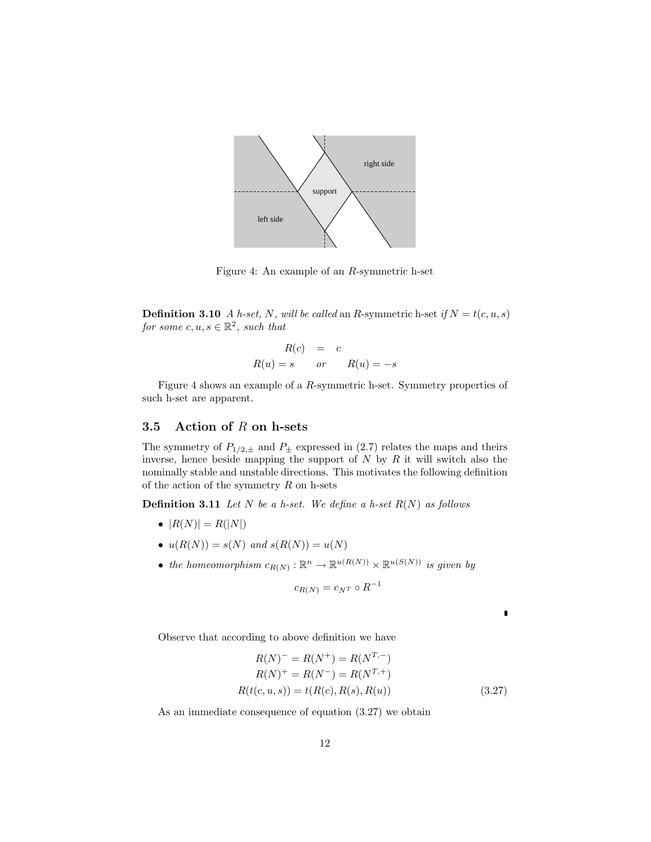

Figure 4: An example of an R-symmetric h-set

**Definition 3.10** A h-set, N, will be called an R-symmetric h-set if  $N = t(c, u, s)$ for some  $c, u, s \in \mathbb{R}^2$ , such that

$$
R(c) = c
$$
  

$$
R(u) = s \qquad or \qquad R(u) = -s
$$

Figure 4 shows an example of a R-symmetric h-set. Symmetry properties of such h-set are apparent.

### 3.5 Action of  $R$  on h-sets

The symmetry of  $P_{1/2,\pm}$  and  $P_{\pm}$  expressed in (2.7) relates the maps and theirs inverse, hence beside mapping the support of  $N$  by  $R$  it will switch also the nominally stable and unstable directions. This motivates the following definition of the action of the symmetry  $R$  on h-sets

**Definition 3.11** Let N be a h-set. We define a h-set  $R(N)$  as follows

- $|R(N)| = R(|N|)$
- $u(R(N)) = s(N)$  and  $s(R(N)) = u(N)$
- the homeomorphism  $c_{R(N)} : \mathbb{R}^n \to \mathbb{R}^{u(R(N))} \times \mathbb{R}^{u(S(N))}$  is given by

$$
c_{R(N)} = c_{N^T} \circ R^{-1}
$$

Observe that according to above definition we have

$$
R(N)^{-} = R(N^{+}) = R(N^{T,-})
$$
  
\n
$$
R(N)^{+} = R(N^{-}) = R(N^{T,+})
$$
  
\n
$$
R(t(c, u, s)) = t(R(c), R(s), R(u))
$$
\n(3.27)

П

As an immediate consequence of equation (3.27) we obtain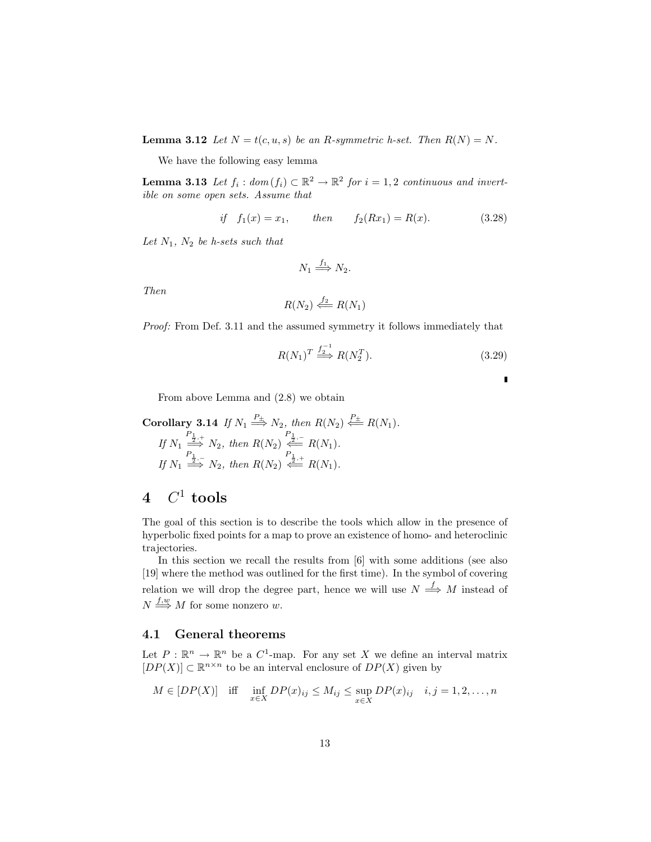**Lemma 3.12** Let  $N = t(c, u, s)$  be an R-symmetric h-set. Then  $R(N) = N$ .

We have the following easy lemma

**Lemma 3.13** Let  $f_i: dom(f_i) \subset \mathbb{R}^2 \to \mathbb{R}^2$  for  $i = 1, 2$  continuous and invertible on some open sets. Assume that

if 
$$
f_1(x) = x_1
$$
, then  $f_2(Rx_1) = R(x)$ . (3.28)

Let  $N_1$ ,  $N_2$  be h-sets such that

$$
N_1 \stackrel{f_1}{\Longrightarrow} N_2.
$$

Then

$$
R(N_2) \stackrel{f_2}{\Longleftarrow} R(N_1)
$$

Proof: From Def. 3.11 and the assumed symmetry it follows immediately that

$$
R(N_1)^T \stackrel{f_2^{-1}}{\Longrightarrow} R(N_2^T). \tag{3.29}
$$

 $\blacksquare$ 

From above Lemma and (2.8) we obtain

Corollary 3.14 If 
$$
N_1 \stackrel{P_{\pm}}{\Longrightarrow} N_2
$$
, then  $R(N_2) \stackrel{P_{\pm}}{\Longleftarrow} R(N_1)$ .  
\nIf  $N_1 \stackrel{\stackrel{P_{1,1}}{\Longrightarrow} N_2}$ , then  $R(N_2) \stackrel{P_{1}}{\Longleftarrow} R(N_1)$ .  
\nIf  $N_1 \stackrel{P_{1,-}}{\Longrightarrow} N_2$ , then  $R(N_2) \stackrel{P_{1,-}}{\Longleftarrow} R(N_1)$ .

# $4\quad C^1 \textrm{ tools}$

The goal of this section is to describe the tools which allow in the presence of hyperbolic fixed points for a map to prove an existence of homo- and heteroclinic trajectories.

In this section we recall the results from [6] with some additions (see also [19] where the method was outlined for the first time). In the symbol of covering relation we will drop the degree part, hence we will use  $N \stackrel{f}{\Longrightarrow} M$  instead of  $N \stackrel{f,w}{\Longrightarrow} M$  for some nonzero w.

#### 4.1 General theorems

Let  $P : \mathbb{R}^n \to \mathbb{R}^n$  be a  $C^1$ -map. For any set X we define an interval matrix  $[DP(X)] \subset \mathbb{R}^{n \times n}$  to be an interval enclosure of  $DP(X)$  given by

$$
M \in [DP(X)] \quad \text{iff} \quad \inf_{x \in X} DP(x)_{ij} \le M_{ij} \le \sup_{x \in X} DP(x)_{ij} \quad i, j = 1, 2, \dots, n
$$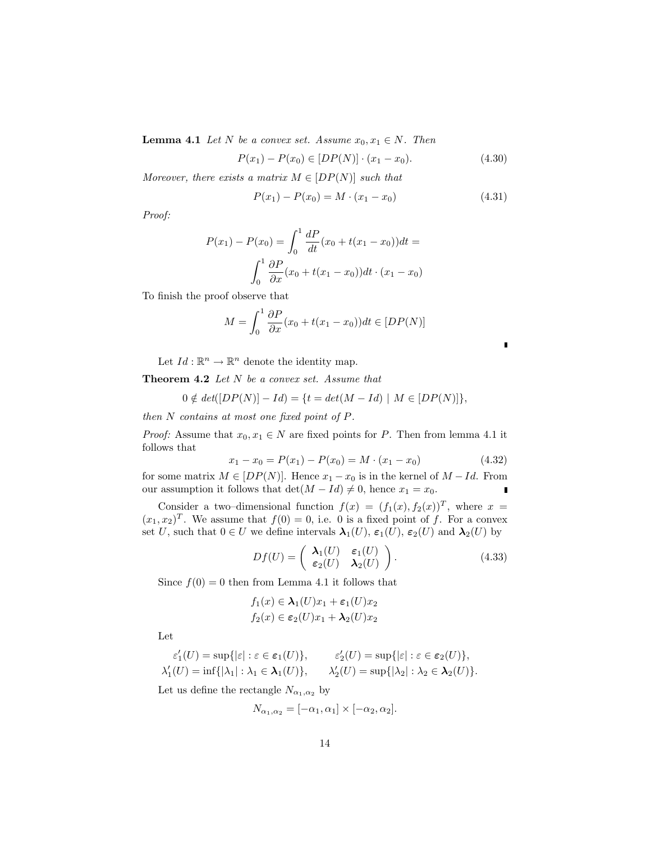**Lemma 4.1** Let N be a convex set. Assume  $x_0, x_1 \in N$ . Then

$$
P(x_1) - P(x_0) \in [DP(N)] \cdot (x_1 - x_0). \tag{4.30}
$$

Moreover, there exists a matrix  $M \in [DP(N)]$  such that

$$
P(x_1) - P(x_0) = M \cdot (x_1 - x_0) \tag{4.31}
$$

Proof:

$$
P(x_1) - P(x_0) = \int_0^1 \frac{dP}{dt}(x_0 + t(x_1 - x_0))dt =
$$
  

$$
\int_0^1 \frac{\partial P}{\partial x}(x_0 + t(x_1 - x_0))dt \cdot (x_1 - x_0)
$$

To finish the proof observe that

$$
M = \int_0^1 \frac{\partial P}{\partial x}(x_0 + t(x_1 - x_0))dt \in [DP(N)]
$$

Let  $Id: \mathbb{R}^n \to \mathbb{R}^n$  denote the identity map.

Theorem 4.2 Let N be a convex set. Assume that

$$
0 \notin \det([DP(N)] - Id) = \{t = \det(M - Id) \mid M \in [DP(N)]\},\
$$

then  $N$  contains at most one fixed point of  $P$ .

*Proof:* Assume that  $x_0, x_1 \in N$  are fixed points for P. Then from lemma 4.1 it follows that

$$
x_1 - x_0 = P(x_1) - P(x_0) = M \cdot (x_1 - x_0)
$$
\n(4.32)

for some matrix  $M \in [DP(N)]$ . Hence  $x_1 - x_0$  is in the kernel of  $M - Id$ . From our assumption it follows that  $\det(M - Id) \neq 0$ , hence  $x_1 = x_0$ . Ė

Consider a two–dimensional function  $f(x) = (f_1(x), f_2(x))^T$ , where  $x =$  $(x_1, x_2)^T$ . We assume that  $f(0) = 0$ , i.e. 0 is a fixed point of f. For a convex set U, such that  $0 \in U$  we define intervals  $\lambda_1(U)$ ,  $\varepsilon_1(U)$ ,  $\varepsilon_2(U)$  and  $\lambda_2(U)$  by

$$
Df(U) = \begin{pmatrix} \lambda_1(U) & \varepsilon_1(U) \\ \varepsilon_2(U) & \lambda_2(U) \end{pmatrix}.
$$
 (4.33)

Since  $f(0) = 0$  then from Lemma 4.1 it follows that

$$
f_1(x) \in \lambda_1(U)x_1 + \varepsilon_1(U)x_2
$$
  

$$
f_2(x) \in \varepsilon_2(U)x_1 + \lambda_2(U)x_2
$$

Let

$$
\varepsilon'_1(U) = \sup\{|\varepsilon| : \varepsilon \in \varepsilon_1(U)\}, \qquad \varepsilon'_2(U) = \sup\{|\varepsilon| : \varepsilon \in \varepsilon_2(U)\},\newline \lambda'_1(U) = \inf\{|\lambda_1| : \lambda_1 \in \mathbf{\lambda}_1(U)\}, \qquad \lambda'_2(U) = \sup\{|\lambda_2| : \lambda_2 \in \mathbf{\lambda}_2(U)\}.
$$

Let us define the rectangle  $N_{\alpha_1,\alpha_2}$  by

$$
N_{\alpha_1,\alpha_2} = [-\alpha_1,\alpha_1] \times [-\alpha_2,\alpha_2].
$$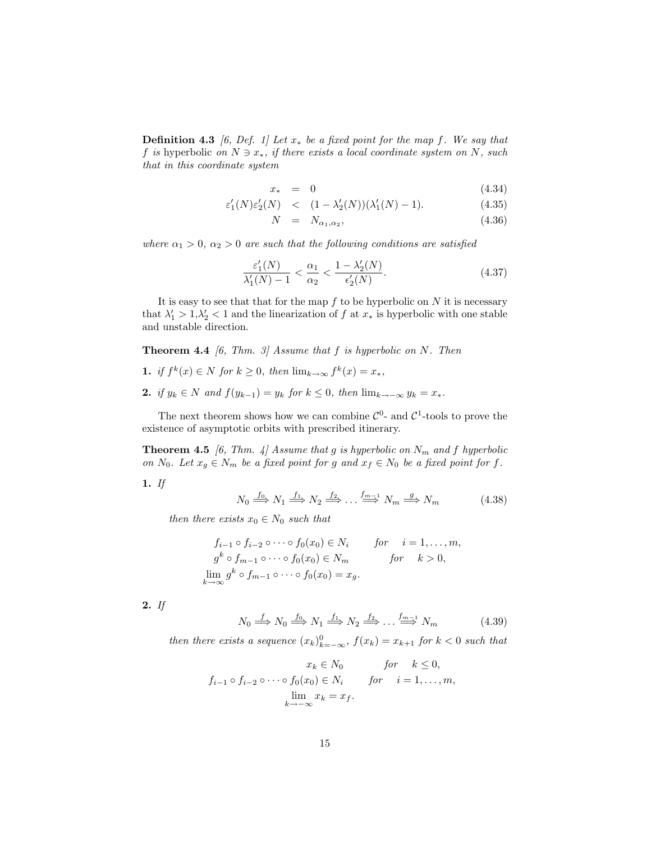**Definition 4.3** [6, Def. 1] Let  $x_*$  be a fixed point for the map f. We say that f is hyperbolic on  $N \ni x_*$ , if there exists a local coordinate system on N, such that in this coordinate system

$$
x_* = 0 \tag{4.34}
$$

$$
\varepsilon_1'(N)\varepsilon_2'(N) \quad < \quad (1 - \lambda_2'(N))(\lambda_1'(N) - 1). \tag{4.35}
$$

$$
N = N_{\alpha_1, \alpha_2}, \tag{4.36}
$$

where  $\alpha_1 > 0$ ,  $\alpha_2 > 0$  are such that the following conditions are satisfied

$$
\frac{\varepsilon_1'(N)}{\lambda_1'(N)-1} < \frac{\alpha_1}{\alpha_2} < \frac{1-\lambda_2'(N)}{\varepsilon_2'(N)}.\tag{4.37}
$$

It is easy to see that that for the map  $f$  to be hyperbolic on  $N$  it is necessary that  $\lambda'_1 > 1, \lambda'_2 < 1$  and the linearization of f at  $x_*$  is hyperbolic with one stable and unstable direction.

**Theorem 4.4** [6, Thm. 3] Assume that  $f$  is hyperbolic on  $N$ . Then

- 1. if  $f^k(x) \in N$  for  $k \geq 0$ , then  $\lim_{k \to \infty} f^k(x) = x_*$ ,
- 2. if  $y_k \in N$  and  $f(y_{k-1}) = y_k$  for  $k \leq 0$ , then  $\lim_{k \to \infty} y_k = x_*$ .

The next theorem shows how we can combine  $\mathcal{C}^0$ - and  $\mathcal{C}^1$ -tools to prove the existence of asymptotic orbits with prescribed itinerary.

**Theorem 4.5** [6, Thm. 4] Assume that g is hyperbolic on  $N_m$  and f hyperbolic on N<sub>0</sub>. Let  $x_q \in N_m$  be a fixed point for g and  $x_f \in N_0$  be a fixed point for f.

1. If

$$
N_0 \stackrel{f_0}{\Longrightarrow} N_1 \stackrel{f_1}{\Longrightarrow} N_2 \stackrel{f_2}{\Longrightarrow} \dots \stackrel{f_{m-1}}{\Longrightarrow} N_m \stackrel{g}{\Longrightarrow} N_m \tag{4.38}
$$

then there exists  $x_0 \in N_0$  such that

$$
f_{i-1} \circ f_{i-2} \circ \cdots \circ f_0(x_0) \in N_i \quad \text{for} \quad i = 1, \dots, m,
$$
  
\n
$$
g^k \circ f_{m-1} \circ \cdots \circ f_0(x_0) \in N_m \quad \text{for} \quad k > 0,
$$
  
\n
$$
\lim_{k \to \infty} g^k \circ f_{m-1} \circ \cdots \circ f_0(x_0) = x_g.
$$

2. If

$$
N_0 \xrightarrow{f} N_0 \xrightarrow{f_0} N_1 \xrightarrow{f_1} N_2 \xrightarrow{f_2} \dots \xrightarrow{f_{m-1}} N_m \tag{4.39}
$$

then there exists a sequence  $(x_k)_{k=-\infty}^0$ ,  $f(x_k) = x_{k+1}$  for  $k < 0$  such that

$$
x_k \in N_0 \quad \text{for} \quad k \le 0,
$$
  

$$
f_{i-1} \circ f_{i-2} \circ \cdots \circ f_0(x_0) \in N_i \quad \text{for} \quad i = 1, \dots, m,
$$
  

$$
\lim_{k \to -\infty} x_k = x_f.
$$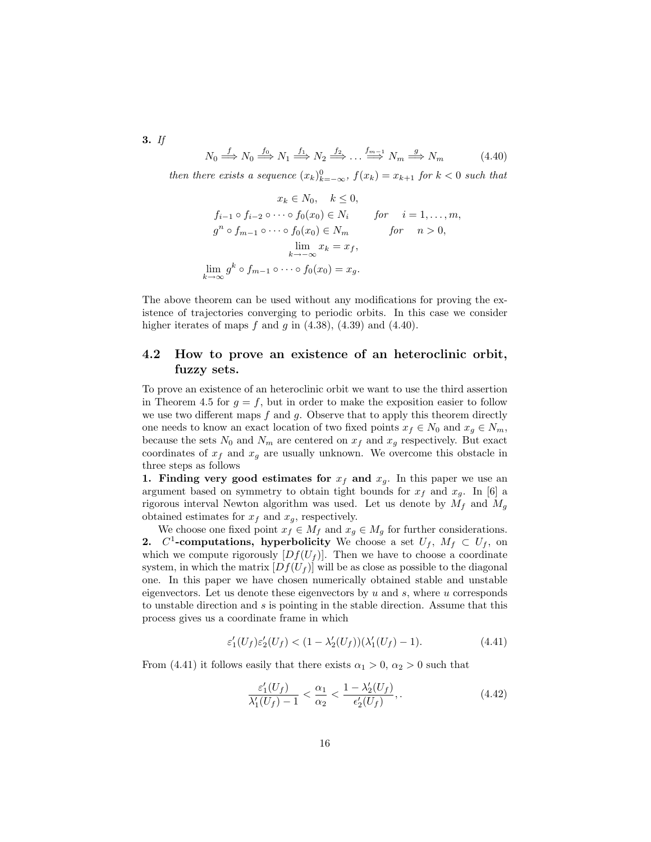3. If

$$
N_0 \stackrel{f}{\Longrightarrow} N_0 \stackrel{f_0}{\Longrightarrow} N_1 \stackrel{f_1}{\Longrightarrow} N_2 \stackrel{f_2}{\Longrightarrow} \dots \stackrel{f_{m-1}}{\Longrightarrow} N_m \stackrel{g}{\Longrightarrow} N_m \tag{4.40}
$$

then there exists a sequence  $(x_k)_{k=-\infty}^0$ ,  $f(x_k) = x_{k+1}$  for  $k < 0$  such that

$$
x_k \in N_0, \quad k \le 0,
$$
  
\n
$$
f_{i-1} \circ f_{i-2} \circ \cdots \circ f_0(x_0) \in N_i \quad \text{for} \quad i = 1, \ldots, m,
$$
  
\n
$$
g^n \circ f_{m-1} \circ \cdots \circ f_0(x_0) \in N_m \quad \text{for} \quad n > 0,
$$
  
\n
$$
\lim_{k \to \infty} x_k = x_f,
$$
  
\n
$$
\lim_{k \to \infty} g^k \circ f_{m-1} \circ \cdots \circ f_0(x_0) = x_g.
$$

The above theorem can be used without any modifications for proving the existence of trajectories converging to periodic orbits. In this case we consider higher iterates of maps f and g in  $(4.38)$ ,  $(4.39)$  and  $(4.40)$ .

### 4.2 How to prove an existence of an heteroclinic orbit, fuzzy sets.

To prove an existence of an heteroclinic orbit we want to use the third assertion in Theorem 4.5 for  $g = f$ , but in order to make the exposition easier to follow we use two different maps  $f$  and  $g$ . Observe that to apply this theorem directly one needs to know an exact location of two fixed points  $x_f \in N_0$  and  $x_g \in N_m$ , because the sets  $N_0$  and  $N_m$  are centered on  $x_f$  and  $x_g$  respectively. But exact coordinates of  $x_f$  and  $x_g$  are usually unknown. We overcome this obstacle in three steps as follows

1. Finding very good estimates for  $x_f$  and  $x_g$ . In this paper we use an argument based on symmetry to obtain tight bounds for  $x_f$  and  $x_g$ . In [6] a rigorous interval Newton algorithm was used. Let us denote by  $M_f$  and  $M_g$ obtained estimates for  $x_f$  and  $x_g$ , respectively.

We choose one fixed point  $x_f \in M_f$  and  $x_g \in M_g$  for further considerations. 2.  $C^1$ -computations, hyperbolicity We choose a set  $U_f$ ,  $M_f \subset U_f$ , on which we compute rigorously  $[Df(U_f)]$ . Then we have to choose a coordinate system, in which the matrix  $[Df(U_f)]$  will be as close as possible to the diagonal one. In this paper we have chosen numerically obtained stable and unstable eigenvectors. Let us denote these eigenvectors by  $u$  and  $s$ , where  $u$  corresponds to unstable direction and s is pointing in the stable direction. Assume that this process gives us a coordinate frame in which

$$
\varepsilon_1'(U_f)\varepsilon_2'(U_f) < (1 - \lambda_2'(U_f))(\lambda_1'(U_f) - 1). \tag{4.41}
$$

From (4.41) it follows easily that there exists  $\alpha_1 > 0$ ,  $\alpha_2 > 0$  such that

$$
\frac{\varepsilon_1'(U_f)}{\lambda_1'(U_f) - 1} < \frac{\alpha_1}{\alpha_2} < \frac{1 - \lambda_2'(U_f)}{\epsilon_2'(U_f)},\tag{4.42}
$$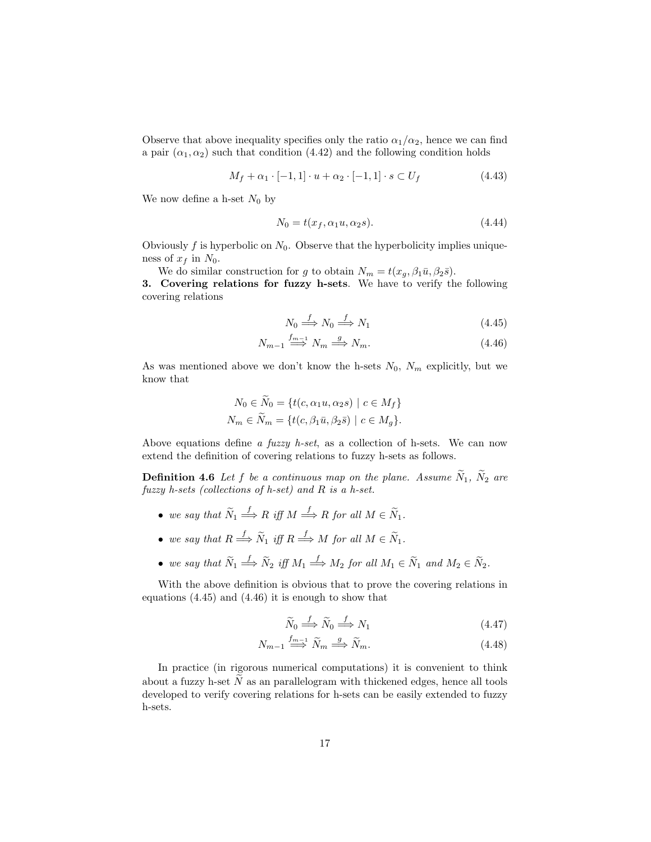Observe that above inequality specifies only the ratio  $\alpha_1/\alpha_2$ , hence we can find a pair  $(\alpha_1, \alpha_2)$  such that condition (4.42) and the following condition holds

$$
M_f + \alpha_1 \cdot [-1, 1] \cdot u + \alpha_2 \cdot [-1, 1] \cdot s \subset U_f \tag{4.43}
$$

We now define a h-set  $N_0$  by

$$
N_0 = t(x_f, \alpha_1 u, \alpha_2 s). \tag{4.44}
$$

Obviously  $f$  is hyperbolic on  $N_0$ . Observe that the hyperbolicity implies uniqueness of  $x_f$  in  $N_0$ .

We do similar construction for g to obtain  $N_m = t(x_q, \beta_1 \bar{u}, \beta_2 \bar{s}).$ 

3. Covering relations for fuzzy h-sets. We have to verify the following covering relations

$$
N_0 \stackrel{f}{\Longrightarrow} N_0 \stackrel{f}{\Longrightarrow} N_1 \tag{4.45}
$$

$$
N_{m-1} \stackrel{f_{m-1}}{\Longrightarrow} N_m \stackrel{g}{\Longrightarrow} N_m. \tag{4.46}
$$

As was mentioned above we don't know the h-sets  $N_0$ ,  $N_m$  explicitly, but we know that

$$
N_0 \in \widetilde{N}_0 = \{t(c, \alpha_1 u, \alpha_2 s) \mid c \in M_f\}
$$
  

$$
N_m \in \widetilde{N}_m = \{t(c, \beta_1 \bar{u}, \beta_2 \bar{s}) \mid c \in M_g\}.
$$

Above equations define a fuzzy h-set, as a collection of h-sets. We can now extend the definition of covering relations to fuzzy h-sets as follows.

**Definition 4.6** Let f be a continuous map on the plane. Assume  $\widetilde{N}_1$ ,  $\widetilde{N}_2$  are fuzzy h-sets (collections of h-set) and R is a h-set.

- we say that  $\widetilde{N}_1 \stackrel{f}{\Longrightarrow} R$  iff  $M \stackrel{f}{\Longrightarrow} R$  for all  $M \in \widetilde{N}_1$ .
- we say that  $R \stackrel{f}{\Longrightarrow} \widetilde{N}_1$  iff  $R \stackrel{f}{\Longrightarrow} M$  for all  $M \in \widetilde{N}_1$ .
- we say that  $\widetilde{N}_1 \stackrel{f}{\Longrightarrow} \widetilde{N}_2$  iff  $M_1 \stackrel{f}{\Longrightarrow} M_2$  for all  $M_1 \in \widetilde{N}_1$  and  $M_2 \in \widetilde{N}_2$ .

With the above definition is obvious that to prove the covering relations in equations (4.45) and (4.46) it is enough to show that

$$
\widetilde{N}_0 \stackrel{f}{\Longrightarrow} \widetilde{N}_0 \stackrel{f}{\Longrightarrow} N_1 \tag{4.47}
$$

$$
N_{m-1} \stackrel{f_{m-1}}{\Longrightarrow} \widetilde{N}_m \stackrel{g}{\Longrightarrow} \widetilde{N}_m. \tag{4.48}
$$

In practice (in rigorous numerical computations) it is convenient to think about a fuzzy h-set  $\tilde{N}$  as an parallelogram with thickened edges, hence all tools developed to verify covering relations for h-sets can be easily extended to fuzzy h-sets.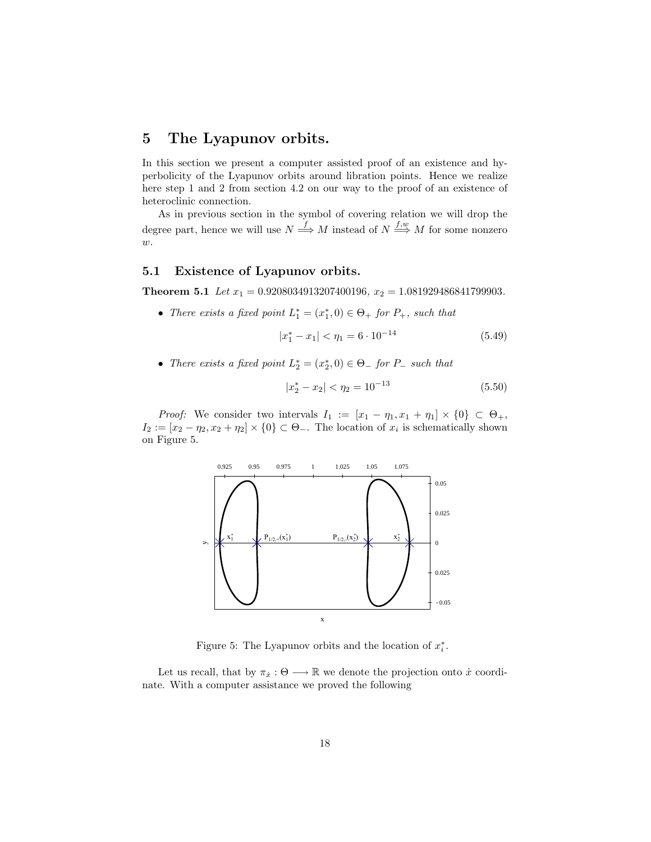# 5 The Lyapunov orbits.

In this section we present a computer assisted proof of an existence and hyperbolicity of the Lyapunov orbits around libration points. Hence we realize here step 1 and 2 from section 4.2 on our way to the proof of an existence of heteroclinic connection.

As in previous section in the symbol of covering relation we will drop the degree part, hence we will use  $N \stackrel{f}{\Longrightarrow} M$  instead of  $N \stackrel{f,w}{\Longrightarrow} M$  for some nonzero  $w$ .

#### 5.1 Existence of Lyapunov orbits.

**Theorem 5.1** Let  $x_1 = 0.9208034913207400196$ ,  $x_2 = 1.081929486841799903$ .

• There exists a fixed point  $L_1^* = (x_1^*, 0) \in \Theta_+$  for  $P_+$ , such that

$$
|x_1^* - x_1| < \eta_1 = 6 \cdot 10^{-14} \tag{5.49}
$$

• There exists a fixed point  $L_2^* = (x_2^*, 0) \in \Theta_-$  for  $P_-$  such that

$$
|x_2^* - x_2| < \eta_2 = 10^{-13} \tag{5.50}
$$

*Proof:* We consider two intervals  $I_1 := [x_1 - \eta_1, x_1 + \eta_1] \times \{0\} \subset \Theta_+,$  $I_2 := [x_2 - \eta_2, x_2 + \eta_2] \times \{0\} \subset \Theta_-.$  The location of  $x_i$  is schematically shown on Figure 5.



Figure 5: The Lyapunov orbits and the location of  $x_i^*$ .

Let us recall, that by  $\pi_{\dot{x}} : \Theta \longrightarrow \mathbb{R}$  we denote the projection onto  $\dot{x}$  coordinate. With a computer assistance we proved the following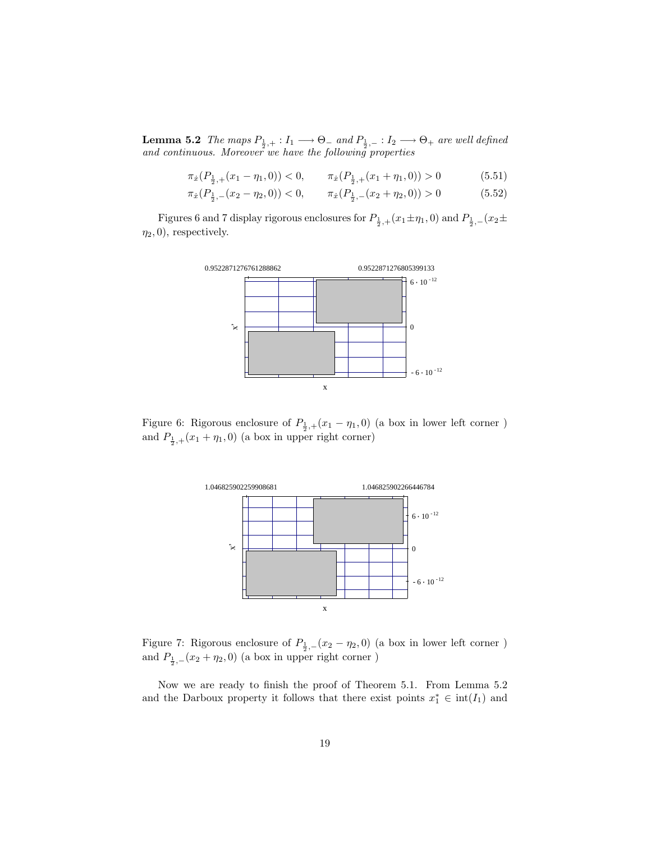**Lemma 5.2** The maps  $P_{\frac{1}{2},+}: I_1 \longrightarrow \Theta_-$  and  $P_{\frac{1}{2},-}: I_2 \longrightarrow \Theta_+$  are well defined and continuous. Moreover we have the following properties

 $\pi_{\dot{x}}(P_{\frac{1}{2},+}(x_1-\eta_1,0)) < 0, \qquad \pi_{\dot{x}}(P_{\frac{1}{2},+}(x_1+\eta_1,0)) > 0$  (5.51)

 $\pi_{\dot{x}}(P_{\frac{1}{2},-}(x_2-\eta_2,0)) < 0, \qquad \pi_{\dot{x}}(P_{\frac{1}{2},-}(x_2+\eta_2,0)) > 0$  (5.52)

Figures 6 and 7 display rigorous enclosures for  $P_{\frac{1}{2},+}(x_1 \pm \eta_1,0)$  and  $P_{\frac{1}{2},-}(x_2 \pm$  $\eta_2, 0),$  respectively.



Figure 6: Rigorous enclosure of  $P_{\frac{1}{2},+}(x_1-\eta_1,0)$  (a box in lower left corner ) and  $P_{\frac{1}{2},+}(x_1+\eta_1,0)$  (a box in upper right corner)



Figure 7: Rigorous enclosure of  $P_{\frac{1}{2},-}(x_2-\eta_2,0)$  (a box in lower left corner) and  $P_{\frac{1}{2},-}(x_2+\eta_2,0)$  (a box in upper right corner )

Now we are ready to finish the proof of Theorem 5.1. From Lemma 5.2 and the Darboux property it follows that there exist points  $x_1^* \in \text{int}(I_1)$  and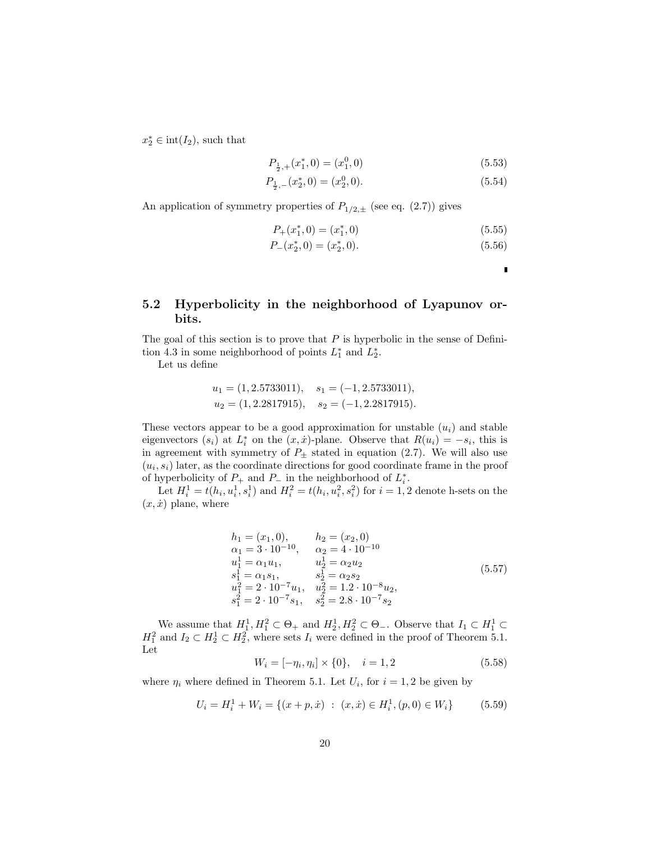$x_2^* \in \text{int}(I_2)$ , such that

$$
P_{\frac{1}{2},+}(x_1^*,0) = (x_1^0,0) \tag{5.53}
$$

$$
P_{\frac{1}{2},-}(x_2^*,0)=(x_2^0,0). \hspace{2.5cm} (5.54)
$$

An application of symmetry properties of  $P_{1/2,\pm}$  (see eq. (2.7)) gives

$$
P_{+}(x_{1}^{*},0) = (x_{1}^{*},0) \tag{5.55}
$$

$$
P_{-}(x_2^*,0) = (x_2^*,0). \tag{5.56}
$$

П

## 5.2 Hyperbolicity in the neighborhood of Lyapunov orbits.

The goal of this section is to prove that  $P$  is hyperbolic in the sense of Definition 4.3 in some neighborhood of points  $L_1^*$  and  $L_2^*$ .

Let us define

$$
u_1 = (1, 2.5733011),
$$
  $s_1 = (-1, 2.5733011),$   
\n $u_2 = (1, 2.2817915),$   $s_2 = (-1, 2.2817915).$ 

These vectors appear to be a good approximation for unstable  $(u_i)$  and stable eigenvectors  $(s_i)$  at  $L_i^*$  on the  $(x, \dot{x})$ -plane. Observe that  $R(u_i) = -s_i$ , this is in agreement with symmetry of  $P_{\pm}$  stated in equation (2.7). We will also use  $(u_i, s_i)$  later, as the coordinate directions for good coordinate frame in the proof of hyperbolicity of  $P_+$  and  $P_-$  in the neighborhood of  $L_i^*$ .

Let  $H_i^1 = t(h_i, u_i^1, s_i^1)$  and  $H_i^2 = t(h_i, u_i^2, s_i^2)$  for  $i = 1, 2$  denote h-sets on the  $(x, \dot{x})$  plane, where

$$
h_1 = (x_1, 0), \t h_2 = (x_2, 0)
$$
  
\n
$$
\alpha_1 = 3 \cdot 10^{-10}, \t \alpha_2 = 4 \cdot 10^{-10}
$$
  
\n
$$
u_1^1 = \alpha_1 u_1, \t u_2^1 = \alpha_2 u_2
$$
  
\n
$$
s_1^1 = \alpha_1 s_1, \t s_2^1 = \alpha_2 s_2
$$
  
\n
$$
u_1^2 = 2 \cdot 10^{-7} u_1, \t u_2^2 = 1.2 \cdot 10^{-8} u_2,
$$
  
\n
$$
s_1^2 = 2 \cdot 10^{-7} s_1, \t s_2^2 = 2.8 \cdot 10^{-7} s_2
$$
\n(5.57)

We assume that  $H_1^1, H_1^2 \subset \Theta_+$  and  $H_2^1, H_2^2 \subset \Theta_-$ . Observe that  $I_1 \subset H_1^1 \subset$  $H_1^2$  and  $I_2 \subset H_2^1 \subset H_2^2$ , where sets  $I_i$  were defined in the proof of Theorem 5.1. Let

$$
W_i = [-\eta_i, \eta_i] \times \{0\}, \quad i = 1, 2 \tag{5.58}
$$

where  $\eta_i$  where defined in Theorem 5.1. Let  $U_i$ , for  $i = 1, 2$  be given by

$$
U_i = H_i^1 + W_i = \{ (x + p, \dot{x}) \; : \; (x, \dot{x}) \in H_i^1, (p, 0) \in W_i \} \tag{5.59}
$$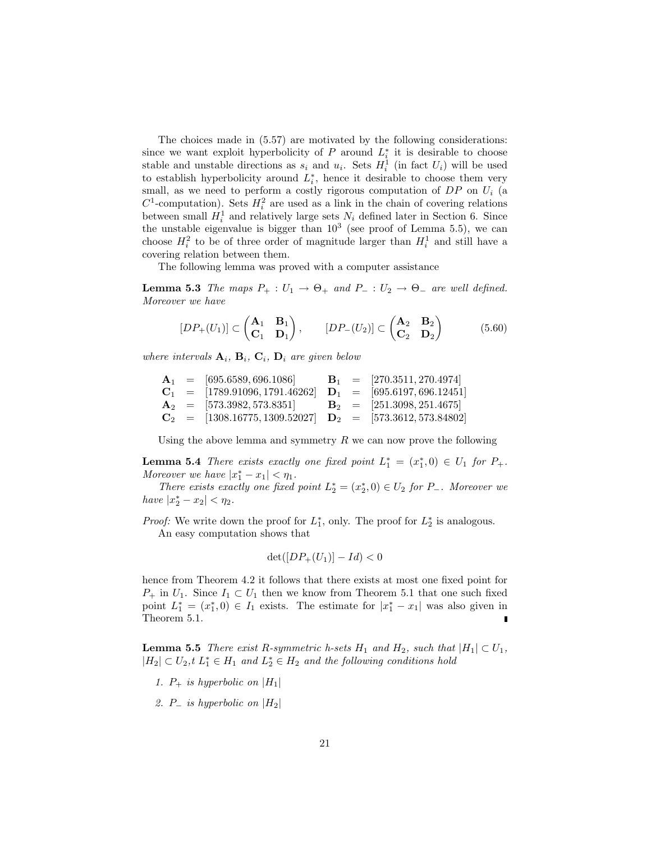The choices made in (5.57) are motivated by the following considerations: since we want exploit hyperbolicity of  $P$  around  $L_i^*$  it is desirable to choose stable and unstable directions as  $s_i$  and  $u_i$ . Sets  $H_i^1$  (in fact  $U_i$ ) will be used to establish hyperbolicity around  $L_i^*$ , hence it desirable to choose them very small, as we need to perform a costly rigorous computation of  $DP$  on  $U_i$  (a  $C^1$ -computation). Sets  $H_i^2$  are used as a link in the chain of covering relations between small  $H_i^1$  and relatively large sets  $N_i$  defined later in Section 6. Since the unstable eigenvalue is bigger than  $10^3$  (see proof of Lemma 5.5), we can choose  $H_i^2$  to be of three order of magnitude larger than  $H_i^1$  and still have a covering relation between them.

The following lemma was proved with a computer assistance

**Lemma 5.3** The maps  $P_+ : U_1 \to \Theta_+$  and  $P_- : U_2 \to \Theta_-$  are well defined. Moreover we have

$$
[DP_+(U_1)] \subset \begin{pmatrix} \mathbf{A}_1 & \mathbf{B}_1 \\ \mathbf{C}_1 & \mathbf{D}_1 \end{pmatrix}, \qquad [DP_-(U_2)] \subset \begin{pmatrix} \mathbf{A}_2 & \mathbf{B}_2 \\ \mathbf{C}_2 & \mathbf{D}_2 \end{pmatrix} \tag{5.60}
$$

where intervals  $\mathbf{A}_i$ ,  $\mathbf{B}_i$ ,  $\mathbf{C}_i$ ,  $\mathbf{D}_i$  are given below

$$
\begin{array}{ccl} \mathbf{A}_1 &=& [695.6589, 696.1086] & \mathbf{B}_1 &=& [270.3511, 270.4974] \\ \mathbf{C}_1 &=& [1789.91096, 1791.46262] & \mathbf{D}_1 &=& [695.6197, 696.12451] \\ \mathbf{A}_2 &=& [573.3982, 573.8351] & \mathbf{B}_2 &=& [251.3098, 251.4675] \\ \mathbf{C}_2 &=& [1308.16775, 1309.52027] & \mathbf{D}_2 &=& [573.3612, 573.84802] \end{array}
$$

Using the above lemma and symmetry  $R$  we can now prove the following

**Lemma 5.4** There exists exactly one fixed point  $L_1^* = (x_1^*, 0) \in U_1$  for  $P_+$ . Moreover we have  $|x_1^*-x_1| < \eta_1$ .

There exists exactly one fixed point  $L_2^* = (x_2^*, 0) \in U_2$  for P\_. Moreover we have  $|x_2^* - x_2| < \eta_2$ .

*Proof:* We write down the proof for  $L_1^*$ , only. The proof for  $L_2^*$  is analogous. An easy computation shows that

$$
\det([DP_+(U_1)] - Id) < 0
$$

hence from Theorem 4.2 it follows that there exists at most one fixed point for  $P_+$  in  $U_1$ . Since  $I_1 \subset U_1$  then we know from Theorem 5.1 that one such fixed point  $L_1^* = (x_1^*, 0) \in I_1$  exists. The estimate for  $|x_1^* - x_1|$  was also given in Theorem 5.1.

**Lemma 5.5** There exist R-symmetric h-sets  $H_1$  and  $H_2$ , such that  $|H_1| \subset U_1$ ,  $|H_2| \subset U_2$ ,  $t L_1^* \in H_1$  and  $L_2^* \in H_2$  and the following conditions hold

- 1.  $P_+$  is hyperbolic on  $|H_1|$
- 2. P\_ is hyperbolic on  $|H_2|$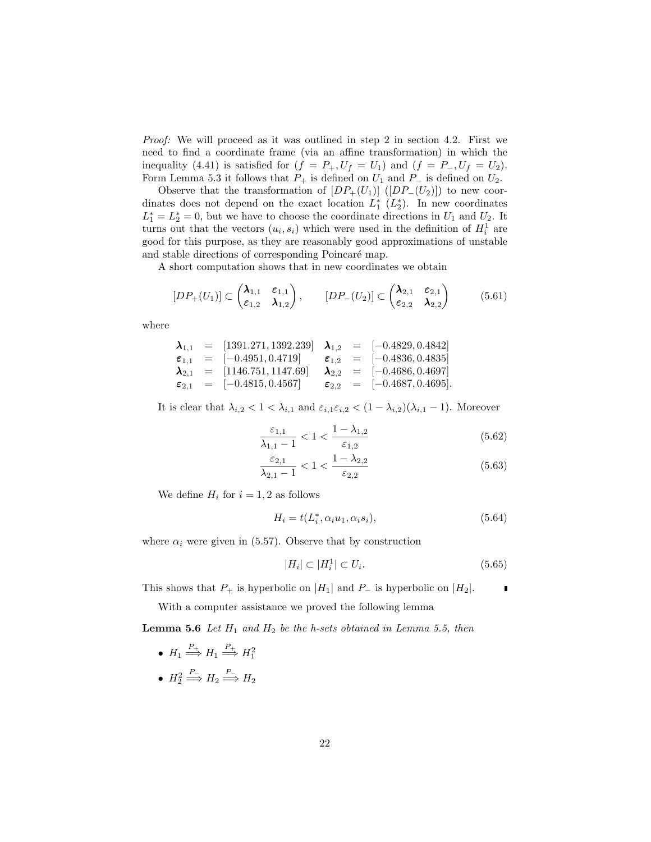Proof: We will proceed as it was outlined in step 2 in section 4.2. First we need to find a coordinate frame (via an affine transformation) in which the inequality (4.41) is satisfied for  $(f = P_+, U_f = U_1)$  and  $(f = P_-, U_f = U_2)$ . Form Lemma 5.3 it follows that  $P_+$  is defined on  $U_1$  and  $P_-\$  is defined on  $U_2$ .

Observe that the transformation of  $[DP_+(U_1)]$  ( $[DP_-(U_2)]$ ) to new coordinates does not depend on the exact location  $L_1^*$   $(L_2^*)$ . In new coordinates  $L_1^* = L_2^* = 0$ , but we have to choose the coordinate directions in  $U_1$  and  $U_2$ . It turns out that the vectors  $(u_i, s_i)$  which were used in the definition of  $H_i^1$  are good for this purpose, as they are reasonably good approximations of unstable and stable directions of corresponding Poincaré map.

A short computation shows that in new coordinates we obtain

$$
[DP_{+}(U_1)] \subset \begin{pmatrix} \lambda_{1,1} & \varepsilon_{1,1} \\ \varepsilon_{1,2} & \lambda_{1,2} \end{pmatrix}, \qquad [DP_{-}(U_2)] \subset \begin{pmatrix} \lambda_{2,1} & \varepsilon_{2,1} \\ \varepsilon_{2,2} & \lambda_{2,2} \end{pmatrix}
$$
(5.61)

where

$$
\begin{array}{rcl}\n\lambda_{1,1} & = & [1391.271, 1392.239] \\
\boldsymbol{\epsilon}_{1,1} & = & [-0.4951, 0.4719] \\
\boldsymbol{\epsilon}_{2,1} & = & [1146.751, 1147.69] \\
\boldsymbol{\epsilon}_{2,1} & = & [-0.4836, 0.4835] \\
\boldsymbol{\epsilon}_{2,1} & = & [-0.4815, 0.4567] \\
\end{array}
$$
\n
$$
\begin{array}{rcl}\n\lambda_{1,2} & = & [-0.4829, 0.4842] \\
\boldsymbol{\epsilon}_{1,2} & = & [-0.4836, 0.4835] \\
\lambda_{2,2} & = & [-0.4686, 0.4697] \\
\boldsymbol{\epsilon}_{2,2} & = & [-0.4687, 0.4695].\n\end{array}
$$

It is clear that  $\lambda_{i,2} < 1 < \lambda_{i,1}$  and  $\varepsilon_{i,1} \varepsilon_{i,2} < (1 - \lambda_{i,2})(\lambda_{i,1} - 1)$ . Moreover

$$
\frac{\varepsilon_{1,1}}{\lambda_{1,1} - 1} < 1 < \frac{1 - \lambda_{1,2}}{\varepsilon_{1,2}}\tag{5.62}
$$

$$
\frac{\varepsilon_{2,1}}{\lambda_{2,1} - 1} < 1 < \frac{1 - \lambda_{2,2}}{\varepsilon_{2,2}}\tag{5.63}
$$

We define  $H_i$  for  $i = 1, 2$  as follows

$$
H_i = t(L_i^*, \alpha_i u_1, \alpha_i s_i), \tag{5.64}
$$

where  $\alpha_i$  were given in (5.57). Observe that by construction

$$
|H_i| \subset |H_i^1| \subset U_i. \tag{5.65}
$$

This shows that  $P_+$  is hyperbolic on  $|H_1|$  and  $P_-$  is hyperbolic on  $|H_2|$ .

With a computer assistance we proved the following lemma

**Lemma 5.6** Let  $H_1$  and  $H_2$  be the h-sets obtained in Lemma 5.5, then

- $H_1 \stackrel{P_+}{\Longrightarrow} H_1 \stackrel{P_+}{\Longrightarrow} H_1^2$
- $H_2 \stackrel{P_-}{\Longrightarrow} H_2 \stackrel{P_-}{\Longrightarrow} H_2$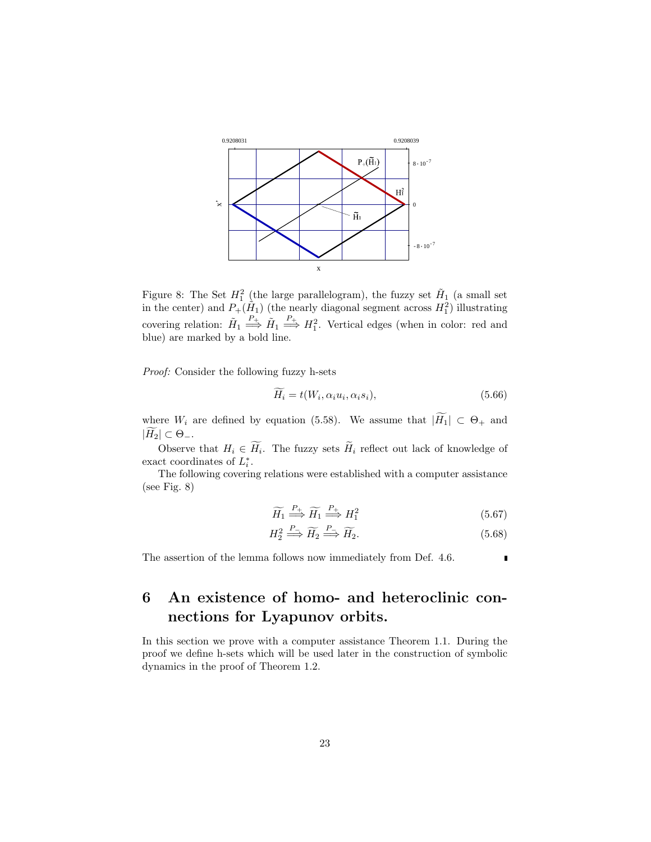

Figure 8: The Set  $H_1^2$  (the large parallelogram), the fuzzy set  $H_1$  (a small set in the center) and  $P_+(\hat{H}_1)$  (the nearly diagonal segment across  $H_1^2$ ) illustrating covering relation:  $\tilde{H}_1 \stackrel{P_+}{\Longrightarrow} \tilde{H}_1 \stackrel{P_+}{\Longrightarrow} H_1^2$ . Vertical edges (when in color: red and blue) are marked by a bold line.

Proof: Consider the following fuzzy h-sets

$$
\widetilde{H_i} = t(W_i, \alpha_i u_i, \alpha_i s_i),\tag{5.66}
$$

where  $W_i$  are defined by equation (5.58). We assume that  $|\widetilde{H_1}| \subset \Theta_+$  and  $|\widetilde{H_2}| \subset \Theta_-.$ 

Observe that  $H_i \in \widetilde{H}_i$ . The fuzzy sets  $\widetilde{H}_i$  reflect out lack of knowledge of exact coordinates of  $L_i^*$ .

The following covering relations were established with a computer assistance (see Fig. 8)

$$
\widetilde{H}_1 \stackrel{P_+}{\Longrightarrow} \widetilde{H}_1 \stackrel{P_+}{\Longrightarrow} H_1^2 \tag{5.67}
$$

$$
H_2^2 \stackrel{P_-}{\Longrightarrow} \widetilde{H}_2 \stackrel{P_-}{\Longrightarrow} \widetilde{H}_2. \tag{5.68}
$$

Ľ

The assertion of the lemma follows now immediately from Def. 4.6.

# 6 An existence of homo- and heteroclinic connections for Lyapunov orbits.

In this section we prove with a computer assistance Theorem 1.1. During the proof we define h-sets which will be used later in the construction of symbolic dynamics in the proof of Theorem 1.2.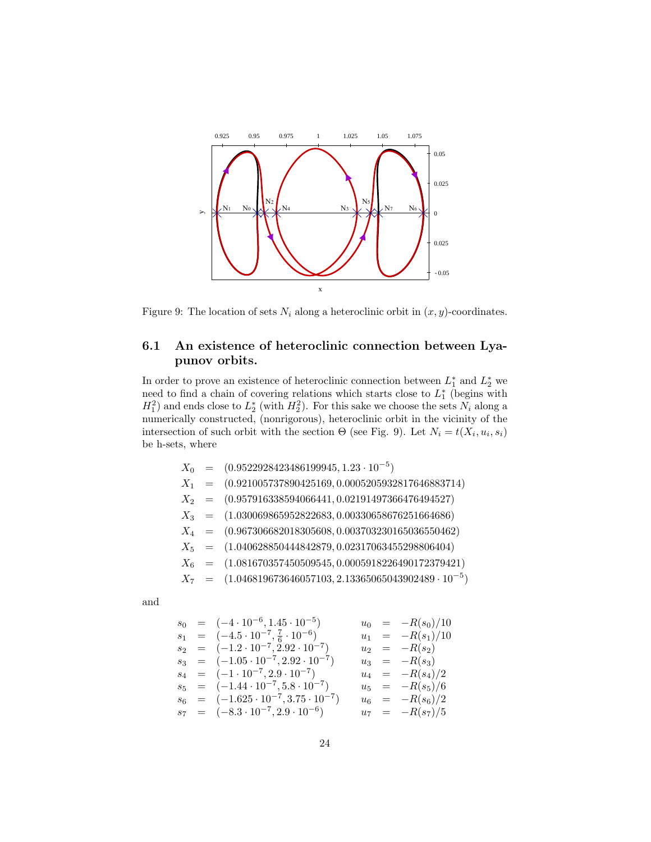

Figure 9: The location of sets  $N_i$  along a heteroclinic orbit in  $(x, y)$ -coordinates.

# 6.1 An existence of heteroclinic connection between Lyapunov orbits.

In order to prove an existence of heteroclinic connection between  $L_1^*$  and  $L_2^*$  we need to find a chain of covering relations which starts close to  $L_1^*$  (begins with  $H_1^2$ ) and ends close to  $L_2^*$  (with  $H_2^2$ ). For this sake we choose the sets  $N_i$  along a numerically constructed, (nonrigorous), heteroclinic orbit in the vicinity of the intersection of such orbit with the section  $\Theta$  (see Fig. 9). Let  $N_i = t(X_i, u_i, s_i)$ be h-sets, where

|  | $X_0$ = $(0.9522928423486199945, 1.23 \cdot 10^{-5})$               |
|--|---------------------------------------------------------------------|
|  | $X_1 = (0.921005737890425169, 0.0005205932817646883714)$            |
|  | $X_2 = (0.957916338594066441, 0.02191497366476494527)$              |
|  | $X_3$ = $(1.030069865952822683, 0.00330658676251664686)$            |
|  | $X_4 = (0.967306682018305608, 0.003703230165036550462)$             |
|  | $X_5 = (1.040628850444842879, 0.02317063455298806404)$              |
|  | $X_6 = (1.081670357450509545, 0.0005918226490172379421)$            |
|  | $X_7$ = $(1.046819673646057103, 2.13365065043902489 \cdot 10^{-5})$ |
|  |                                                                     |
|  |                                                                     |

$$
\quad \text{and} \quad
$$

$$
s_0 = (-4 \cdot 10^{-6}, 1.45 \cdot 10^{-5}) \qquad u_0 = -R(s_0)/10
$$
  
\n
$$
s_1 = (-4 \cdot 5 \cdot 10^{-7}, \frac{7}{6} \cdot 10^{-6}) \qquad u_1 = -R(s_1)/10
$$
  
\n
$$
s_2 = (-1 \cdot 2 \cdot 10^{-7}, 2.92 \cdot 10^{-7}) \qquad u_2 = -R(s_2)
$$
  
\n
$$
s_3 = (-1 \cdot 05 \cdot 10^{-7}, 2.92 \cdot 10^{-7}) \qquad u_3 = -R(s_3)
$$
  
\n
$$
s_4 = (-1 \cdot 10^{-7}, 2 \cdot 9 \cdot 10^{-7}) \qquad u_4 = -R(s_4)/2
$$
  
\n
$$
s_5 = (-1.44 \cdot 10^{-7}, 5 \cdot 8 \cdot 10^{-7}) \qquad u_5 = -R(s_5)/6
$$
  
\n
$$
s_6 = (-1.625 \cdot 10^{-7}, 3.75 \cdot 10^{-7}) \qquad u_6 = -R(s_6)/2
$$
  
\n
$$
s_7 = (-8 \cdot 3 \cdot 10^{-7}, 2 \cdot 9 \cdot 10^{-6}) \qquad u_7 = -R(s_7)/5
$$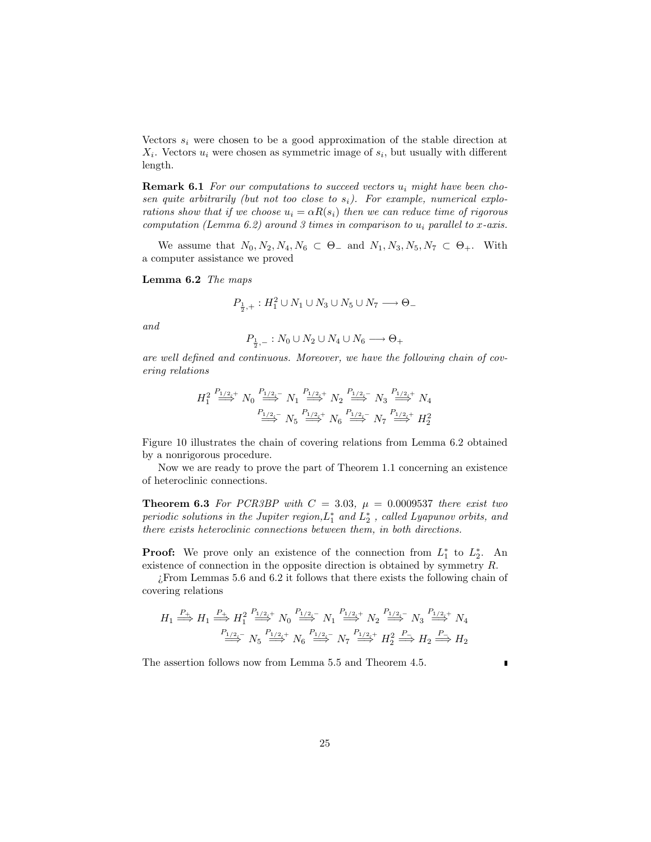Vectors  $s_i$  were chosen to be a good approximation of the stable direction at  $X_i$ . Vectors  $u_i$  were chosen as symmetric image of  $s_i$ , but usually with different length.

**Remark 6.1** For our computations to succeed vectors  $u_i$  might have been chosen quite arbitrarily (but not too close to  $s_i$ ). For example, numerical explorations show that if we choose  $u_i = \alpha R(s_i)$  then we can reduce time of rigorous computation (Lemma 6.2) around 3 times in comparison to  $u_i$  parallel to x-axis.

We assume that  $N_0, N_2, N_4, N_6 \subset \Theta_-$  and  $N_1, N_3, N_5, N_7 \subset \Theta_+$ . With a computer assistance we proved

Lemma 6.2 The maps

$$
P_{\frac{1}{2},+}:H_1^2\cup N_1\cup N_3\cup N_5\cup N_7\longrightarrow\Theta_-
$$

and

$$
P_{\frac{1}{2},-}: N_0 \cup N_2 \cup N_4 \cup N_6 \longrightarrow \Theta_+
$$

are well defined and continuous. Moreover, we have the following chain of covering relations

$$
H_1^2 \stackrel{P_{1/2,+}}{\Longrightarrow} N_0 \stackrel{P_{1/2,-}}{\Longrightarrow} N_1 \stackrel{P_{1/2,+}}{\Longrightarrow} N_2 \stackrel{P_{1/2,-}}{\Longrightarrow} N_3 \stackrel{P_{1/2,+}}{\Longrightarrow} N_4
$$
  

$$
\stackrel{P_{1/2,-}}{\Longrightarrow} N_5 \stackrel{P_{1/2,+}}{\Longrightarrow} N_6 \stackrel{P_{1/2,-}}{\Longrightarrow} N_7 \stackrel{P_{1/2,+}}{\Longrightarrow} H_2^2
$$

Figure 10 illustrates the chain of covering relations from Lemma 6.2 obtained by a nonrigorous procedure.

Now we are ready to prove the part of Theorem 1.1 concerning an existence of heteroclinic connections.

**Theorem 6.3** For PCR3BP with  $C = 3.03$ ,  $\mu = 0.0009537$  there exist two periodic solutions in the Jupiter region,  $L_1^*$  and  $L_2^*$ , called Lyapunov orbits, and there exists heteroclinic connections between them, in both directions.

**Proof:** We prove only an existence of the connection from  $L_1^*$  to  $L_2^*$ . An existence of connection in the opposite direction is obtained by symmetry R.

¿From Lemmas 5.6 and 6.2 it follows that there exists the following chain of covering relations

$$
H_1 \stackrel{P_+}{\Longrightarrow} H_1 \stackrel{P_+}{\Longrightarrow} H_1^2 \stackrel{P_{1/2,+}}{\Longrightarrow} N_0 \stackrel{P_{1/2,-}}{\Longrightarrow} N_1 \stackrel{P_{1/2,+}}{\Longrightarrow} N_2 \stackrel{P_{1/2,-}}{\Longrightarrow} N_3 \stackrel{P_{1/2,+}}{\Longrightarrow} N_4
$$
  

$$
\stackrel{P_{1/2,-}}{\Longrightarrow} N_5 \stackrel{P_{1/2,+}}{\Longrightarrow} N_6 \stackrel{P_{1/2,-}}{\Longrightarrow} N_7 \stackrel{P_{1/2,+}}{\Longrightarrow} H_2^2 \stackrel{P_-}{\Longrightarrow} H_2 \stackrel{P_-}{\Longrightarrow} H_2
$$

The assertion follows now from Lemma 5.5 and Theorem 4.5.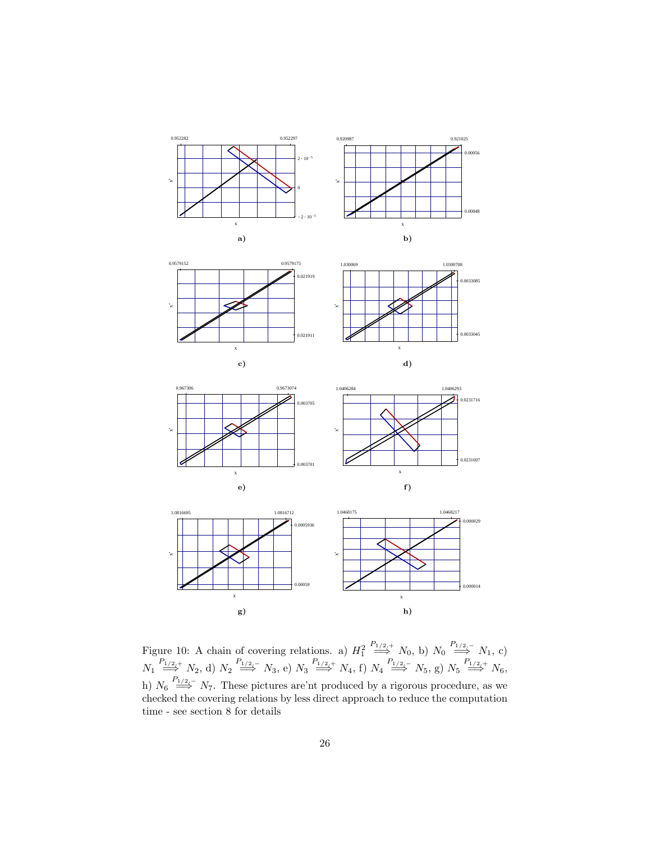















Figure 10: A chain of covering relations. a)  $H_1^2$  $\stackrel{P_{1/2,+}}{\Longrightarrow} N_0$ , b)  $N_0 \stackrel{P_{1/2,-}}{\Longrightarrow} N_1$ , c)  $N_1 \stackrel{P_{1/2,+}}{\Longrightarrow} N_2$ , d)  $N_2 \stackrel{P_{1/2,-}}{\Longrightarrow} N_3$ , e)  $N_3 \stackrel{P_{1/2,+}}{\Longrightarrow} N_4$ , f)  $N_4 \stackrel{P_{1/2,-}}{\Longrightarrow} N_5$ , g)  $N_5 \stackrel{P_{1/2,+}}{\Longrightarrow} N_6$ , h)  $N_6 \stackrel{P_{1/2,-}}{\Longrightarrow} N_7$ . These pictures are'nt produced by a rigorous procedure, as we checked the covering relations by less direct approach to reduce the computation time - see section 8 for details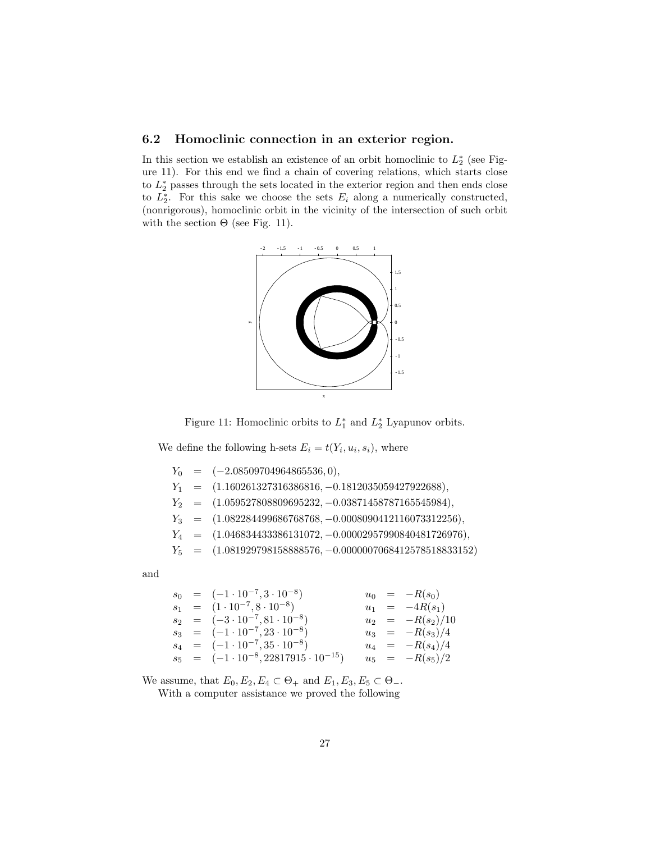## 6.2 Homoclinic connection in an exterior region.

In this section we establish an existence of an orbit homoclinic to  $L_2^*$  (see Figure 11). For this end we find a chain of covering relations, which starts close to  $L_2^*$  passes through the sets located in the exterior region and then ends close to  $L_2^*$ . For this sake we choose the sets  $E_i$  along a numerically constructed, (nonrigorous), homoclinic orbit in the vicinity of the intersection of such orbit with the section  $\Theta$  (see Fig. 11).





We define the following h-sets  $E_i = t(Y_i, u_i, s_i)$ , where

|  | $Y_0 = (-2.08509704964865536, 0),$                           |
|--|--------------------------------------------------------------|
|  | $Y_1 = (1.160261327316386816, -0.1812035059427922688),$      |
|  | $Y_2 = (1.059527808809695232, -0.03871458787165545984),$     |
|  | $Y_3 = (1.082284499686768768, -0.0008090412116073312256),$   |
|  | $Y_4 = (1.046834433386131072, -0.00002957990840481726976),$  |
|  | $Y_5$ = (1.081929798158888576, -0.0000007068412578518833152) |

and

|  | $s_0 = (-1 \cdot 10^{-7}, 3 \cdot 10^{-8})$         |  | $u_0 = -R(s_0)$    |
|--|-----------------------------------------------------|--|--------------------|
|  | $s_1 = (1 \cdot 10^{-7}, 8 \cdot 10^{-8})$          |  | $u_1 = -4R(s_1)$   |
|  | $s_2 = (-3 \cdot 10^{-7}, 81 \cdot 10^{-8})$        |  | $u_2 = -R(s_2)/10$ |
|  | $s_3 = (-1 \cdot 10^{-7}, 23 \cdot 10^{-8})$        |  | $u_3 = -R(s_3)/4$  |
|  | $s_4 = (-1 \cdot 10^{-7}, 35 \cdot 10^{-8})$        |  | $u_4 = -R(s_4)/4$  |
|  | $s_5 = (-1 \cdot 10^{-8}, 22817915 \cdot 10^{-15})$ |  | $u_5 = -R(s_5)/2$  |

We assume, that  $E_0, E_2, E_4 \subset \Theta_+$  and  $E_1, E_3, E_5 \subset \Theta_-$ .

With a computer assistance we proved the following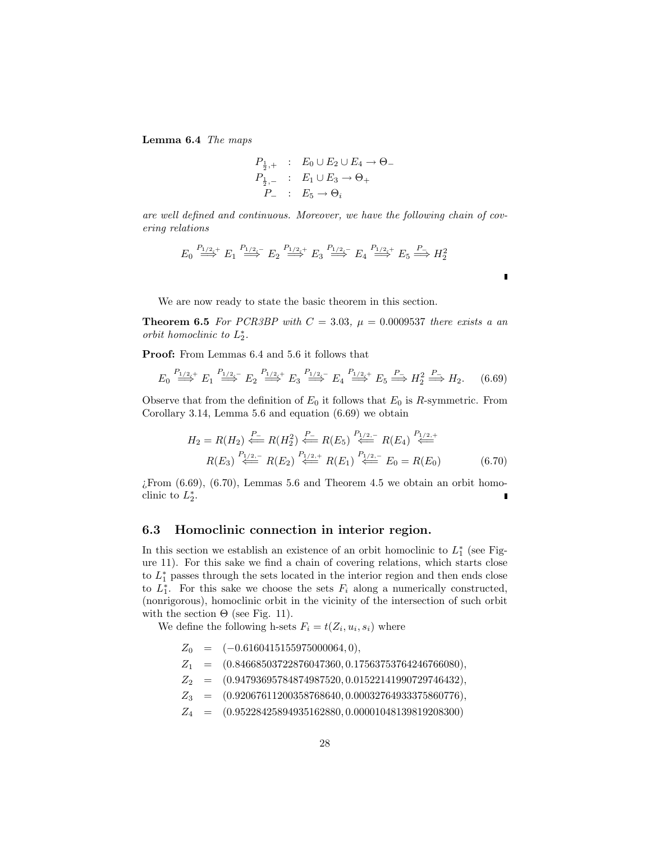Lemma 6.4 The maps

$$
P_{\frac{1}{2},+} : E_0 \cup E_2 \cup E_4 \to \Theta_-
$$
  

$$
P_{\frac{1}{2},-} : E_1 \cup E_3 \to \Theta_+
$$
  

$$
P_- : E_5 \to \Theta_i
$$

are well defined and continuous. Moreover, we have the following chain of covering relations

$$
E_0 \stackrel{P_{1/2,+}}{\Longrightarrow} E_1 \stackrel{P_{1/2,-}}{\Longrightarrow} E_2 \stackrel{P_{1/2,+}}{\Longrightarrow} E_3 \stackrel{P_{1/2,-}}{\Longrightarrow} E_4 \stackrel{P_{1/2,+}}{\Longrightarrow} E_5 \stackrel{P_{-}}{\Longrightarrow} H_2^2
$$

We are now ready to state the basic theorem in this section.

**Theorem 6.5** For PCR3BP with  $C = 3.03$ ,  $\mu = 0.0009537$  there exists a an orbit homoclinic to  $L_2^*$ .

п

Proof: From Lemmas 6.4 and 5.6 it follows that

$$
E_0 \stackrel{P_{1/2,+}}{\Longrightarrow} E_1 \stackrel{P_{1/2,-}}{\Longrightarrow} E_2 \stackrel{P_{1/2,+}}{\Longrightarrow} E_3 \stackrel{P_{1/2,-}}{\Longrightarrow} E_4 \stackrel{P_{1/2,+}}{\Longrightarrow} E_5 \stackrel{P_{-}}{\Longrightarrow} H_2^2 \stackrel{P_{-}}{\Longrightarrow} H_2. \tag{6.69}
$$

Observe that from the definition of  $E_0$  it follows that  $E_0$  is R-symmetric. From Corollary 3.14, Lemma 5.6 and equation (6.69) we obtain

$$
H_2 = R(H_2) \stackrel{P_-}{\Longleftarrow} R(H_2^2) \stackrel{P_-}{\Longleftarrow} R(E_5) \stackrel{P_{1/2,-}}{\Longleftarrow} R(E_4) \stackrel{P_{1/2,+}}{\Longleftarrow}
$$
  

$$
R(E_3) \stackrel{P_{1/2,-}}{\Longleftarrow} R(E_2) \stackrel{P_{1/2,+}}{\Longleftarrow} R(E_1) \stackrel{P_{1/2,-}}{\Longleftarrow} E_0 = R(E_0)
$$
 (6.70)

 $E$ From  $(6.69)$ ,  $(6.70)$ , Lemmas 5.6 and Theorem 4.5 we obtain an orbit homoclinic to  $L_2^*$ .

#### 6.3 Homoclinic connection in interior region.

In this section we establish an existence of an orbit homoclinic to  $L_1^*$  (see Figure 11). For this sake we find a chain of covering relations, which starts close to  $L_1^*$  passes through the sets located in the interior region and then ends close to  $L_1^*$ . For this sake we choose the sets  $F_i$  along a numerically constructed, (nonrigorous), homoclinic orbit in the vicinity of the intersection of such orbit with the section  $\Theta$  (see Fig. 11).

We define the following h-sets  $F_i = t(Z_i, u_i, s_i)$  where

- $Z_0$  =  $(-0.6160415155975000064, 0),$
- $Z_1$  =  $(0.84668503722876047360, 0.17563753764246766080),$
- $Z_2$  =  $(0.94793695784874987520, 0.01522141990729746432),$
- $Z_3 \quad = \quad (0.92067611200358768640, 0.00032764933375860776),$
- $Z_4$  =  $(0.95228425894935162880, 0.00001048139819208300)$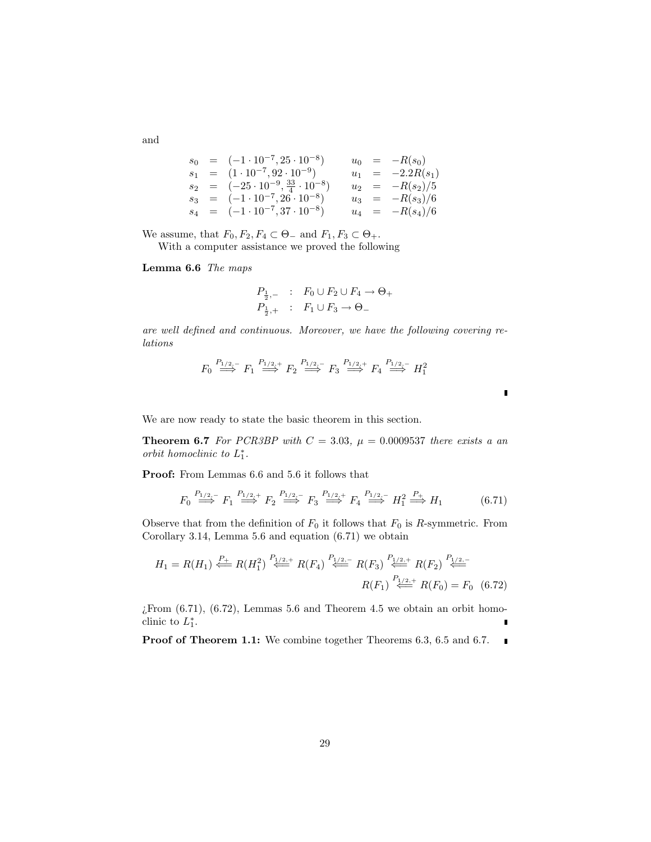$s_0 = (-1 \cdot 10^{-7}, 25 \cdot 10^{-8})$  $u_0 = -R(s_0)$  $s_1 = (1 \cdot 10^{-7}, 92 \cdot 10^{-9})$  $u_1 = -2.2R(s_1)$  $s_2 = (-25 \cdot 10^{-9}, \frac{33}{4} \cdot 10^{-8})$  $u_2 = -R(s_2)/5$  $s_3 = (-1 \cdot 10^{-7}, 26 \cdot 10^{-8})$  $u_3 = -R(s_3)/6$  $s_4 = (-1 \cdot 10^{-7}, 37 \cdot 10^{-8})$  $u_4 = -R(s_4)/6$ 

We assume, that  $F_0, F_2, F_4 \subset \Theta_-$  and  $F_1, F_3 \subset \Theta_+$ .

With a computer assistance we proved the following

Lemma 6.6 The maps

$$
P_{\frac{1}{2},-} : F_0 \cup F_2 \cup F_4 \to \Theta_+
$$
  

$$
P_{\frac{1}{2},+} : F_1 \cup F_3 \to \Theta_-
$$

are well defined and continuous. Moreover, we have the following covering relations

$$
F_0 \stackrel{P_{1/2,-}}{\Longrightarrow} F_1 \stackrel{P_{1/2,+}}{\Longrightarrow} F_2 \stackrel{P_{1/2,-}}{\Longrightarrow} F_3 \stackrel{P_{1/2,+}}{\Longrightarrow} F_4 \stackrel{P_{1/2,-}}{\Longrightarrow} H_1^2
$$

We are now ready to state the basic theorem in this section.

**Theorem 6.7** For PCR3BP with  $C = 3.03$ ,  $\mu = 0.0009537$  there exists a an orbit homoclinic to  $L_1^*$ .

Proof: From Lemmas 6.6 and 5.6 it follows that

$$
F_0 \stackrel{P_{1/2,-}}{\Longrightarrow} F_1 \stackrel{P_{1/2,+}}{\Longrightarrow} F_2 \stackrel{P_{1/2,-}}{\Longrightarrow} F_3 \stackrel{P_{1/2,+}}{\Longrightarrow} F_4 \stackrel{P_{1/2,-}}{\Longrightarrow} H_1^2 \stackrel{P_{+}}{\Longrightarrow} H_1 \tag{6.71}
$$

 $\blacksquare$ 

Observe that from the definition of  $F_0$  it follows that  $F_0$  is R-symmetric. From Corollary 3.14, Lemma 5.6 and equation (6.71) we obtain

$$
H_1 = R(H_1) \stackrel{P_+}{\Longleftarrow} R(H_1^2) \stackrel{P_{1/2,+}}{\Longleftarrow} R(F_4) \stackrel{P_{1/2,-}}{\Longleftarrow} R(F_3) \stackrel{P_{1/2,+}}{\Longleftarrow} R(F_2) \stackrel{P_{1/2,-}}{\Longleftarrow}
$$

$$
R(F_1) \stackrel{P_{1/2,+}}{\Longleftarrow} R(F_0) = F_0 \quad (6.72)
$$

 $i$ From  $(6.71)$ ,  $(6.72)$ , Lemmas 5.6 and Theorem 4.5 we obtain an orbit homoclinic to  $L_1^*$ .

Proof of Theorem 1.1: We combine together Theorems 6.3, 6.5 and 6.7.  $\sim$  10

and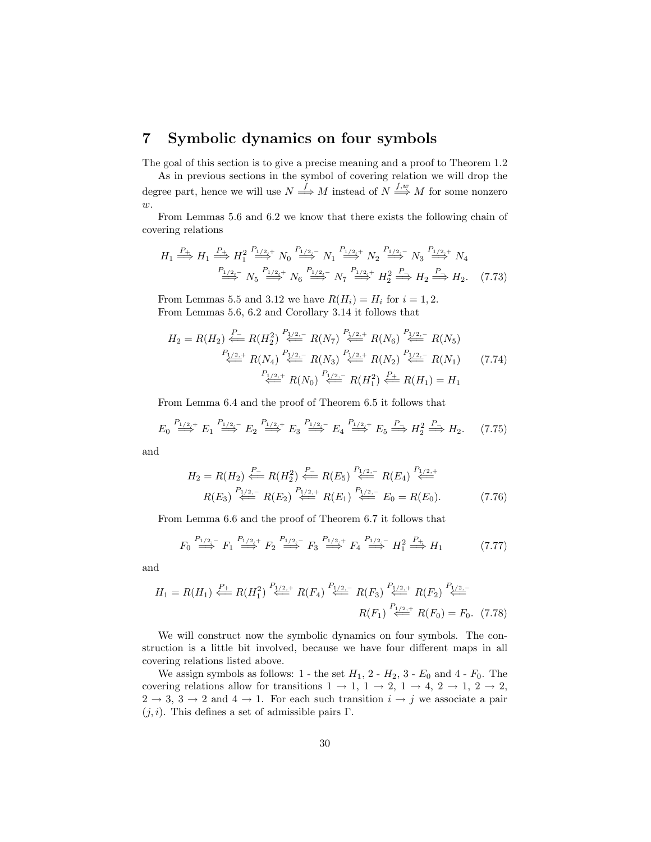# 7 Symbolic dynamics on four symbols

The goal of this section is to give a precise meaning and a proof to Theorem 1.2

As in previous sections in the symbol of covering relation we will drop the degree part, hence we will use  $N \stackrel{f}{\Longrightarrow} M$  instead of  $N \stackrel{f,w}{\Longrightarrow} M$  for some nonzero  $w$ .

From Lemmas 5.6 and 6.2 we know that there exists the following chain of covering relations

$$
H_1 \stackrel{P_+}{\Longrightarrow} H_1 \stackrel{P_+}{\Longrightarrow} H_1^2 \stackrel{P_{1/2,+}}{\Longrightarrow} N_0 \stackrel{P_{1/2,-}}{\Longrightarrow} N_1 \stackrel{P_{1/2,-}}{\Longrightarrow} N_2 \stackrel{P_{1/2,-}}{\Longrightarrow} N_3 \stackrel{P_{1/2,+}}{\Longrightarrow} N_4
$$
\n
$$
\stackrel{P_{1/2,-}}{\Longrightarrow} N_5 \stackrel{P_{1/2,+}}{\Longrightarrow} N_6 \stackrel{P_{1/2,-}}{\Longrightarrow} N_7 \stackrel{P_{1/2,+}}{\Longrightarrow} H_2^2 \stackrel{P_-}{\Longrightarrow} H_2. \tag{7.73}
$$

From Lemmas 5.5 and 3.12 we have  $R(H_i) = H_i$  for  $i = 1, 2$ . From Lemmas 5.6, 6.2 and Corollary 3.14 it follows that

$$
H_2 = R(H_2) \stackrel{P_-}{\Longleftarrow} R(H_2^2) \stackrel{P_{1/2,-}}{\Longleftarrow} R(N_7) \stackrel{P_{1/2,+}}{\Longleftarrow} R(N_6) \stackrel{P_{1/2,-}}{\Longleftarrow} R(N_5)
$$
\n
$$
\stackrel{P_{1/2,+}}{\Longleftarrow} R(N_4) \stackrel{P_{1/2,-}}{\Longleftarrow} R(N_3) \stackrel{P_{1/2,+}}{\Longleftarrow} R(N_2) \stackrel{P_{1/2,-}}{\Longleftarrow} R(N_1) \qquad (7.74)
$$
\n
$$
\stackrel{P_{1/2,+}}{\Longleftarrow} R(N_0) \stackrel{P_{1/2,-}}{\Longleftarrow} R(H_1^2) \stackrel{P_{+}}{\Longleftarrow} R(H_1) = H_1
$$

From Lemma 6.4 and the proof of Theorem 6.5 it follows that

$$
E_0 \stackrel{P_{1/2,+}}{\Longrightarrow} E_1 \stackrel{P_{1/2,-}}{\Longrightarrow} E_2 \stackrel{P_{1/2,+}}{\Longrightarrow} E_3 \stackrel{P_{1/2,-}}{\Longrightarrow} E_4 \stackrel{P_{1/2,+}}{\Longrightarrow} E_5 \stackrel{P_{-}}{\Longrightarrow} H_2^2 \stackrel{P_{-}}{\Longrightarrow} H_2. \tag{7.75}
$$

and

$$
H_2 = R(H_2) \stackrel{P_-}{\Longleftarrow} R(H_2^2) \stackrel{P_-}{\Longleftarrow} R(E_5) \stackrel{P_{1/2,-}}{\Longleftarrow} R(E_4) \stackrel{P_{1/2,+}}{\Longleftarrow}
$$
  
 
$$
R(E_3) \stackrel{P_{1/2,-}}{\Longleftarrow} R(E_2) \stackrel{P_{1/2,+}}{\Longleftarrow} R(E_1) \stackrel{P_{1/2,-}}{\Longleftarrow} E_0 = R(E_0).
$$
 (7.76)

From Lemma 6.6 and the proof of Theorem 6.7 it follows that

$$
F_0 \stackrel{P_{1/2,-}}{\Longrightarrow} F_1 \stackrel{P_{1/2,+}}{\Longrightarrow} F_2 \stackrel{P_{1/2,-}}{\Longrightarrow} F_3 \stackrel{P_{1/2,+}}{\Longrightarrow} F_4 \stackrel{P_{1/2,-}}{\Longrightarrow} H_1^2 \stackrel{P_+}{\Longrightarrow} H_1 \tag{7.77}
$$

and

$$
H_1 = R(H_1) \stackrel{P_+}{\Longleftarrow} R(H_1^2) \stackrel{P_{1/2,+}}{\Longleftarrow} R(F_4) \stackrel{P_{1/2,-}}{\Longleftarrow} R(F_3) \stackrel{P_{1/2,+}}{\Longleftarrow} R(F_2) \stackrel{P_{1/2,-}}{\Longleftarrow}
$$

$$
R(F_1) \stackrel{P_{1/2,+}}{\Longleftarrow} R(F_0) = F_0. \tag{7.78}
$$

We will construct now the symbolic dynamics on four symbols. The construction is a little bit involved, because we have four different maps in all covering relations listed above.

We assign symbols as follows: 1 - the set  $H_1$ , 2 -  $H_2$ , 3 -  $E_0$  and 4 -  $F_0$ . The covering relations allow for transitions  $1 \rightarrow 1, 1 \rightarrow 2, 1 \rightarrow 4, 2 \rightarrow 1, 2 \rightarrow 2$ ,  $2 \rightarrow 3, 3 \rightarrow 2$  and  $4 \rightarrow 1$ . For each such transition  $i \rightarrow j$  we associate a pair  $(j, i)$ . This defines a set of admissible pairs Γ.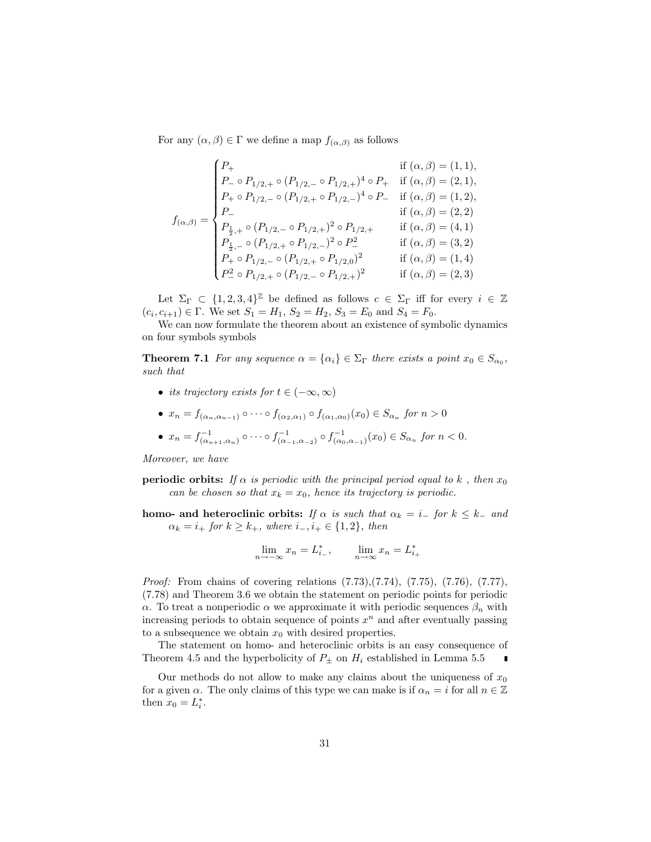For any  $(\alpha, \beta) \in \Gamma$  we define a map  $f_{(\alpha, \beta)}$  as follows

$$
f_{(\alpha,\beta)} = \begin{cases} P_+ & \text{if } (\alpha,\beta) = (1,1), \\ P_- \circ P_{1/2,+} \circ (P_{1/2,-} \circ P_{1/2,+})^4 \circ P_+ & \text{if } (\alpha,\beta) = (2,1), \\ P_+ \circ P_{1/2,-} \circ (P_{1/2,+} \circ P_{1/2,-})^4 \circ P_- & \text{if } (\alpha,\beta) = (1,2), \\ P_- & \text{if } (\alpha,\beta) = (2,2) \\ P_{\frac{1}{2},+} \circ (P_{1/2,-} \circ P_{1/2,+})^2 \circ P_{1/2,+} & \text{if } (\alpha,\beta) = (4,1) \\ P_{\frac{1}{2},-} \circ (P_{1/2,+} \circ P_{1/2,-})^2 \circ P_-^2 & \text{if } (\alpha,\beta) = (3,2) \\ P_+ \circ P_{1/2,-} \circ (P_{1/2,+} \circ P_{1/2,0})^2 & \text{if } (\alpha,\beta) = (1,4) \\ P_-^2 \circ P_{1/2,+} \circ (P_{1/2,-} \circ P_{1/2,+})^2 & \text{if } (\alpha,\beta) = (2,3) \end{cases}
$$

Let  $\Sigma_{\Gamma} \subset \{1, 2, 3, 4\}^{\mathbb{Z}}$  be defined as follows  $c \in \Sigma_{\Gamma}$  iff for every  $i \in \mathbb{Z}$  $(c_i, c_{i+1}) \in \Gamma$ . We set  $S_1 = H_1$ ,  $S_2 = H_2$ ,  $S_3 = E_0$  and  $S_4 = F_0$ .

We can now formulate the theorem about an existence of symbolic dynamics on four symbols symbols

**Theorem 7.1** For any sequence  $\alpha = {\alpha_i} \in \Sigma_\Gamma$  there exists a point  $x_0 \in S_{\alpha_0}$ , such that

- its trajectory exists for  $t \in (-\infty, \infty)$
- $x_n = f_{(\alpha_n, \alpha_{n-1})} \circ \cdots \circ f_{(\alpha_2, \alpha_1)} \circ f_{(\alpha_1, \alpha_0)}(x_0) \in S_{\alpha_n}$  for  $n > 0$

• 
$$
x_n = f_{(\alpha_{n+1}, \alpha_n)}^{-1} \circ \cdots \circ f_{(\alpha_{-1}, \alpha_{-2})}^{-1} \circ f_{(\alpha_0, \alpha_{-1})}^{-1}(x_0) \in S_{\alpha_n}
$$
 for  $n < 0$ .

Moreover, we have

**periodic orbits:** If  $\alpha$  is periodic with the principal period equal to k, then  $x_0$ can be chosen so that  $x_k = x_0$ , hence its trajectory is periodic.

homo- and heteroclinic orbits: If  $\alpha$  is such that  $\alpha_k = i_{-}$  for  $k \leq k_{-}$  and  $\alpha_k = i_+$  for  $k \geq k_+$ , where  $i_-, i_+ \in \{1, 2\}$ , then

$$
\lim_{n \to -\infty} x_n = L_{i_-}^*, \qquad \lim_{n \to \infty} x_n = L_{i_+}^*
$$

Proof: From chains of covering relations (7.73),(7.74), (7.75), (7.76), (7.77), (7.78) and Theorem 3.6 we obtain the statement on periodic points for periodic α. To treat a nonperiodic α we approximate it with periodic sequences  $β_n$  with increasing periods to obtain sequence of points  $x^n$  and after eventually passing to a subsequence we obtain  $x_0$  with desired properties.

The statement on homo- and heteroclinic orbits is an easy consequence of Theorem 4.5 and the hyperbolicity of  $P_{\pm}$  on  $H_i$  established in Lemma 5.5

Our methods do not allow to make any claims about the uniqueness of  $x_0$ for a given  $\alpha$ . The only claims of this type we can make is if  $\alpha_n = i$  for all  $n \in \mathbb{Z}$ then  $x_0 = L_i^*$ .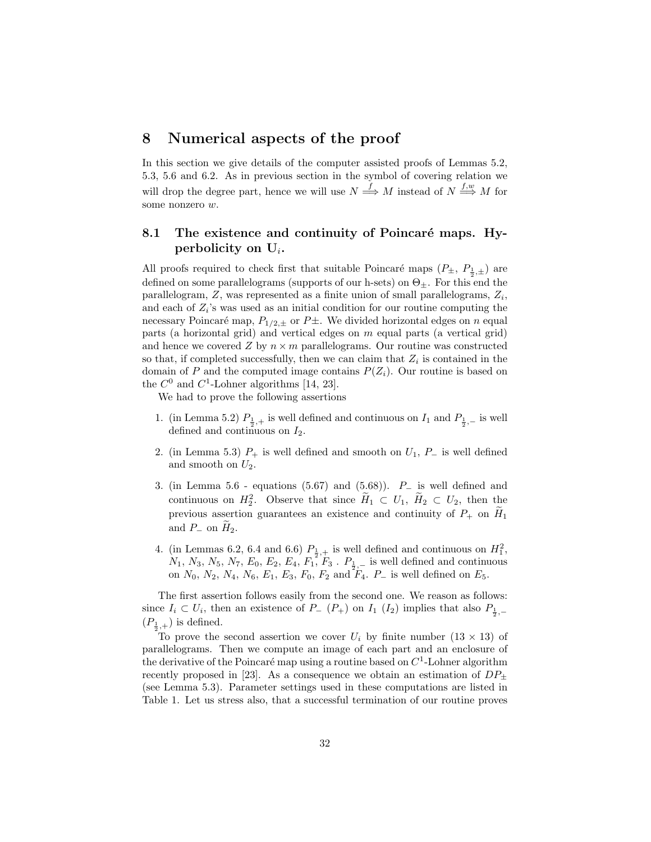## 8 Numerical aspects of the proof

In this section we give details of the computer assisted proofs of Lemmas 5.2, 5.3, 5.6 and 6.2. As in previous section in the symbol of covering relation we will drop the degree part, hence we will use  $N \stackrel{f}{\Longrightarrow} M$  instead of  $N \stackrel{f,w}{\Longrightarrow} M$  for some nonzero w.

## 8.1 The existence and continuity of Poincaré maps. Hyperbolicity on  $U_i$ .

All proofs required to check first that suitable Poincaré maps  $(P_{\pm}, P_{\frac{1}{2}, \pm})$  are defined on some parallelograms (supports of our h-sets) on  $\Theta_{\pm}$ . For this end the parallelogram,  $Z$ , was represented as a finite union of small parallelograms,  $Z_i$ , and each of  $Z_i$ 's was used as an initial condition for our routine computing the necessary Poincaré map,  $P_{1/2,\pm}$  or  $P\pm$ . We divided horizontal edges on n equal parts (a horizontal grid) and vertical edges on m equal parts (a vertical grid) and hence we covered Z by  $n \times m$  parallelograms. Our routine was constructed so that, if completed successfully, then we can claim that  $Z_i$  is contained in the domain of P and the computed image contains  $P(Z_i)$ . Our routine is based on the  $C^0$  and  $C^1$ -Lohner algorithms [14, 23].

We had to prove the following assertions

- 1. (in Lemma 5.2)  $P_{\frac{1}{2},+}$  is well defined and continuous on  $I_1$  and  $P_{\frac{1}{2},-}$  is well defined and continuous on  $I_2$ .
- 2. (in Lemma 5.3)  $P_+$  is well defined and smooth on  $U_1$ ,  $P_-$  is well defined and smooth on  $U_2$ .
- 3. (in Lemma 5.6 equations (5.67) and (5.68)).  $P_$  is well defined and continuous on  $H_2^2$ . Observe that since  $\widetilde{H}_1 \subset U_1$ ,  $\widetilde{H}_2 \subset U_2$ , then the previous assertion guarantees an existence and continuity of  $P_+$  on  $H_1$ and  $P_$  on  $H_2$ .
- 4. (in Lemmas 6.2, 6.4 and 6.6)  $P_{\frac{1}{2},+}$  is well defined and continuous on  $H_1^2$ ,  $N_1, N_3, N_5, N_7, E_0, E_2, E_4, F_1, F_3$ .  $P_1, P_2,$  is well defined and continuous on  $N_0$ ,  $N_2$ ,  $N_4$ ,  $N_6$ ,  $E_1$ ,  $E_3$ ,  $F_0$ ,  $F_2$  and  $F_4$ .  $P_-$  is well defined on  $E_5$ .

The first assertion follows easily from the second one. We reason as follows: since  $I_i \subset U_i$ , then an existence of  $P_-(P_+)$  on  $I_1$   $(I_2)$  implies that also  $P_{\frac{1}{2},-}$  $(P_{\frac{1}{2},+})$  is defined.

To prove the second assertion we cover  $U_i$  by finite number  $(13 \times 13)$  of parallelograms. Then we compute an image of each part and an enclosure of the derivative of the Poincaré map using a routine based on  $C<sup>1</sup>$ -Lohner algorithm recently proposed in [23]. As a consequence we obtain an estimation of  $DP_{\pm}$ (see Lemma 5.3). Parameter settings used in these computations are listed in Table 1. Let us stress also, that a successful termination of our routine proves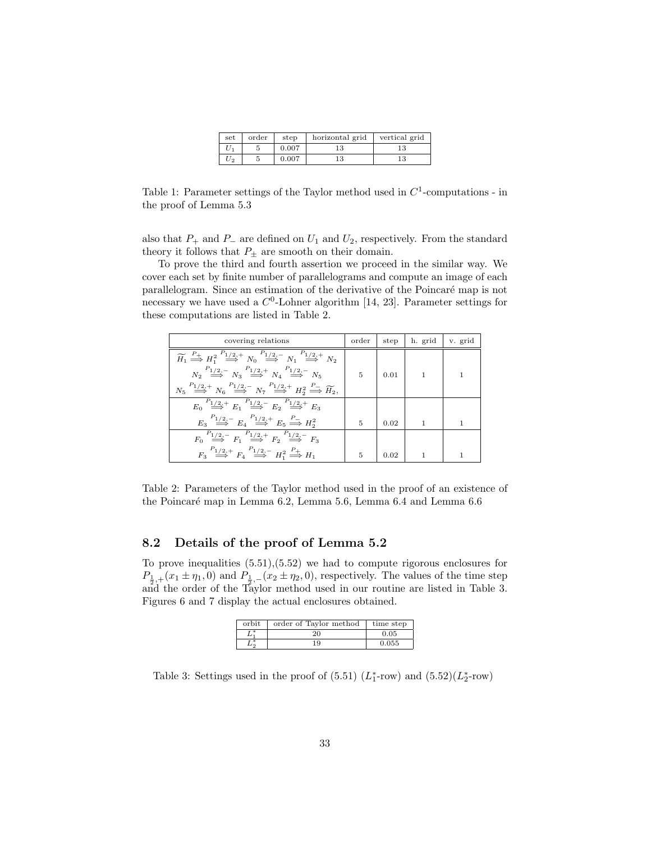| set   | order | step  | horizontal grid | vertical grid |
|-------|-------|-------|-----------------|---------------|
|       |       | 0.007 | 13              | 13            |
| $U_2$ |       | 0.007 | 13              | 13            |

Table 1: Parameter settings of the Taylor method used in  $C<sup>1</sup>$ -computations - in the proof of Lemma 5.3

also that  $P_+$  and  $P_-$  are defined on  $U_1$  and  $U_2$ , respectively. From the standard theory it follows that  $P_{\pm}$  are smooth on their domain.

To prove the third and fourth assertion we proceed in the similar way. We cover each set by finite number of parallelograms and compute an image of each parallelogram. Since an estimation of the derivative of the Poincaré map is not necessary we have used a  $C^0$ -Lohner algorithm [14, 23]. Parameter settings for these computations are listed in Table 2.

| covering relations                                                                                                                                                                       | order          | step | h. grid        | v. grid |
|------------------------------------------------------------------------------------------------------------------------------------------------------------------------------------------|----------------|------|----------------|---------|
| $\widetilde{H}_1 \stackrel{P_+}{\Longrightarrow} H_1^2 \stackrel{P_{1/2,+}}{\Longrightarrow} N_0 \stackrel{P_{1/2,-}}{\Longrightarrow} N_1 \stackrel{P_{1/2,+}}{\Longrightarrow} N_2$    |                |      |                |         |
| $N_2 \stackrel{P_{1/2,-}}{\Longrightarrow} N_3 \stackrel{P_{1/2,+}}{\Longrightarrow} N_4 \stackrel{P_{1/2,-}}{\Longrightarrow} N_5$                                                      | $\overline{5}$ | 0.01 | $\overline{1}$ |         |
| $N_5 \stackrel{P_{1/2,+}}{\Longrightarrow} N_6 \stackrel{P_{1/2,-}}{\Longrightarrow} N_7 \stackrel{P_{1/2,+}}{\Longrightarrow} H_2^2 \stackrel{P_{-}}{\Longrightarrow} \widetilde{H_2},$ |                |      |                |         |
| $E_0 \stackrel{P_{1/2,+}}{\Longrightarrow} E_1 \stackrel{P_{1/2,-}}{\Longrightarrow} E_2 \stackrel{P_{1/2,+}}{\Longrightarrow} E_3$                                                      |                |      |                |         |
| $E_3 \stackrel{P_{1/2,-}}{\Longrightarrow} E_4 \stackrel{P_{1/2,+}}{\Longrightarrow} E_5 \stackrel{P_{-}}{\Longrightarrow} H_2^2$                                                        | 5              | 0.02 | 1              | 1       |
| $F_0 \stackrel{P_{1/2,-}}{\Longrightarrow} F_1 \stackrel{P_{1/2,+}}{\Longrightarrow} F_2 \stackrel{P_{1/2,-}}{\Longrightarrow} F_3$                                                      |                |      |                |         |
| $F_3 \stackrel{P_{1/2,+}}{\Longrightarrow} F_4 \stackrel{P_{1/2,-}}{\Longrightarrow} H_1^2 \stackrel{P_+}{\Longrightarrow} H_1$                                                          | 5              | 0.02 |                |         |

Table 2: Parameters of the Taylor method used in the proof of an existence of the Poincaré map in Lemma 6.2, Lemma 5.6, Lemma 6.4 and Lemma 6.6

### 8.2 Details of the proof of Lemma 5.2

To prove inequalities (5.51),(5.52) we had to compute rigorous enclosures for  $P_{\frac{1}{2},+}(x_1 \pm \eta_1,0)$  and  $P_{\frac{1}{2},-}(x_2 \pm \eta_2,0)$ , respectively. The values of the time step and the order of the Taylor method used in our routine are listed in Table 3. Figures 6 and 7 display the actual enclosures obtained.

| orbit | order of Taylor method | time step |
|-------|------------------------|-----------|
| $L^*$ | 20                     | 0.05      |
|       | 19                     | 0.055     |

Table 3: Settings used in the proof of  $(5.51)$   $(L_1^*$ -row) and  $(5.52)(L_2^*$ -row)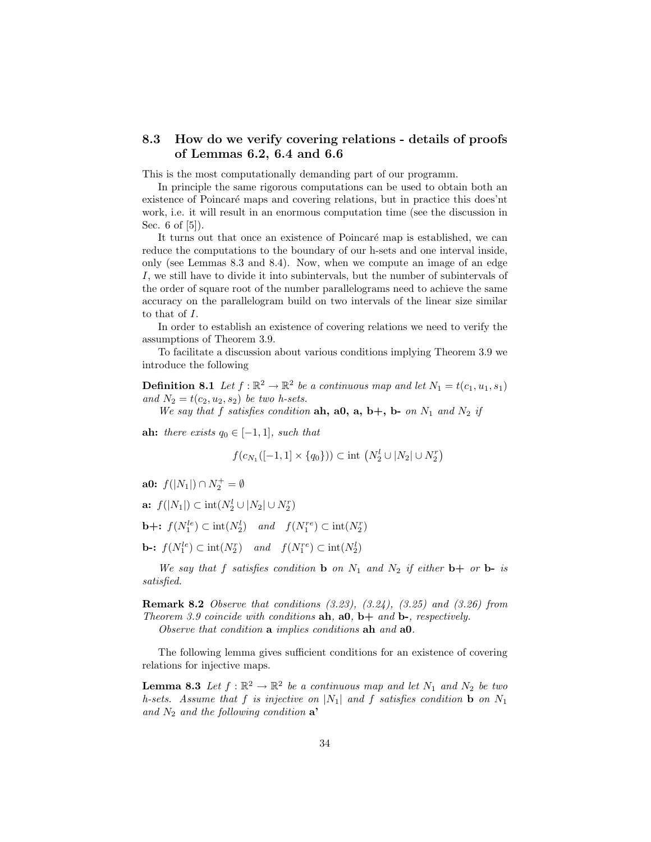## 8.3 How do we verify covering relations - details of proofs of Lemmas 6.2, 6.4 and 6.6

This is the most computationally demanding part of our programm.

In principle the same rigorous computations can be used to obtain both an existence of Poincaré maps and covering relations, but in practice this does'nt work, i.e. it will result in an enormous computation time (see the discussion in Sec. 6 of [5]).

It turns out that once an existence of Poincaré map is established, we can reduce the computations to the boundary of our h-sets and one interval inside, only (see Lemmas 8.3 and 8.4). Now, when we compute an image of an edge I, we still have to divide it into subintervals, but the number of subintervals of the order of square root of the number parallelograms need to achieve the same accuracy on the parallelogram build on two intervals of the linear size similar to that of I.

In order to establish an existence of covering relations we need to verify the assumptions of Theorem 3.9.

To facilitate a discussion about various conditions implying Theorem 3.9 we introduce the following

**Definition 8.1** Let  $f : \mathbb{R}^2 \to \mathbb{R}^2$  be a continuous map and let  $N_1 = t(c_1, u_1, s_1)$ and  $N_2 = t(c_2, u_2, s_2)$  be two h-sets.

We say that f satisfies condition ah, a0, a, b+, b- on  $N_1$  and  $N_2$  if

ah: there exists  $q_0 \in [-1, 1]$ , such that

$$
f(c_{N_1}([-1,1] \times \{q_0\})) \subset \text{int } (N_2^l \cup |N_2| \cup N_2^r)
$$

a0:  $f(|N_1|) \cap N_2^+ = \emptyset$ 

a:  $f(|N_1|) \subset \text{int}(N_2^l \cup |N_2| \cup N_2^r)$ 

**b**+:  $f(N_1^{le}) \subset \text{int}(N_2^l)$  and  $f(N_1^{re}) \subset \text{int}(N_2^r)$ 

**b-:**  $f(N_1^{le}) \subset \text{int}(N_2^r)$  and  $f(N_1^{re}) \subset \text{int}(N_2^l)$ 

We say that f satisfies condition **b** on  $N_1$  and  $N_2$  if either **b**+ or **b**- is satisfied.

Remark 8.2 Observe that conditions (3.23), (3.24), (3.25) and (3.26) from Theorem 3.9 coincide with conditions  $\mathbf{ah}, \mathbf{a0}, \mathbf{b}+ \text{ and } \mathbf{b}$ , respectively.

Observe that condition a implies conditions ah and a0.

The following lemma gives sufficient conditions for an existence of covering relations for injective maps.

**Lemma 8.3** Let  $f : \mathbb{R}^2 \to \mathbb{R}^2$  be a continuous map and let  $N_1$  and  $N_2$  be two h-sets. Assume that f is injective on  $|N_1|$  and f satisfies condition **b** on  $N_1$ and  $N_2$  and the following condition  $\mathbf{a}^*$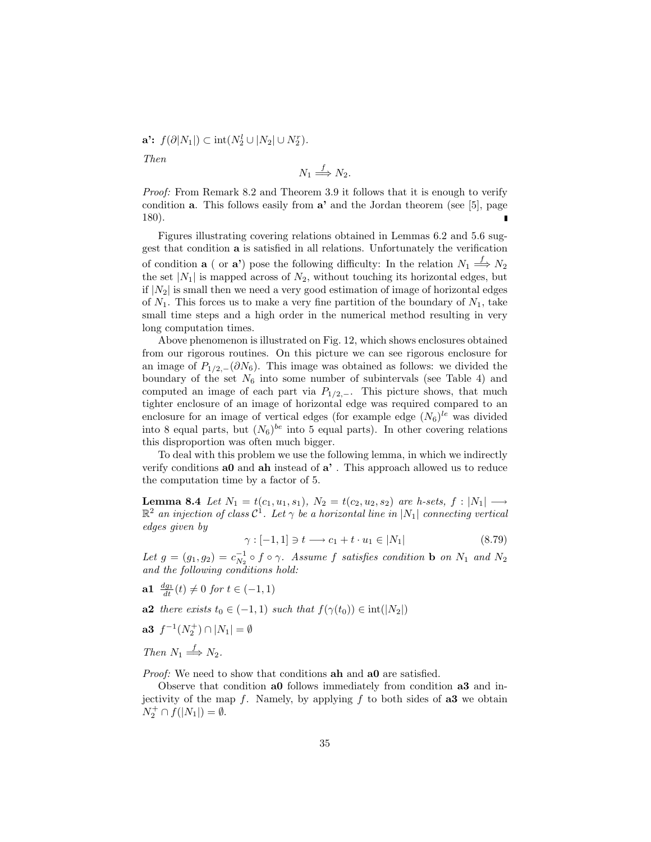$\mathbf{a'}$ :  $f(\partial |N_1|) \subset \text{int}(N_2^l \cup |N_2| \cup N_2^r)$ . Then  $N_1 \stackrel{f}{\Longrightarrow} N_2.$ 

Proof: From Remark 8.2 and Theorem 3.9 it follows that it is enough to verify condition  $a$ . This follows easily from  $a'$  and the Jordan theorem (see [5], page 180).

Figures illustrating covering relations obtained in Lemmas 6.2 and 5.6 suggest that condition a is satisfied in all relations. Unfortunately the verification of condition **a** ( or **a**) pose the following difficulty: In the relation  $N_1 \stackrel{f}{\Longrightarrow} N_2$ the set  $|N_1|$  is mapped across of  $N_2$ , without touching its horizontal edges, but if  $|N_2|$  is small then we need a very good estimation of image of horizontal edges of  $N_1$ . This forces us to make a very fine partition of the boundary of  $N_1$ , take small time steps and a high order in the numerical method resulting in very long computation times.

Above phenomenon is illustrated on Fig. 12, which shows enclosures obtained from our rigorous routines. On this picture we can see rigorous enclosure for an image of  $P_{1/2,-}(\partial N_6)$ . This image was obtained as follows: we divided the boundary of the set  $N_6$  into some number of subintervals (see Table 4) and computed an image of each part via  $P_{1/2,-}$ . This picture shows, that much tighter enclosure of an image of horizontal edge was required compared to an enclosure for an image of vertical edges (for example edge  $(N_6)^{le}$  was divided into 8 equal parts, but  $(N_6)^{be}$  into 5 equal parts). In other covering relations this disproportion was often much bigger.

To deal with this problem we use the following lemma, in which we indirectly verify conditions a0 and ah instead of a' . This approach allowed us to reduce the computation time by a factor of 5.

**Lemma 8.4** Let  $N_1 = t(c_1, u_1, s_1)$ ,  $N_2 = t(c_2, u_2, s_2)$  are h-sets,  $f : |N_1|$  →  $\mathbb{R}^2$  an injection of class  $\mathcal{C}^1$ . Let  $\gamma$  be a horizontal line in  $|N_1|$  connecting vertical edges given by

$$
\gamma : [-1, 1] \ni t \longrightarrow c_1 + t \cdot u_1 \in |N_1| \tag{8.79}
$$

Let  $g = (g_1, g_2) = c_{N_2}^{-1} \circ f \circ \gamma$ . Assume f satisfies condition **b** on  $N_1$  and  $N_2$ and the following conditions hold:

- **a1**  $\frac{dg_1}{dt}(t) \neq 0$  for  $t \in (-1, 1)$
- a2 there exists  $t_0 \in (-1, 1)$  such that  $f(\gamma(t_0)) \in \text{int}(|N_2|)$
- a3  $f^{-1}(N_2^+) \cap |N_1| = \emptyset$
- Then  $N_1 \stackrel{f}{\Longrightarrow} N_2$ .

Proof: We need to show that conditions ah and a0 are satisfied.

Observe that condition a0 follows immediately from condition a3 and injectivity of the map  $f$ . Namely, by applying  $f$  to both sides of  $a3$  we obtain  $N_2^+ \cap f(|N_1|) = \emptyset.$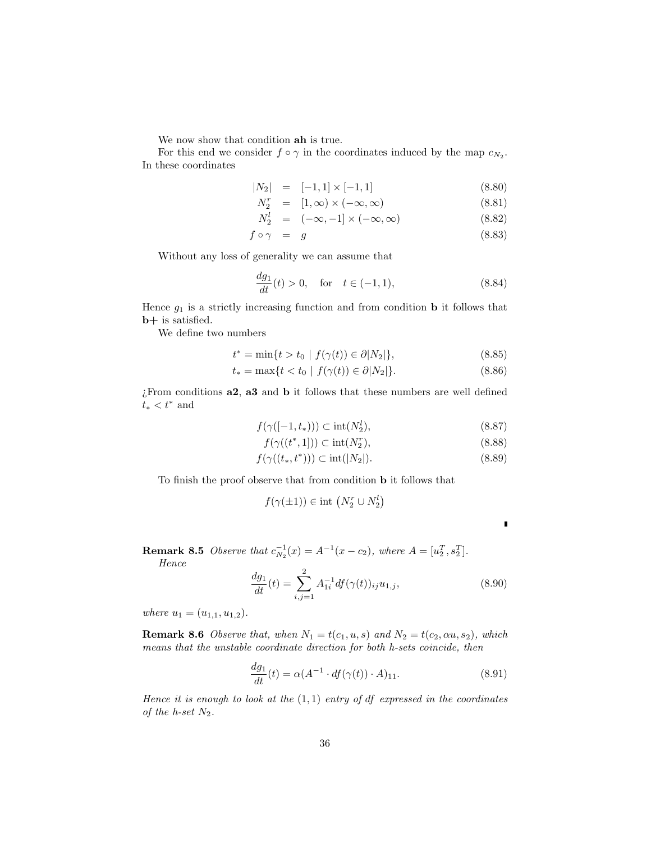We now show that condition ah is true.

For this end we consider  $f \circ \gamma$  in the coordinates induced by the map  $c_{N_2}$ . In these coordinates

$$
|N_2| = [-1,1] \times [-1,1] \tag{8.80}
$$

$$
N_2^r = [1, \infty) \times (-\infty, \infty) \tag{8.81}
$$

$$
N_2^l = (-\infty, -1] \times (-\infty, \infty) \tag{8.82}
$$

$$
f \circ \gamma = g \tag{8.83}
$$

Without any loss of generality we can assume that

$$
\frac{dg_1}{dt}(t) > 0, \quad \text{for} \quad t \in (-1, 1), \tag{8.84}
$$

Hence  $g_1$  is a strictly increasing function and from condition **b** it follows that b+ is satisfied.

We define two numbers

$$
t^* = \min\{t > t_0 \mid f(\gamma(t)) \in \partial |N_2|\},\tag{8.85}
$$

$$
t_* = \max\{t < t_0 \mid f(\gamma(t)) \in \partial |N_2|\}.
$$
\n(8.86)

l

¿From conditions a2, a3 and b it follows that these numbers are well defined  $t_* < t^*$  and

$$
f(\gamma([-1, t_*))) \subset \text{int}(N_2^l),\tag{8.87}
$$

$$
f(\gamma((t^*, 1])) \subset \text{int}(N_2^r),\tag{8.88}
$$

$$
f(\gamma((t_*,t^*))) \subset \text{int}(|N_2|). \tag{8.89}
$$

To finish the proof observe that from condition b it follows that

$$
f(\gamma(\pm 1)) \in \text{int } (N_2^r \cup N_2^l)
$$

**Remark 8.5** Observe that  $c_{N_2}^{-1}(x) = A^{-1}(x - c_2)$ , where  $A = [u_2^T, s_2^T]$ .

Hence

$$
\frac{dg_1}{dt}(t) = \sum_{i,j=1}^{2} A_{1i}^{-1} df(\gamma(t))_{ij} u_{1,j},
$$
\n(8.90)

where  $u_1 = (u_{1,1}, u_{1,2}).$ 

**Remark 8.6** Observe that, when  $N_1 = t(c_1, u, s)$  and  $N_2 = t(c_2, \alpha u, s_2)$ , which means that the unstable coordinate direction for both h-sets coincide, then

$$
\frac{dg_1}{dt}(t) = \alpha (A^{-1} \cdot df(\gamma(t)) \cdot A)_{11}.
$$
\n(8.91)

Hence it is enough to look at the  $(1,1)$  entry of df expressed in the coordinates of the h-set  $N_2$ .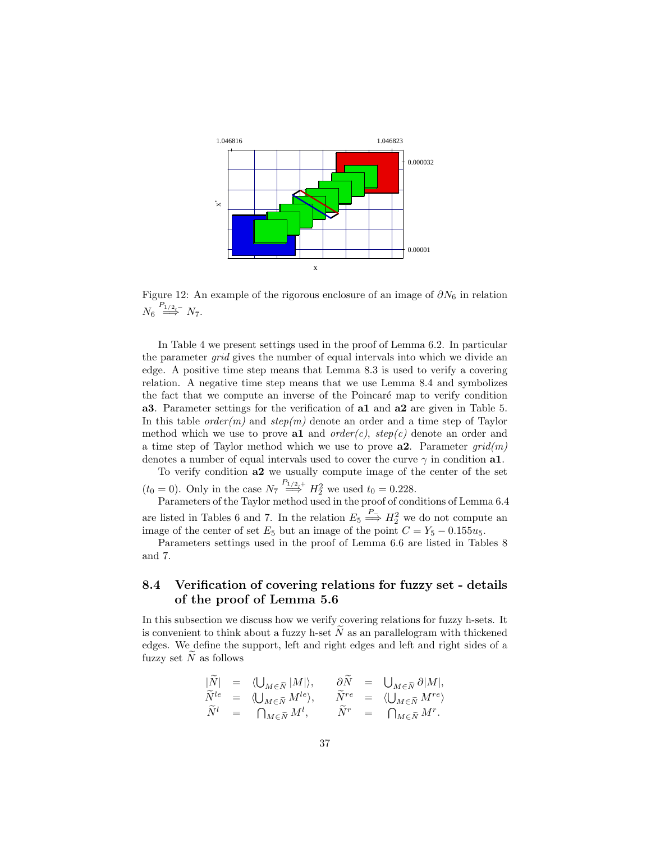

Figure 12: An example of the rigorous enclosure of an image of  $\partial N_6$  in relation  $N_6 \stackrel{P_{1/2,-}}{\Longrightarrow} N_7.$ 

In Table 4 we present settings used in the proof of Lemma 6.2. In particular the parameter grid gives the number of equal intervals into which we divide an edge. A positive time step means that Lemma 8.3 is used to verify a covering relation. A negative time step means that we use Lemma 8.4 and symbolizes the fact that we compute an inverse of the Poincaré map to verify condition a3. Parameter settings for the verification of a1 and a2 are given in Table 5. In this table *order(m)* and  $step(m)$  denote an order and a time step of Taylor method which we use to prove al and  $order(c)$ ,  $step(c)$  denote an order and a time step of Taylor method which we use to prove  $a2$ . Parameter  $grid(m)$ denotes a number of equal intervals used to cover the curve  $\gamma$  in condition a1.

To verify condition a2 we usually compute image of the center of the set  $(t_0 = 0)$ . Only in the case  $N_7 \stackrel{P_{1/2,+}}{\Longrightarrow} H_2^2$  we used  $t_0 = 0.228$ .

Parameters of the Taylor method used in the proof of conditions of Lemma 6.4 are listed in Tables 6 and 7. In the relation  $E_5 \stackrel{P_-}{\Longrightarrow} H_2^2$  we do not compute an image of the center of set  $E_5$  but an image of the point  $C = Y_5 - 0.155u_5$ .

Parameters settings used in the proof of Lemma 6.6 are listed in Tables 8 and 7.

## 8.4 Verification of covering relations for fuzzy set - details of the proof of Lemma 5.6

In this subsection we discuss how we verify covering relations for fuzzy h-sets. It is convenient to think about a fuzzy h-set  $\tilde{N}$  as an parallelogram with thickened edges. We define the support, left and right edges and left and right sides of a fuzzy set  $\tilde{N}$  as follows

$$
\begin{array}{rclcrcl} |\tilde{N}|&=&\langle \bigcup_{M\in \tilde{N}} |M| \rangle, &\quad \partial \tilde{N}&=&\bigcup_{M\in \tilde{N}} \partial |M|,\\ \tilde{N}^{le}&=&\langle \bigcup_{M\in \tilde{N}} M^{le} \rangle, &\quad \tilde{N}^{re}&=&\langle \bigcup_{M\in \tilde{N}} M^{re} \rangle\\ \tilde{N}^{l}&=&\bigcap_{M\in \tilde{N}} M^{l}, &\quad \tilde{N}^{r}&=&\bigcap_{M\in \tilde{N}} M^{r}. \end{array}
$$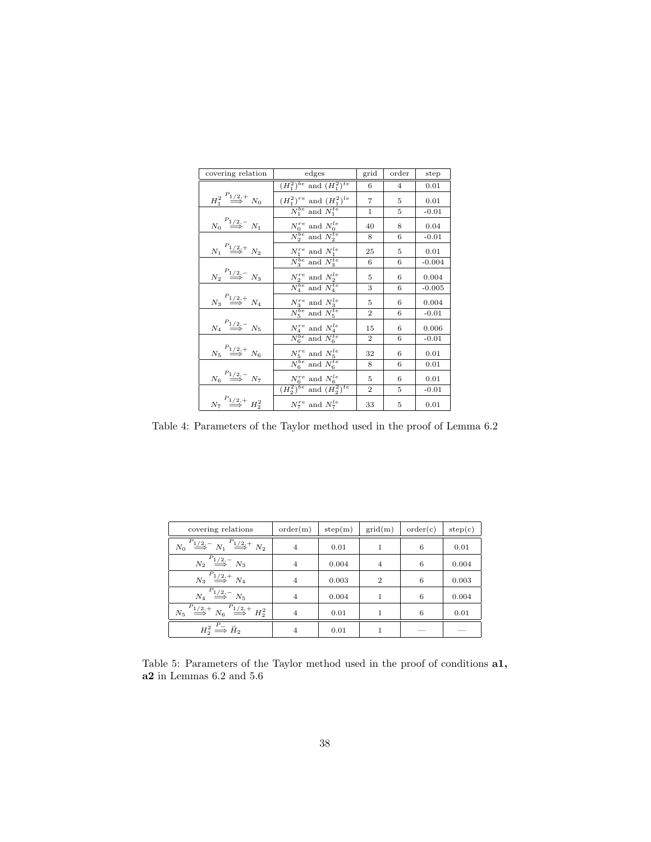| covering relation                                 | edges                                                       | grid           | order          | step     |
|---------------------------------------------------|-------------------------------------------------------------|----------------|----------------|----------|
|                                                   | $(H_1^2)^{be}$ and $(H_1^2)^{te}$                           | 6              | $\overline{4}$ | 0.01     |
| $H_1^2 \stackrel{P_{1/2,+}}{\Longrightarrow} N_0$ | $(H_1^2)^{re}$ and $(H_1^2)^{le}$                           | 7              | 5              | 0.01     |
|                                                   | $N_1^{be}$ and $N_1^{te}$                                   | 1              | 5              | $-0.01$  |
| $N_0 \stackrel{P_{1/2,-}}{\Longrightarrow} N_1$   | $N_0^{re}$ and $N_0^{le}$                                   | 40             | 8              | 0.04     |
|                                                   | $N_2^{be}$ and $N_2^{te}$                                   | 8              | 6              | $-0.01$  |
| $N_1 \stackrel{P_{1/2,+}}{\Longrightarrow} N_2$   | $N_1^{re}$ and $N_1^{le}$                                   | 25             | 5              | 0.01     |
|                                                   | $\overline{N_3^{be}}$ and $\overline{N_3^{te}}$             | 6              | 6              | $-0.004$ |
| $N_2 \stackrel{P_{1/2,-}}{\Longrightarrow} N_3$   | $N_2^{re}$ and $N_2^{le}$                                   | 5              | 6              | 0.004    |
|                                                   | $\overline{N_4^{be}}$ and $\overline{N_4^{te}}$             | 3              | 6              | $-0.005$ |
| $N_3 \stackrel{P_{1/2,+}}{\Longrightarrow} N_4$   | $N_3^{re}$ and $N_3^{le}$                                   | 5              | 6              | 0.004    |
|                                                   | $\overline{N_5^{be}}$ and $\overline{N_5^{te}}$             | $\mathcal{D}$  | 6              | $-0.01$  |
| $N_4 \stackrel{P_{1/2,-}}{\Longrightarrow} N_5$   | $\frac{N_4^{re}}{N_6^{be}}$ and $\frac{N_4^{le}}{N_6^{te}}$ | 15             | 6              | 0.006    |
|                                                   |                                                             | $\overline{2}$ | 6              | $-0.01$  |
| $N_5 \stackrel{P_{1/2,+}}{\Longrightarrow} N_6$   | $\frac{N_5^{re}}{N_6^{be}}$ and $\frac{N_5^{le}}{N_6^{te}}$ | $32\,$         | 6              | 0.01     |
|                                                   |                                                             | 8              | 6              | 0.01     |
| $N_6 \stackrel{P_{1/2,-}}{\Longrightarrow} N_7$   | $N_6^{re}$ and $N_6^{le}$                                   | 5              | 6              | 0.01     |
|                                                   | $\overline{(H_2^2)^{be}}$ and $\overline{(H_2^2)^{te}}$     | $\overline{2}$ | 5              | $-0.01$  |
| $N_7 \stackrel{P_{1/2,+}}{\Longrightarrow} H_2^2$ | $N_7^{re}$ and $N_7^{le}$                                   | 33             | 5              | 0.01     |

Table 4: Parameters of the Taylor method used in the proof of Lemma 6.2

| covering relations                                                                          | order(m)       | step(m) | grid(m)        | order(c) | step(c) |
|---------------------------------------------------------------------------------------------|----------------|---------|----------------|----------|---------|
| $N_0 \stackrel{P_{1/2,-}}{\Longrightarrow} N_1 \stackrel{P_{1/2,+}}{\Longrightarrow} N_2$   | $\overline{4}$ | 0.01    | 1              | 6        | 0.01    |
| $N_2 \stackrel{P_{1/2,-}}{\Longrightarrow} N_3$                                             | $\overline{4}$ | 0.004   | $\overline{4}$ | 6        | 0.004   |
| $N_3 \stackrel{P_{1/2,+}}{\Longrightarrow} N_4$                                             | $\overline{4}$ | 0.003   | $\overline{2}$ | 6        | 0.003   |
| $N_4 \stackrel{P_{1/2,-}}{\Longrightarrow} N_5$                                             | $\overline{4}$ | 0.004   |                | 6        | 0.004   |
| $N_5 \stackrel{P_{1/2,+}}{\Longrightarrow} N_6 \stackrel{P_{1/2,+}}{\Longrightarrow} H_2^2$ | $\overline{4}$ | 0.01    |                | 6        | 0.01    |
| $H_2^2 \stackrel{P_-}{\Longrightarrow} \tilde{H}_2$                                         | 4              | 0.01    |                |          |         |

Table 5: Parameters of the Taylor method used in the proof of conditions a1, a2 in Lemmas 6.2 and 5.6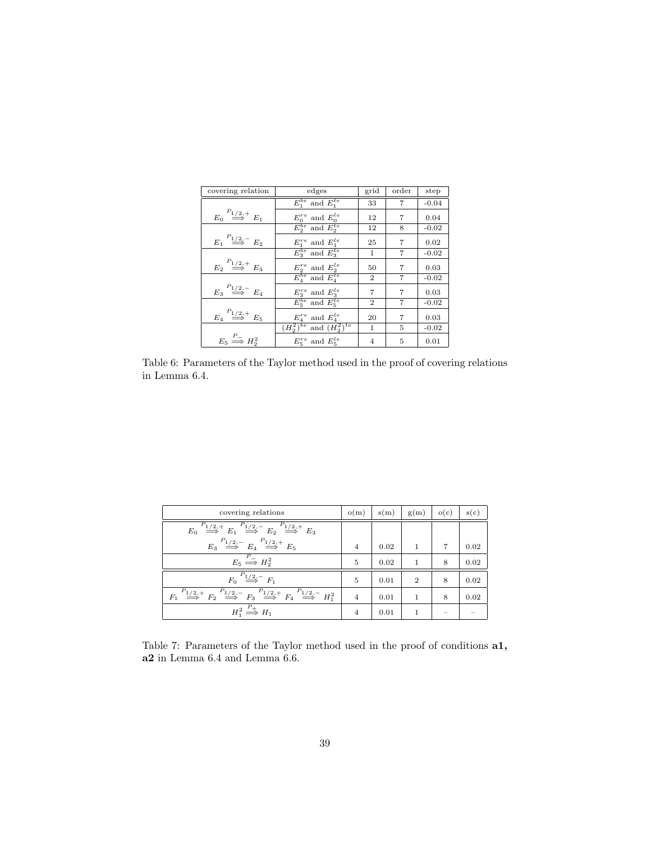| covering relation                               | edges                                    | grid           | order          | step    |
|-------------------------------------------------|------------------------------------------|----------------|----------------|---------|
|                                                 | $E_1^{be}$ and $E_1^{te}$                | 33             | 7              | $-0.04$ |
| $E_0 \stackrel{F_{1/2,+}}{\Longrightarrow} E_1$ | $E_0^{re}$ and $E_0^{le}$                | 12             | 7              | 0.04    |
|                                                 | $E_2^{be}$ and $E_2^{te}$                | 12             | 8              | $-0.02$ |
| $E_1 \stackrel{P_{1/2,-}}{\Longrightarrow} E_2$ | $E_1^{re}$ and $E_1^{le}$                | 25             | 7              | 0.02    |
|                                                 | $E_3^{be}$ and $E_3^{te}$                | $\mathbf 1$    | 7              | $-0.02$ |
| $E_2 \stackrel{P_{1/2,+}}{\Longrightarrow} E_3$ | $E_2^{re}$ and $E_2^{le}$                | 50             | 7              | 0.03    |
|                                                 | $\overline{E_{A}^{be}}$ and $E_{A}^{te}$ | $\overline{2}$ | $\overline{7}$ | $-0.02$ |
| $E_3 \stackrel{P_{1/2,-}}{\Longrightarrow} E_4$ | $E_3^{re}$ and $E_3^{le}$                | 7              | 7              | 0.03    |
|                                                 | $E_5^{be}$ and $E_5^{te}$                | $\overline{2}$ | 7              | $-0.02$ |
| $E_4 \stackrel{P_{1/2,+}}{\Longrightarrow} E_5$ | $E_4^{re}$ and $E_4^{le}$                | 20             | 7              | 0.03    |
|                                                 | $(H_2^2)^{be}$ and $(H_2^2)^{te}$        | $\mathbf{1}$   | 5              | $-0.02$ |
| $E_5 \stackrel{P_-}{\Longrightarrow} H_2^2$     | $E_5^{re}$ and $E_5^{le}$                | 4              | 5              | 0.01    |

Table 6: Parameters of the Taylor method used in the proof of covering relations in Lemma 6.4.

| covering relations                                                                                                                                                                     | o(m)           | s(m) | g(m)           | o(c)           | s(c) |
|----------------------------------------------------------------------------------------------------------------------------------------------------------------------------------------|----------------|------|----------------|----------------|------|
| $E_0 \stackrel{P_{1/2,+}}{\Longrightarrow} E_1 \stackrel{P_{1/2,-}}{\Longrightarrow} E_2 \stackrel{P_{1/2,+}}{\Longrightarrow} E_3$                                                    |                |      |                |                |      |
| $E_3 \stackrel{P_{1/2,-}}{\Longrightarrow} E_4 \stackrel{P_{1/2,+}}{\Longrightarrow} E_5$                                                                                              | $\overline{4}$ | 0.02 | 1              | $\overline{7}$ | 0.02 |
| $E_5 \stackrel{P_-}{\Longrightarrow} H_2^2$                                                                                                                                            | 5              | 0.02 | 1              | 8              | 0.02 |
| $F_0 \stackrel{P_{1/2,-}}{\Longrightarrow} F_1$                                                                                                                                        | 5              | 0.01 | $\overline{2}$ | 8              | 0.02 |
| $\stackrel{P_{1/2,+}}{\Longrightarrow}F_2\stackrel{P_{1/2,-}}{\Longrightarrow}F_3\stackrel{P_{1/2,+}}{\Longrightarrow}F_4\stackrel{P_{1/2,-}}{\Longrightarrow}H_1^2$<br>F <sub>1</sub> | $\overline{4}$ | 0.01 | 1              | 8              | 0.02 |
| $H_1^2 \stackrel{P_+}{\Longrightarrow} H_1$                                                                                                                                            | 4              | 0.01 | 1              | $\sim$         |      |

Table 7: Parameters of the Taylor method used in the proof of conditions a1, a2 in Lemma 6.4 and Lemma 6.6.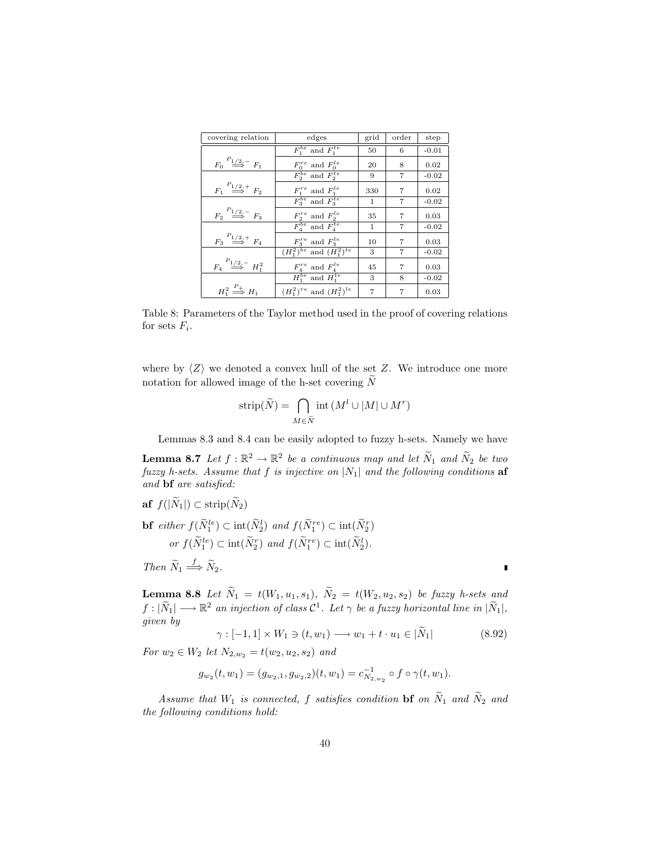| covering relation                                 | edges                                                       | grid         | order | step    |
|---------------------------------------------------|-------------------------------------------------------------|--------------|-------|---------|
|                                                   | $F_1^{be}$ and $F_1^{te}$                                   | 50           | 6     | $-0.01$ |
| $F_0 \stackrel{P_{1/2,-}}{\Longrightarrow} F_1$   | $F_0^{re}$ and $F_0^{le}$                                   | 20           | 8     | 0.02    |
|                                                   | $\overline{F_2^{be}}$ and $\overline{F_2^{te}}$             | 9            | 7     | $-0.02$ |
| $F_1 \stackrel{P_{1/2,+}}{\Longrightarrow} F_2$   | $F_1^{re}$ and $F_1^{le}$                                   | 330          | 7     | 0.02    |
|                                                   | $F_3^{be}$ and $F_3^{te}$                                   | $\mathbf{1}$ | 7     | $-0.02$ |
| $F_2 \stackrel{P_{1/2,-}}{\Longrightarrow} F_3$   | $F_2^{re}$ and $F_2^{le}$                                   | 35           | 7     | 0.03    |
|                                                   | $F_4^{be}$ and $F_4^{te}$                                   | 1            | 7     | $-0.02$ |
| $F_3 \stackrel{P_{1/2,+}}{\Longrightarrow} F_4$   | $F_3^{re}$ and $F_3^{le}$                                   | 10           | 7     | 0.03    |
|                                                   | $(H_1^2)^{be}$ and $(H_1^2)^{te}$                           | 3            | 7     | $-0.02$ |
| $F_4 \stackrel{P_{1/2,-}}{\Longrightarrow} H_1^2$ | $\frac{F_4^{re}}{H_1^{be}}$ and $\frac{F_4^{le}}{H_1^{te}}$ | 45           | 7     | 0.03    |
|                                                   |                                                             | 3            | 8     | $-0.02$ |
| $H_1^2 \stackrel{P_+}{\Longrightarrow} H_1$       | $(H_1^2)^{re}$ and $(H_1^2)^{le}$                           | 7            | 7     | 0.03    |

Table 8: Parameters of the Taylor method used in the proof of covering relations for sets  $F_i$ .

where by  $\langle Z \rangle$  we denoted a convex hull of the set Z. We introduce one more notation for allowed image of the h-set covering  $N$ 

$$
strip(\widetilde{N}) = \bigcap_{M \in \widetilde{N}} int(M^{l} \cup |M| \cup M^{r})
$$

Lemmas 8.3 and 8.4 can be easily adopted to fuzzy h-sets. Namely we have

**Lemma 8.7** Let  $f : \mathbb{R}^2 \to \mathbb{R}^2$  be a continuous map and let  $\widetilde{N}_1$  and  $\widetilde{N}_2$  be two fuzzy h-sets. Assume that f is injective on  $|N_1|$  and the following conditions af and bf are satisfied:

$$
\begin{aligned}\n\mathbf{b} \mathbf{f} \quad \text{either} \quad f(\widetilde{N}_1^{le}) \subset \text{int}(\widetilde{N}_2^l) \quad \text{and} \quad f(\widetilde{N}_1^{re}) \subset \text{int}(\widetilde{N}_2^r) \\
\text{or} \quad f(\widetilde{N}_1^{le}) \subset \text{int}(\widetilde{N}_2^r) \quad \text{and} \quad f(\widetilde{N}_1^{re}) \subset \text{int}(\widetilde{N}_2^l).\n\end{aligned}
$$

Then  $\widetilde{N}_1 \stackrel{f}{\Longrightarrow} \widetilde{N}_2$ .

af  $f(|\widetilde{N}_1|) \subset \text{strip}(\widetilde{N}_2)$ 

**Lemma 8.8** Let  $\widetilde{N}_1 = t(W_1, u_1, s_1), \ \widetilde{N}_2 = t(W_2, u_2, s_2)$  be fuzzy h-sets and  $f:|\widetilde{N}_1| \longrightarrow \mathbb{R}^2$  an injection of class  $\mathcal{C}^1$ . Let  $\gamma$  be a fuzzy horizontal line in  $|\widetilde{N}_1|,$ given by

$$
\gamma : [-1,1] \times W_1 \ni (t, w_1) \longrightarrow w_1 + t \cdot u_1 \in |\widetilde{N}_1| \tag{8.92}
$$

For  $w_2 \in W_2$  let  $N_{2,w_2} = t(w_2, u_2, s_2)$  and

$$
g_{w_2}(t, w_1) = (g_{w_2,1}, g_{w_2,2})(t, w_1) = c_{N_{2,w_2}}^{-1} \circ f \circ \gamma(t, w_1).
$$

Assume that  $W_1$  is connected, f satisfies condition **bf** on  $\widetilde{N}_1$  and  $\widetilde{N}_2$  and the following conditions hold:

I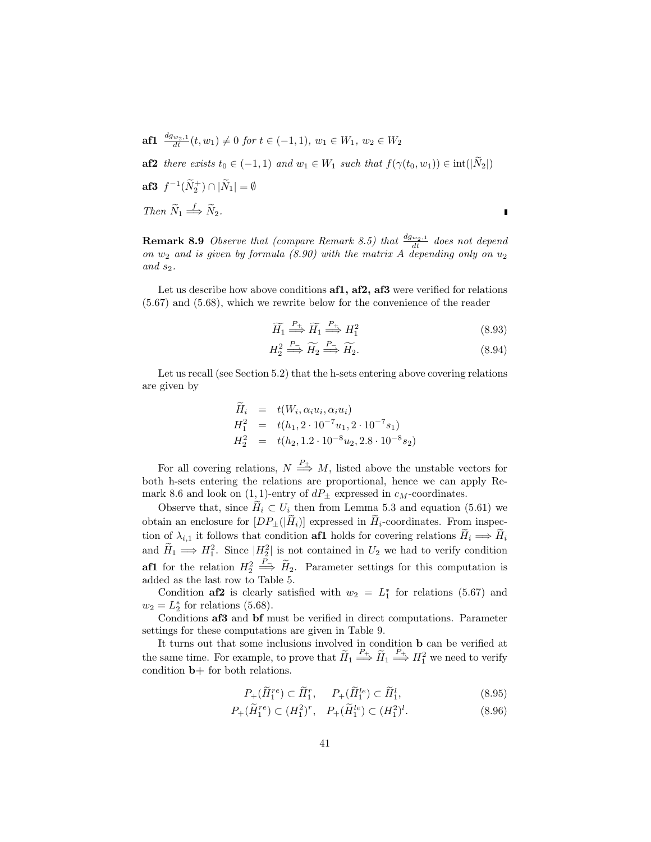af1  $\frac{dg_{w_2,1}}{dt}(t, w_1) \neq 0$  for  $t \in (-1,1)$ ,  $w_1 \in W_1$ ,  $w_2 \in W_2$ af2 there exists  $t_0 \in (-1, 1)$  and  $w_1 \in W_1$  such that  $f(\gamma(t_0, w_1)) \in \text{int}(|\tilde{N}_2|)$ af3  $f^{-1}(\widetilde{N}_2^+) \cap |\widetilde{N}_1| = \emptyset$ 

Then 
$$
\widetilde{N}_1 \stackrel{f}{\Longrightarrow} \widetilde{N}_2
$$
.

**Remark 8.9** Observe that (compare Remark 8.5) that  $\frac{d g_{w_2,1}}{dt}$  does not depend on  $w_2$  and is given by formula (8.90) with the matrix A depending only on  $u_2$ and  $s_2$ .

Let us describe how above conditions af1, af2, af3 were verified for relations (5.67) and (5.68), which we rewrite below for the convenience of the reader

$$
\widetilde{H}_1 \stackrel{P_+}{\Longrightarrow} \widetilde{H}_1 \stackrel{P_+}{\Longrightarrow} H_1^2 \tag{8.93}
$$

П

$$
H_2^2 \stackrel{P_-}{\Longrightarrow} \widetilde{H_2} \stackrel{P_-}{\Longrightarrow} \widetilde{H_2}.\tag{8.94}
$$

Let us recall (see Section 5.2) that the h-sets entering above covering relations are given by

$$
\widetilde{H}_i = t(W_i, \alpha_i u_i, \alpha_i u_i)
$$
\n
$$
H_1^2 = t(h_1, 2 \cdot 10^{-7} u_1, 2 \cdot 10^{-7} s_1)
$$
\n
$$
H_2^2 = t(h_2, 1.2 \cdot 10^{-8} u_2, 2.8 \cdot 10^{-8} s_2)
$$

For all covering relations,  $N \stackrel{P_{\pm}}{\Longrightarrow} M$ , listed above the unstable vectors for both h-sets entering the relations are proportional, hence we can apply Remark 8.6 and look on  $(1, 1)$ -entry of  $dP_{\pm}$  expressed in  $c_M$ -coordinates.

Observe that, since  $H_i \subset U_i$  then from Lemma 5.3 and equation (5.61) we obtain an enclosure for  $[DP_{\pm}(|\tilde{H}_i)]$  expressed in  $\tilde{H}_i$ -coordinates. From inspection of  $\lambda_{i,1}$  it follows that condition **af1** holds for covering relations  $H_i \Longrightarrow H_i$ and  $\widetilde{H}_1 \Longrightarrow H_1^2$ . Since  $|H_2^2|$  is not contained in  $U_2$  we had to verify condition **af1** for the relation  $H_2^2 \stackrel{P_-}{\Longrightarrow} \widetilde{H}_2$ . Parameter settings for this computation is added as the last row to Table 5.

Condition af2 is clearly satisfied with  $w_2 = L_1^*$  for relations (5.67) and  $w_2 = L_2^*$  for relations (5.68).

Conditions af3 and bf must be verified in direct computations. Parameter settings for these computations are given in Table 9.

It turns out that some inclusions involved in condition b can be verified at the same time. For example, to prove that  $\widetilde{H}_1 \stackrel{P_+}{\Longrightarrow} \widetilde{H}_1 \stackrel{P_+}{\Longrightarrow} H_1^2$  we need to verify condition b+ for both relations.

$$
P_{+}(\widetilde{H}_{1}^{re}) \subset \widetilde{H}_{1}^{r}, \quad P_{+}(\widetilde{H}_{1}^{le}) \subset \widetilde{H}_{1}^{l}, \tag{8.95}
$$

$$
P_{+}(\widetilde{H}_{1}^{re}) \subset (H_{1}^{2})^{r}, \quad P_{+}(\widetilde{H}_{1}^{le}) \subset (H_{1}^{2})^{l}.
$$
\n(8.96)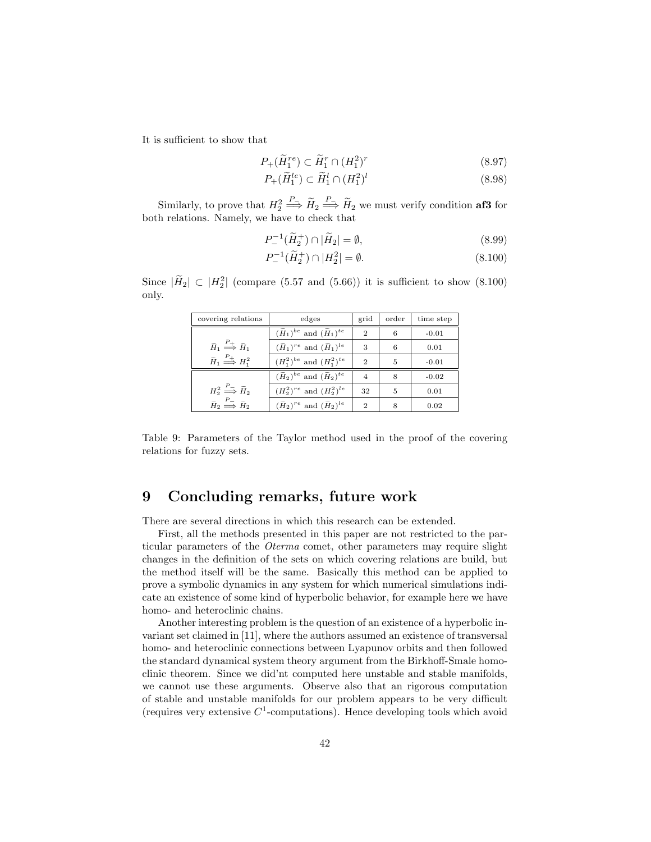It is sufficient to show that

$$
P_{+}(\widetilde{H}_{1}^{re}) \subset \widetilde{H}_{1}^{r} \cap (H_{1}^{2})^{r}
$$
\n
$$
(8.97)
$$

$$
P_{+}(\widetilde{H}_{1}^{le}) \subset \widetilde{H}_{1}^{l} \cap (H_{1}^{2})^{l} \tag{8.98}
$$

Similarly, to prove that  $H_2^2 \stackrel{P_-}{\Longrightarrow} \tilde{H}_2 \stackrel{P_-}{\Longrightarrow} \tilde{H}_2$  we must verify condition **af3** for both relations. Namely, we have to check that

$$
P_{-}^{-1}(\widetilde{H}_2^+) \cap |\widetilde{H}_2| = \emptyset, \tag{8.99}
$$

$$
P_{-}^{-1}(\widetilde{H}_2^+) \cap |H_2^2| = \emptyset. \tag{8.100}
$$

Since  $|\widetilde{H}_2| \subset |H_2^2|$  (compare (5.57 and (5.66)) it is sufficient to show (8.100) only.

| covering relations                                                | edges                                                 | grid           | order | time step |
|-------------------------------------------------------------------|-------------------------------------------------------|----------------|-------|-----------|
|                                                                   | $(\widetilde{H}_1)^{be}$ and $(\widetilde{H}_1)^{te}$ | $\overline{2}$ | 6     | $-0.01$   |
| $\widetilde{H}_1 \stackrel{P_+}{\Longrightarrow} \widetilde{H}_1$ | $(\widetilde{H}_1)^{re}$ and $(\widetilde{H}_1)^{le}$ | 3              | 6     | 0.01      |
| $\widetilde{H}_1 \stackrel{P_+}{\Longrightarrow} H_1^2$           | $(H_1^2)^{be}$ and $(H_1^2)^{te}$                     | $\mathcal{D}$  | 5     | $-0.01$   |
|                                                                   | $(\widetilde{H}_2)^{be}$ and $(\widetilde{H}_2)^{te}$ | $\overline{4}$ | 8     | $-0.02$   |
| $H_2^2 \stackrel{P_-}{\Longrightarrow} \tilde{H}_2$               | $(H_2^2)^{re}$ and $(H_2^2)^{le}$                     | 32             | 5     | 0.01      |
| $\widetilde{H}_2 \stackrel{P_-}{\Longrightarrow} \widetilde{H}_2$ | $(\widetilde{H}_2)^{re}$ and $(\widetilde{H}_2)^{le}$ | $\overline{2}$ | 8     | 0.02      |

Table 9: Parameters of the Taylor method used in the proof of the covering relations for fuzzy sets.

# 9 Concluding remarks, future work

There are several directions in which this research can be extended.

First, all the methods presented in this paper are not restricted to the particular parameters of the Oterma comet, other parameters may require slight changes in the definition of the sets on which covering relations are build, but the method itself will be the same. Basically this method can be applied to prove a symbolic dynamics in any system for which numerical simulations indicate an existence of some kind of hyperbolic behavior, for example here we have homo- and heteroclinic chains.

Another interesting problem is the question of an existence of a hyperbolic invariant set claimed in [11], where the authors assumed an existence of transversal homo- and heteroclinic connections between Lyapunov orbits and then followed the standard dynamical system theory argument from the Birkhoff-Smale homoclinic theorem. Since we did'nt computed here unstable and stable manifolds, we cannot use these arguments. Observe also that an rigorous computation of stable and unstable manifolds for our problem appears to be very difficult (requires very extensive  $C^1$ -computations). Hence developing tools which avoid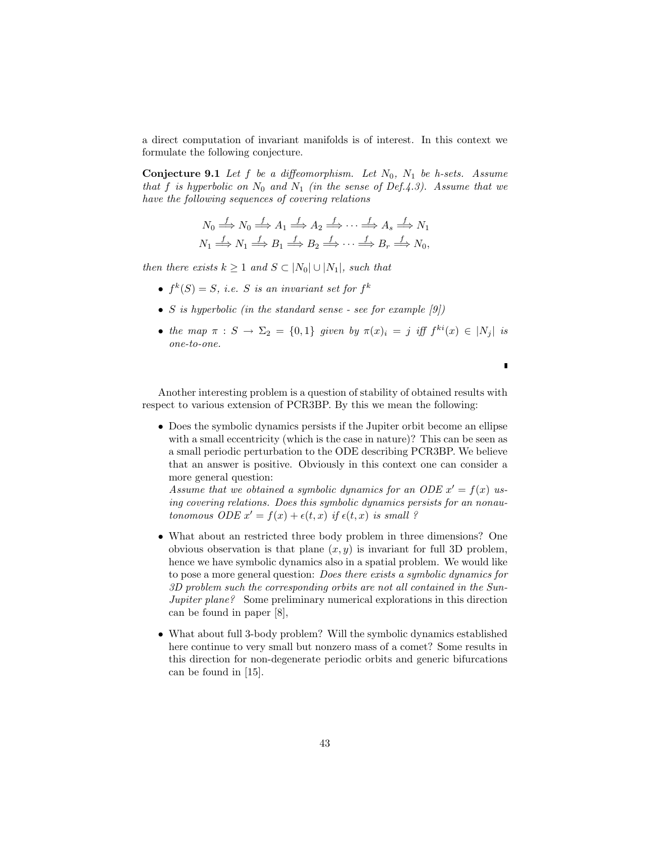a direct computation of invariant manifolds is of interest. In this context we formulate the following conjecture.

**Conjecture 9.1** Let  $f$  be a diffeomorphism. Let  $N_0$ ,  $N_1$  be h-sets. Assume that f is hyperbolic on  $N_0$  and  $N_1$  (in the sense of Def.4.3). Assume that we have the following sequences of covering relations

$$
N_0 \stackrel{f}{\Longrightarrow} N_0 \stackrel{f}{\Longrightarrow} A_1 \stackrel{f}{\Longrightarrow} A_2 \stackrel{f}{\Longrightarrow} \cdots \stackrel{f}{\Longrightarrow} A_s \stackrel{f}{\Longrightarrow} N_1
$$
  

$$
N_1 \stackrel{f}{\Longrightarrow} N_1 \stackrel{f}{\Longrightarrow} B_1 \stackrel{f}{\Longrightarrow} B_2 \stackrel{f}{\Longrightarrow} \cdots \stackrel{f}{\Longrightarrow} B_r \stackrel{f}{\Longrightarrow} N_0,
$$

then there exists  $k \geq 1$  and  $S \subset |N_0| \cup |N_1|$ , such that

- $f^k(S) = S$ , i.e. S is an invariant set for  $f^k$
- S is hyperbolic (in the standard sense see for example  $(9)$ )
- the map  $\pi : S \to \Sigma_2 = \{0,1\}$  given by  $\pi(x)_i = j$  iff  $f^{ki}(x) \in |N_j|$  is one-to-one.

 $\blacksquare$ 

Another interesting problem is a question of stability of obtained results with respect to various extension of PCR3BP. By this we mean the following:

• Does the symbolic dynamics persists if the Jupiter orbit become an ellipse with a small eccentricity (which is the case in nature)? This can be seen as a small periodic perturbation to the ODE describing PCR3BP. We believe that an answer is positive. Obviously in this context one can consider a more general question:

Assume that we obtained a symbolic dynamics for an ODE  $x' = f(x)$  using covering relations. Does this symbolic dynamics persists for an nonautonomous ODE  $x' = f(x) + \epsilon(t, x)$  if  $\epsilon(t, x)$  is small ?

- What about an restricted three body problem in three dimensions? One obvious observation is that plane  $(x, y)$  is invariant for full 3D problem, hence we have symbolic dynamics also in a spatial problem. We would like to pose a more general question: Does there exists a symbolic dynamics for 3D problem such the corresponding orbits are not all contained in the Sun-Jupiter plane? Some preliminary numerical explorations in this direction can be found in paper [8],
- What about full 3-body problem? Will the symbolic dynamics established here continue to very small but nonzero mass of a comet? Some results in this direction for non-degenerate periodic orbits and generic bifurcations can be found in [15].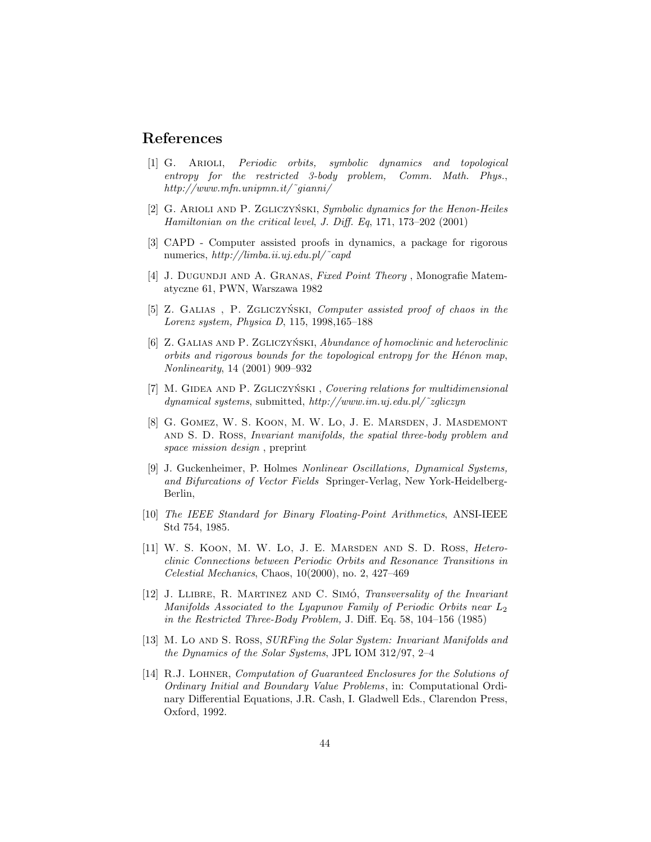## References

- [1] G. Arioli, Periodic orbits, symbolic dynamics and topological entropy for the restricted 3-body problem, Comm. Math. Phys., http://www.mfn.unipmn.it/˜gianni/
- [2] G. ARIOLI AND P. ZGLICZYŃSKI, Symbolic dynamics for the Henon-Heiles Hamiltonian on the critical level, J. Diff. Eq, 171, 173–202 (2001)
- [3] CAPD Computer assisted proofs in dynamics, a package for rigorous numerics, http://limba.ii.uj.edu.pl/˜capd
- [4] J. DUGUNDJI AND A. GRANAS, Fixed Point Theory, Monografie Matematyczne 61, PWN, Warszawa 1982
- [5] Z. GALIAS, P. ZGLICZYŃSKI, Computer assisted proof of chaos in the Lorenz system, Physica D, 115, 1998,165–188
- [6] Z. GALIAS AND P. ZGLICZYŃSKI, Abundance of homoclinic and heteroclinic  $orbits$  and rigorous bounds for the topological entropy for the Hénon map, Nonlinearity, 14 (2001) 909–932
- $[7]$  M. GIDEA AND P. ZGLICZYŃSKI, Covering relations for multidimensional dynamical systems, submitted, http://www.im.uj.edu.pl/˜zgliczyn
- [8] G. Gomez, W. S. Koon, M. W. Lo, J. E. Marsden, J. Masdemont and S. D. Ross, Invariant manifolds, the spatial three-body problem and space mission design , preprint
- [9] J. Guckenheimer, P. Holmes Nonlinear Oscillations, Dynamical Systems, and Bifurcations of Vector Fields Springer-Verlag, New York-Heidelberg-Berlin,
- [10] The IEEE Standard for Binary Floating-Point Arithmetics, ANSI-IEEE Std 754, 1985.
- [11] W. S. Koon, M. W. Lo, J. E. Marsden and S. D. Ross, Heteroclinic Connections between Periodic Orbits and Resonance Transitions in Celestial Mechanics, Chaos, 10(2000), no. 2, 427–469
- [12] J. LLIBRE, R. MARTINEZ AND C. SIMÓ, Transversality of the Invariant Manifolds Associated to the Lyapunov Family of Periodic Orbits near  $L_2$ in the Restricted Three-Body Problem, J. Diff. Eq. 58, 104–156 (1985)
- [13] M. Lo AND S. Ross, *SURFing the Solar System: Invariant Manifolds and* the Dynamics of the Solar Systems, JPL IOM 312/97, 2–4
- [14] R.J. Lohner, Computation of Guaranteed Enclosures for the Solutions of Ordinary Initial and Boundary Value Problems, in: Computational Ordinary Differential Equations, J.R. Cash, I. Gladwell Eds., Clarendon Press, Oxford, 1992.